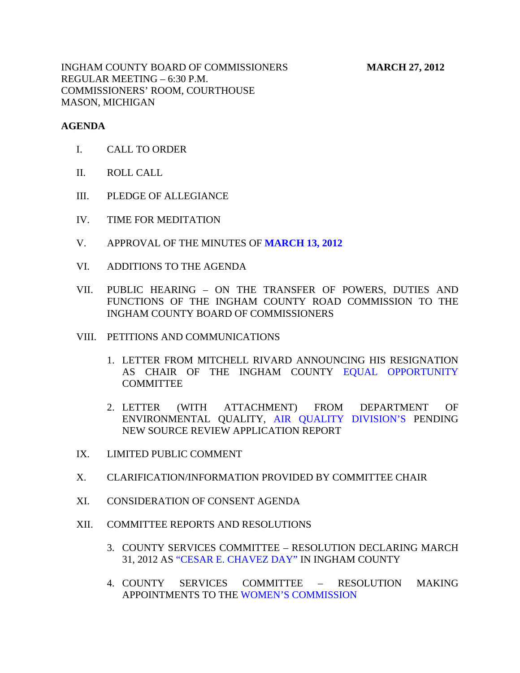INGHAM COUNTY BOARD OF COMMISSIONERS **MARCH 27, 2012** REGULAR MEETING – 6:30 P.M. COMMISSIONERS' ROOM, COURTHOUSE MASON, MICHIGAN

## **AGENDA**

- I. CALL TO ORDER
- II. ROLL CALL
- III. PLEDGE OF ALLEGIANCE
- IV. TIME FOR MEDITATION
- V. APPROVAL OF THE MINUTES OF **[MARCH 13, 2012](#page-3-0)**
- VI. ADDITIONS TO THE AGENDA
- VII. PUBLIC HEARING ON THE TRANSFER OF POWERS, DUTIES AND FUNCTIONS OF THE INGHAM COUNTY ROAD COMMISSION TO THE INGHAM COUNTY BOARD OF COMMISSIONERS
- VIII. PETITIONS AND COMMUNICATIONS
	- 1. LETTER FROM MITCHELL RIVARD ANNOUNCING HIS RESIGNATION AS CHAIR OF THE INGHAM COUNT[Y EQUAL OPPORTUNITY](#page-56-0) **COMMITTEE**
	- 2. LETTER (WITH ATTACHMENT) FROM DEPARTMENT OF ENVIRONMENTAL QUALITY, [AIR QUALITY DIVISION'S PEN](#page-57-0)DING NEW SOURCE REVIEW APPLICATION REPORT
- IX. LIMITED PUBLIC COMMENT
- X. CLARIFICATION/INFORMATION PROVIDED BY COMMITTEE CHAIR
- XI. CONSIDERATION OF CONSENT AGENDA
- XII. COMMITTEE REPORTS AND RESOLUTIONS
	- 3. COUNTY SERVICES COMMITTEE RESOLUTION DECLARING MARCH 31, 2012 [AS "CESAR E. CHAVEZ DAY" IN](#page-59-0) INGHAM COUNTY
	- 4. COUNTY SERVICES COMMITTEE RESOLUTION MAKING APPOINTMENTS TO T[HE WOMEN'S COMMISSION](#page-60-0)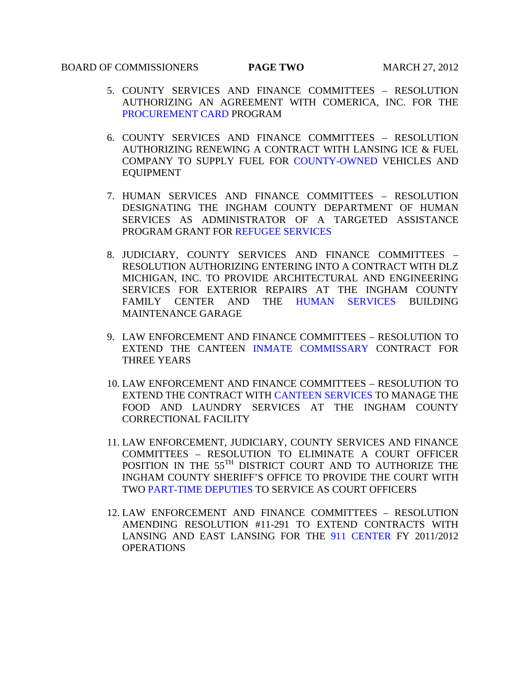## BOARD OF COMMISSIONERS **PAGE TWO** MARCH 27, 2012

- 5. COUNTY SERVICES AND FINANCE COMMITTEES RESOLUTION AUTHORIZING AN AGREEMENT WITH COMERICA, INC. FOR THE [PROCUREMENT CARD](#page-61-0) PROGRAM
- 6. COUNTY SERVICES AND FINANCE COMMITTEES RESOLUTION AUTHORIZING RENEWING A CONTRACT WITH LANSING ICE & FUEL COMPANY TO SUPPLY FUEL FO[R COUNTY-OWNED V](#page-62-0)EHICLES AND EQUIPMENT
- 7. HUMAN SERVICES AND FINANCE COMMITTEES RESOLUTION DESIGNATING THE INGHAM COUNTY DEPARTMENT OF HUMAN SERVICES AS ADMINISTRATOR OF A TARGETED ASSISTANCE PROGRAM GRANT FO[R REFUGEE SERVICES](#page-63-0)
- 8. JUDICIARY, COUNTY SERVICES AND FINANCE COMMITTEES RESOLUTION AUTHORIZING ENTERING INTO A CONTRACT WITH DLZ MICHIGAN, INC. TO PROVIDE ARCHITECTURAL AND ENGINEERING SERVICES FOR EXTERIOR REPAIRS AT THE INGHAM COUNTY FAMILY CENTER AND THE [HUMAN SERVICES](#page-64-0) BUILDING MAINTENANCE GARAGE
- 9. LAW ENFORCEMENT AND FINANCE COMMITTEES RESOLUTION TO EXTEND THE CANTEEN [INMATE COMMISSARY](#page-65-0) CONTRACT FOR THREE YEARS
- 10. LAW ENFORCEMENT AND FINANCE COMMITTEES RESOLUTION TO EXTEND THE CONTRACT WIT[H CANTEEN SERVICES T](#page-66-0)O MANAGE THE FOOD AND LAUNDRY SERVICES AT THE INGHAM COUNTY CORRECTIONAL FACILITY
- 11. LAW ENFORCEMENT, JUDICIARY, COUNTY SERVICES AND FINANCE COMMITTEES – RESOLUTION TO ELIMINATE A COURT OFFICER POSITION IN THE 55<sup>TH</sup> DISTRICT COURT AND TO AUTHORIZE THE INGHAM COUNTY SHERIFF'S OFFICE TO PROVIDE THE COURT WITH TWO [PART-TIME DEPUTIES TO](#page-68-0) SERVICE AS COURT OFFICERS
- 12. LAW ENFORCEMENT AND FINANCE COMMITTEES RESOLUTION AMENDING RESOLUTION #11-291 TO EXTEND CONTRACTS WITH LANSING AND EAST LANSING FOR TH[E 911 CENTER](#page-70-0) FY 2011/2012 **OPERATIONS**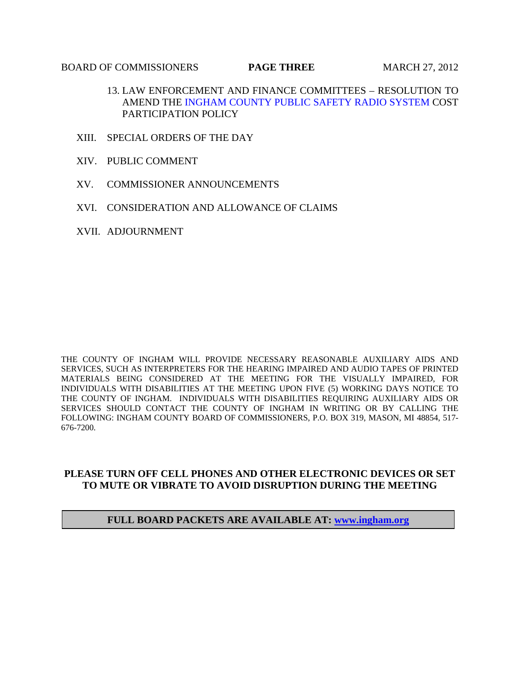## **BOARD OF COMMISSIONERS PAGE THREE** MARCH 27, 2012

- 13. LAW ENFORCEMENT AND FINANCE COMMITTEES RESOLUTION TO AMEND THE [INGHAM COUNTY PUBLIC SAFETY RADIO SYSTEM C](#page-71-0)OST PARTICIPATION POLICY
- XIII. SPECIAL ORDERS OF THE DAY
- XIV. PUBLIC COMMENT
- XV. COMMISSIONER ANNOUNCEMENTS
- XVI. CONSIDERATION AND ALLOWANCE OF CLAIMS
- XVII. ADJOURNMENT

THE COUNTY OF INGHAM WILL PROVIDE NECESSARY REASONABLE AUXILIARY AIDS AND SERVICES, SUCH AS INTERPRETERS FOR THE HEARING IMPAIRED AND AUDIO TAPES OF PRINTED MATERIALS BEING CONSIDERED AT THE MEETING FOR THE VISUALLY IMPAIRED, FOR INDIVIDUALS WITH DISABILITIES AT THE MEETING UPON FIVE (5) WORKING DAYS NOTICE TO THE COUNTY OF INGHAM. INDIVIDUALS WITH DISABILITIES REQUIRING AUXILIARY AIDS OR SERVICES SHOULD CONTACT THE COUNTY OF INGHAM IN WRITING OR BY CALLING THE FOLLOWING: INGHAM COUNTY BOARD OF COMMISSIONERS, P.O. BOX 319, MASON, MI 48854, 517- 676-7200.

## **PLEASE TURN OFF CELL PHONES AND OTHER ELECTRONIC DEVICES OR SET TO MUTE OR VIBRATE TO AVOID DISRUPTION DURING THE MEETING**

## **FULL BOARD PACKETS ARE AVAILABLE AT: www.ingham.org**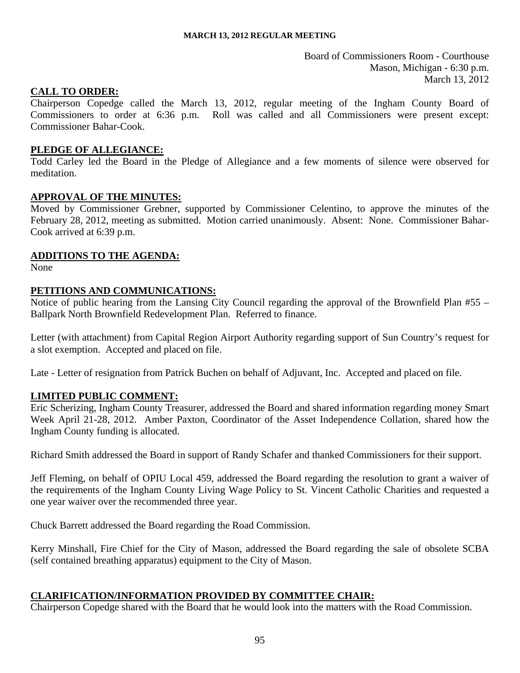Board of Commissioners Room - Courthouse Mason, Michigan - 6:30 p.m. March 13, 2012

## <span id="page-3-0"></span>**CALL TO ORDER:**

Chairperson Copedge called the March 13, 2012, regular meeting of the Ingham County Board of Commissioners to order at 6:36 p.m. Roll was called and all Commissioners were present except: Commissioner Bahar-Cook.

## **PLEDGE OF ALLEGIANCE:**

Todd Carley led the Board in the Pledge of Allegiance and a few moments of silence were observed for meditation.

## **APPROVAL OF THE MINUTES:**

Moved by Commissioner Grebner, supported by Commissioner Celentino, to approve the minutes of the February 28, 2012, meeting as submitted. Motion carried unanimously. Absent: None. Commissioner Bahar-Cook arrived at 6:39 p.m.

## **ADDITIONS TO THE AGENDA:**

None

## **PETITIONS AND COMMUNICATIONS:**

Notice of public hearing from the Lansing City Council regarding the approval of the Brownfield Plan #55 – Ballpark North Brownfield Redevelopment Plan. Referred to finance.

Letter (with attachment) from Capital Region Airport Authority regarding support of Sun Country's request for a slot exemption. Accepted and placed on file.

Late - Letter of resignation from Patrick Buchen on behalf of Adjuvant, Inc. Accepted and placed on file.

## **LIMITED PUBLIC COMMENT:**

Eric Scherizing, Ingham County Treasurer, addressed the Board and shared information regarding money Smart Week April 21-28, 2012. Amber Paxton, Coordinator of the Asset Independence Collation, shared how the Ingham County funding is allocated.

Richard Smith addressed the Board in support of Randy Schafer and thanked Commissioners for their support.

Jeff Fleming, on behalf of OPIU Local 459, addressed the Board regarding the resolution to grant a waiver of the requirements of the Ingham County Living Wage Policy to St. Vincent Catholic Charities and requested a one year waiver over the recommended three year.

Chuck Barrett addressed the Board regarding the Road Commission.

Kerry Minshall, Fire Chief for the City of Mason, addressed the Board regarding the sale of obsolete SCBA (self contained breathing apparatus) equipment to the City of Mason.

## **CLARIFICATION/INFORMATION PROVIDED BY COMMITTEE CHAIR:**

Chairperson Copedge shared with the Board that he would look into the matters with the Road Commission.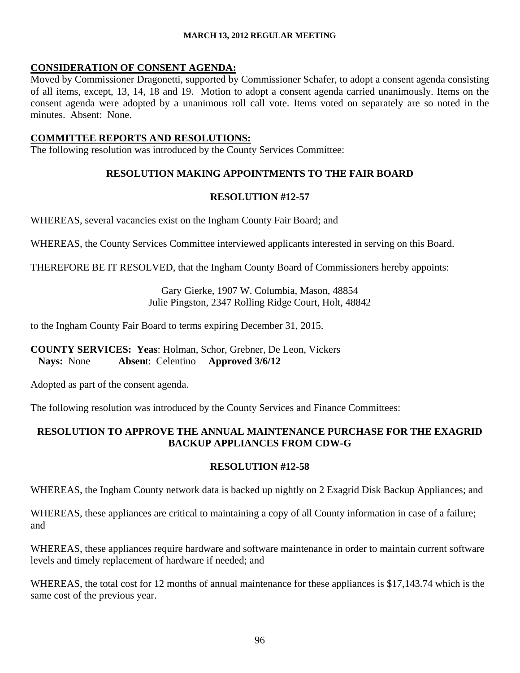## **CONSIDERATION OF CONSENT AGENDA:**

Moved by Commissioner Dragonetti, supported by Commissioner Schafer, to adopt a consent agenda consisting of all items, except, 13, 14, 18 and 19. Motion to adopt a consent agenda carried unanimously. Items on the consent agenda were adopted by a unanimous roll call vote. Items voted on separately are so noted in the minutes. Absent: None.

## **COMMITTEE REPORTS AND RESOLUTIONS:**

The following resolution was introduced by the County Services Committee:

# **RESOLUTION MAKING APPOINTMENTS TO THE FAIR BOARD**

## **RESOLUTION #12-57**

WHEREAS, several vacancies exist on the Ingham County Fair Board; and

WHEREAS, the County Services Committee interviewed applicants interested in serving on this Board.

THEREFORE BE IT RESOLVED, that the Ingham County Board of Commissioners hereby appoints:

Gary Gierke, 1907 W. Columbia, Mason, 48854 Julie Pingston, 2347 Rolling Ridge Court, Holt, 48842

to the Ingham County Fair Board to terms expiring December 31, 2015.

## **COUNTY SERVICES: Yeas**: Holman, Schor, Grebner, De Leon, Vickers **Nays:** None **Absen**t: Celentino **Approved 3/6/12**

Adopted as part of the consent agenda.

The following resolution was introduced by the County Services and Finance Committees:

# **RESOLUTION TO APPROVE THE ANNUAL MAINTENANCE PURCHASE FOR THE EXAGRID BACKUP APPLIANCES FROM CDW-G**

## **RESOLUTION #12-58**

WHEREAS, the Ingham County network data is backed up nightly on 2 Exagrid Disk Backup Appliances; and

WHEREAS, these appliances are critical to maintaining a copy of all County information in case of a failure; and

WHEREAS, these appliances require hardware and software maintenance in order to maintain current software levels and timely replacement of hardware if needed; and

WHEREAS, the total cost for 12 months of annual maintenance for these appliances is \$17,143.74 which is the same cost of the previous year.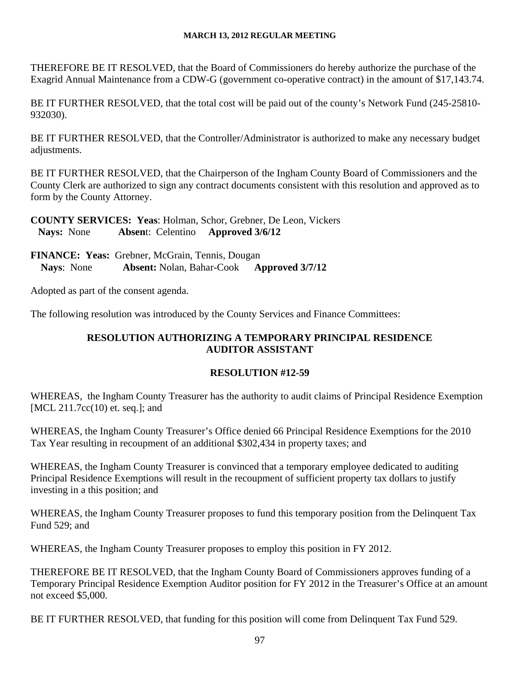THEREFORE BE IT RESOLVED, that the Board of Commissioners do hereby authorize the purchase of the Exagrid Annual Maintenance from a CDW-G (government co-operative contract) in the amount of \$17,143.74.

BE IT FURTHER RESOLVED, that the total cost will be paid out of the county's Network Fund (245-25810- 932030).

BE IT FURTHER RESOLVED, that the Controller/Administrator is authorized to make any necessary budget adjustments.

BE IT FURTHER RESOLVED, that the Chairperson of the Ingham County Board of Commissioners and the County Clerk are authorized to sign any contract documents consistent with this resolution and approved as to form by the County Attorney.

**COUNTY SERVICES: Yeas**: Holman, Schor, Grebner, De Leon, Vickers **Nays:** None **Absen**t: Celentino **Approved 3/6/12**

**FINANCE: Yeas:** Grebner, McGrain, Tennis, Dougan **Nays**: None **Absent:** Nolan, Bahar-Cook **Approved 3/7/12** 

Adopted as part of the consent agenda.

The following resolution was introduced by the County Services and Finance Committees:

# **RESOLUTION AUTHORIZING A TEMPORARY PRINCIPAL RESIDENCE AUDITOR ASSISTANT**

# **RESOLUTION #12-59**

WHEREAS, the Ingham County Treasurer has the authority to audit claims of Principal Residence Exemption [MCL 211.7cc(10) et. seq.]; and

WHEREAS, the Ingham County Treasurer's Office denied 66 Principal Residence Exemptions for the 2010 Tax Year resulting in recoupment of an additional \$302,434 in property taxes; and

WHEREAS, the Ingham County Treasurer is convinced that a temporary employee dedicated to auditing Principal Residence Exemptions will result in the recoupment of sufficient property tax dollars to justify investing in a this position; and

WHEREAS, the Ingham County Treasurer proposes to fund this temporary position from the Delinquent Tax Fund 529; and

WHEREAS, the Ingham County Treasurer proposes to employ this position in FY 2012.

THEREFORE BE IT RESOLVED, that the Ingham County Board of Commissioners approves funding of a Temporary Principal Residence Exemption Auditor position for FY 2012 in the Treasurer's Office at an amount not exceed \$5,000.

BE IT FURTHER RESOLVED, that funding for this position will come from Delinquent Tax Fund 529.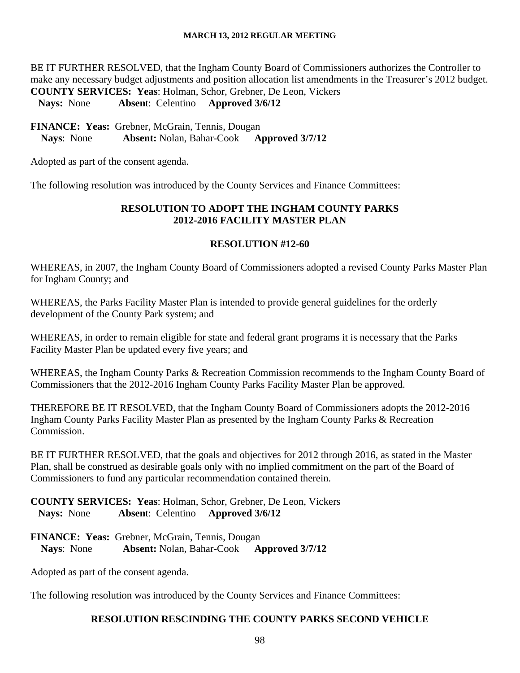BE IT FURTHER RESOLVED, that the Ingham County Board of Commissioners authorizes the Controller to make any necessary budget adjustments and position allocation list amendments in the Treasurer's 2012 budget. **COUNTY SERVICES: Yeas**: Holman, Schor, Grebner, De Leon, Vickers **Nays:** None **Absen**t: Celentino **Approved 3/6/12**

**FINANCE: Yeas:** Grebner, McGrain, Tennis, Dougan **Nays**: None **Absent:** Nolan, Bahar-Cook **Approved 3/7/12** 

Adopted as part of the consent agenda.

The following resolution was introduced by the County Services and Finance Committees:

## **RESOLUTION TO ADOPT THE INGHAM COUNTY PARKS 2012-2016 FACILITY MASTER PLAN**

## **RESOLUTION #12-60**

WHEREAS, in 2007, the Ingham County Board of Commissioners adopted a revised County Parks Master Plan for Ingham County; and

WHEREAS, the Parks Facility Master Plan is intended to provide general guidelines for the orderly development of the County Park system; and

WHEREAS, in order to remain eligible for state and federal grant programs it is necessary that the Parks Facility Master Plan be updated every five years; and

WHEREAS, the Ingham County Parks & Recreation Commission recommends to the Ingham County Board of Commissioners that the 2012-2016 Ingham County Parks Facility Master Plan be approved.

THEREFORE BE IT RESOLVED, that the Ingham County Board of Commissioners adopts the 2012-2016 Ingham County Parks Facility Master Plan as presented by the Ingham County Parks & Recreation Commission.

BE IT FURTHER RESOLVED, that the goals and objectives for 2012 through 2016, as stated in the Master Plan, shall be construed as desirable goals only with no implied commitment on the part of the Board of Commissioners to fund any particular recommendation contained therein.

**COUNTY SERVICES: Yeas**: Holman, Schor, Grebner, De Leon, Vickers **Nays:** None **Absen**t: Celentino **Approved 3/6/12**

**FINANCE: Yeas:** Grebner, McGrain, Tennis, Dougan **Nays**: None **Absent:** Nolan, Bahar-Cook **Approved 3/7/12** 

Adopted as part of the consent agenda.

The following resolution was introduced by the County Services and Finance Committees:

## **RESOLUTION RESCINDING THE COUNTY PARKS SECOND VEHICLE**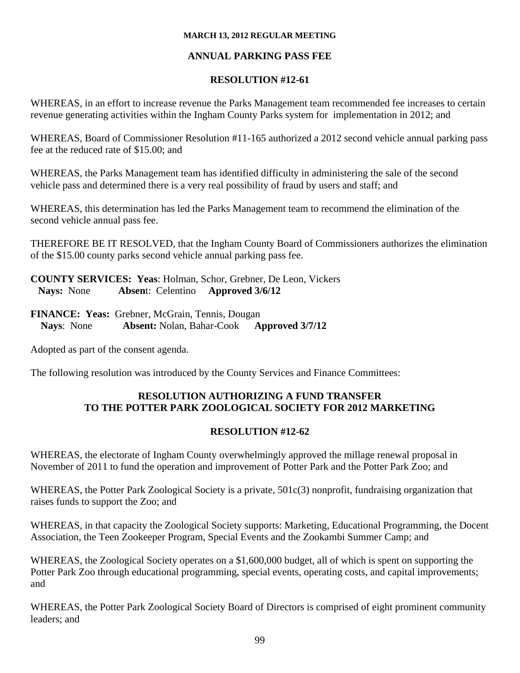# **ANNUAL PARKING PASS FEE**

# **RESOLUTION #12-61**

WHEREAS, in an effort to increase revenue the Parks Management team recommended fee increases to certain revenue generating activities within the Ingham County Parks system for implementation in 2012; and

WHEREAS, Board of Commissioner Resolution #11-165 authorized a 2012 second vehicle annual parking pass fee at the reduced rate of \$15.00; and

WHEREAS, the Parks Management team has identified difficulty in administering the sale of the second vehicle pass and determined there is a very real possibility of fraud by users and staff; and

WHEREAS, this determination has led the Parks Management team to recommend the elimination of the second vehicle annual pass fee.

THEREFORE BE IT RESOLVED, that the Ingham County Board of Commissioners authorizes the elimination of the \$15.00 county parks second vehicle annual parking pass fee.

**COUNTY SERVICES: Yeas**: Holman, Schor, Grebner, De Leon, Vickers **Nays:** None **Absen**t: Celentino **Approved 3/6/12**

**FINANCE: Yeas:** Grebner, McGrain, Tennis, Dougan **Nays**: None **Absent:** Nolan, Bahar-Cook **Approved 3/7/12** 

Adopted as part of the consent agenda.

The following resolution was introduced by the County Services and Finance Committees:

# **RESOLUTION AUTHORIZING A FUND TRANSFER TO THE POTTER PARK ZOOLOGICAL SOCIETY FOR 2012 MARKETING**

# **RESOLUTION #12-62**

WHEREAS, the electorate of Ingham County overwhelmingly approved the millage renewal proposal in November of 2011 to fund the operation and improvement of Potter Park and the Potter Park Zoo; and

WHEREAS, the Potter Park Zoological Society is a private, 501c(3) nonprofit, fundraising organization that raises funds to support the Zoo; and

WHEREAS, in that capacity the Zoological Society supports: Marketing, Educational Programming, the Docent Association, the Teen Zookeeper Program, Special Events and the Zookambi Summer Camp; and

WHEREAS, the Zoological Society operates on a \$1,600,000 budget, all of which is spent on supporting the Potter Park Zoo through educational programming, special events, operating costs, and capital improvements; and

WHEREAS, the Potter Park Zoological Society Board of Directors is comprised of eight prominent community leaders; and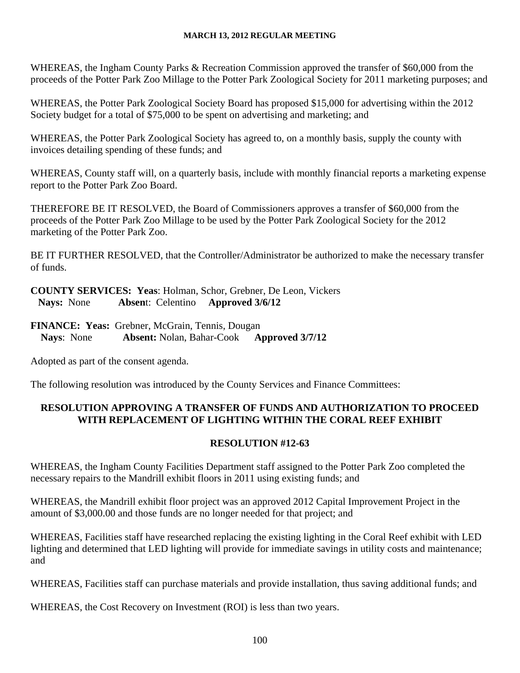WHEREAS, the Ingham County Parks & Recreation Commission approved the transfer of \$60,000 from the proceeds of the Potter Park Zoo Millage to the Potter Park Zoological Society for 2011 marketing purposes; and

WHEREAS, the Potter Park Zoological Society Board has proposed \$15,000 for advertising within the 2012 Society budget for a total of \$75,000 to be spent on advertising and marketing; and

WHEREAS, the Potter Park Zoological Society has agreed to, on a monthly basis, supply the county with invoices detailing spending of these funds; and

WHEREAS, County staff will, on a quarterly basis, include with monthly financial reports a marketing expense report to the Potter Park Zoo Board.

THEREFORE BE IT RESOLVED, the Board of Commissioners approves a transfer of \$60,000 from the proceeds of the Potter Park Zoo Millage to be used by the Potter Park Zoological Society for the 2012 marketing of the Potter Park Zoo.

BE IT FURTHER RESOLVED, that the Controller/Administrator be authorized to make the necessary transfer of funds.

**COUNTY SERVICES: Yeas**: Holman, Schor, Grebner, De Leon, Vickers **Nays:** None **Absen**t: Celentino **Approved 3/6/12**

**FINANCE: Yeas:** Grebner, McGrain, Tennis, Dougan **Nays**: None **Absent:** Nolan, Bahar-Cook **Approved 3/7/12** 

Adopted as part of the consent agenda.

The following resolution was introduced by the County Services and Finance Committees:

# **RESOLUTION APPROVING A TRANSFER OF FUNDS AND AUTHORIZATION TO PROCEED WITH REPLACEMENT OF LIGHTING WITHIN THE CORAL REEF EXHIBIT**

# **RESOLUTION #12-63**

WHEREAS, the Ingham County Facilities Department staff assigned to the Potter Park Zoo completed the necessary repairs to the Mandrill exhibit floors in 2011 using existing funds; and

WHEREAS, the Mandrill exhibit floor project was an approved 2012 Capital Improvement Project in the amount of \$3,000.00 and those funds are no longer needed for that project; and

WHEREAS, Facilities staff have researched replacing the existing lighting in the Coral Reef exhibit with LED lighting and determined that LED lighting will provide for immediate savings in utility costs and maintenance; and

WHEREAS, Facilities staff can purchase materials and provide installation, thus saving additional funds; and

WHEREAS, the Cost Recovery on Investment (ROI) is less than two years.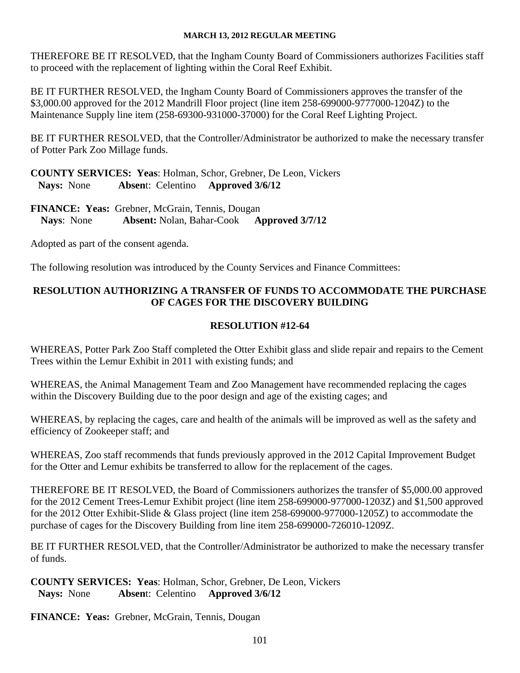THEREFORE BE IT RESOLVED, that the Ingham County Board of Commissioners authorizes Facilities staff to proceed with the replacement of lighting within the Coral Reef Exhibit.

BE IT FURTHER RESOLVED, the Ingham County Board of Commissioners approves the transfer of the \$3,000.00 approved for the 2012 Mandrill Floor project (line item 258-699000-9777000-1204Z) to the Maintenance Supply line item (258-69300-931000-37000) for the Coral Reef Lighting Project.

BE IT FURTHER RESOLVED, that the Controller/Administrator be authorized to make the necessary transfer of Potter Park Zoo Millage funds.

**COUNTY SERVICES: Yeas**: Holman, Schor, Grebner, De Leon, Vickers **Nays:** None **Absen**t: Celentino **Approved 3/6/12**

**FINANCE: Yeas:** Grebner, McGrain, Tennis, Dougan **Nays**: None **Absent:** Nolan, Bahar-Cook **Approved 3/7/12** 

Adopted as part of the consent agenda.

The following resolution was introduced by the County Services and Finance Committees:

# **RESOLUTION AUTHORIZING A TRANSFER OF FUNDS TO ACCOMMODATE THE PURCHASE OF CAGES FOR THE DISCOVERY BUILDING**

# **RESOLUTION #12-64**

WHEREAS, Potter Park Zoo Staff completed the Otter Exhibit glass and slide repair and repairs to the Cement Trees within the Lemur Exhibit in 2011 with existing funds; and

WHEREAS, the Animal Management Team and Zoo Management have recommended replacing the cages within the Discovery Building due to the poor design and age of the existing cages; and

WHEREAS, by replacing the cages, care and health of the animals will be improved as well as the safety and efficiency of Zookeeper staff; and

WHEREAS, Zoo staff recommends that funds previously approved in the 2012 Capital Improvement Budget for the Otter and Lemur exhibits be transferred to allow for the replacement of the cages.

THEREFORE BE IT RESOLVED, the Board of Commissioners authorizes the transfer of \$5,000.00 approved for the 2012 Cement Trees-Lemur Exhibit project (line item 258-699000-977000-1203Z) and \$1,500 approved for the 2012 Otter Exhibit-Slide & Glass project (line item 258-699000-977000-1205Z) to accommodate the purchase of cages for the Discovery Building from line item 258-699000-726010-1209Z.

BE IT FURTHER RESOLVED, that the Controller/Administrator be authorized to make the necessary transfer of funds.

**COUNTY SERVICES: Yeas**: Holman, Schor, Grebner, De Leon, Vickers **Nays:** None **Absen**t: Celentino **Approved 3/6/12**

**FINANCE: Yeas:** Grebner, McGrain, Tennis, Dougan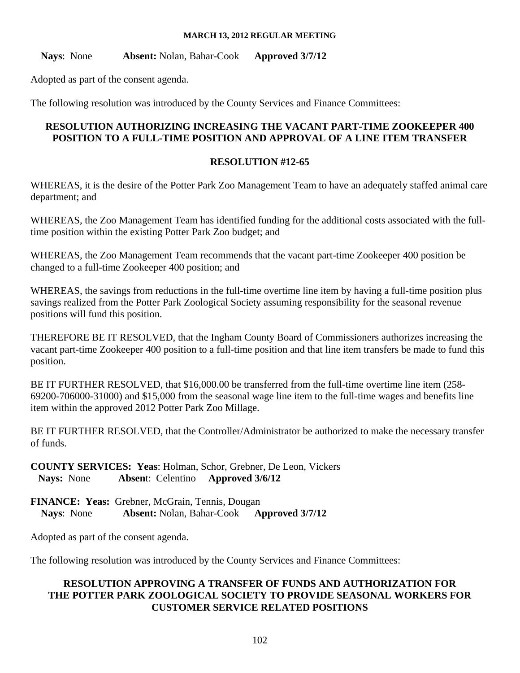**Nays**: None **Absent:** Nolan, Bahar-Cook **Approved 3/7/12** 

Adopted as part of the consent agenda.

The following resolution was introduced by the County Services and Finance Committees:

## **RESOLUTION AUTHORIZING INCREASING THE VACANT PART-TIME ZOOKEEPER 400 POSITION TO A FULL-TIME POSITION AND APPROVAL OF A LINE ITEM TRANSFER**

## **RESOLUTION #12-65**

WHEREAS, it is the desire of the Potter Park Zoo Management Team to have an adequately staffed animal care department; and

WHEREAS, the Zoo Management Team has identified funding for the additional costs associated with the fulltime position within the existing Potter Park Zoo budget; and

WHEREAS, the Zoo Management Team recommends that the vacant part-time Zookeeper 400 position be changed to a full-time Zookeeper 400 position; and

WHEREAS, the savings from reductions in the full-time overtime line item by having a full-time position plus savings realized from the Potter Park Zoological Society assuming responsibility for the seasonal revenue positions will fund this position.

THEREFORE BE IT RESOLVED, that the Ingham County Board of Commissioners authorizes increasing the vacant part-time Zookeeper 400 position to a full-time position and that line item transfers be made to fund this position.

BE IT FURTHER RESOLVED, that \$16,000.00 be transferred from the full-time overtime line item (258- 69200-706000-31000) and \$15,000 from the seasonal wage line item to the full-time wages and benefits line item within the approved 2012 Potter Park Zoo Millage.

BE IT FURTHER RESOLVED, that the Controller/Administrator be authorized to make the necessary transfer of funds.

**COUNTY SERVICES: Yeas**: Holman, Schor, Grebner, De Leon, Vickers **Nays:** None **Absen**t: Celentino **Approved 3/6/12**

**FINANCE: Yeas:** Grebner, McGrain, Tennis, Dougan **Nays**: None **Absent:** Nolan, Bahar-Cook **Approved 3/7/12** 

Adopted as part of the consent agenda.

The following resolution was introduced by the County Services and Finance Committees:

# **RESOLUTION APPROVING A TRANSFER OF FUNDS AND AUTHORIZATION FOR THE POTTER PARK ZOOLOGICAL SOCIETY TO PROVIDE SEASONAL WORKERS FOR CUSTOMER SERVICE RELATED POSITIONS**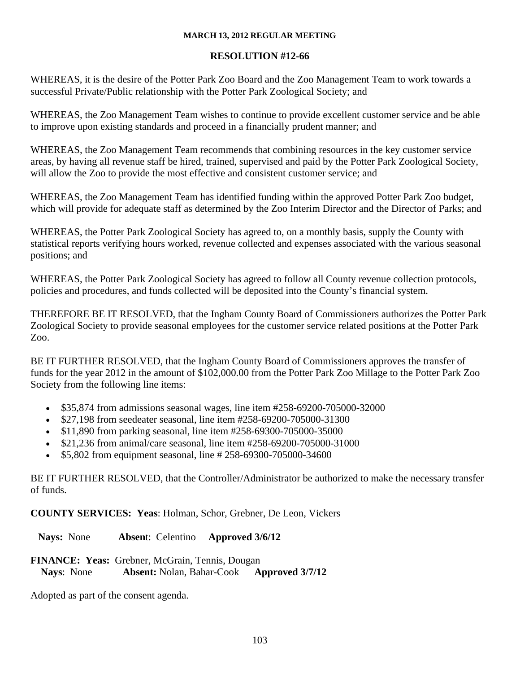# **RESOLUTION #12-66**

WHEREAS, it is the desire of the Potter Park Zoo Board and the Zoo Management Team to work towards a successful Private/Public relationship with the Potter Park Zoological Society; and

WHEREAS, the Zoo Management Team wishes to continue to provide excellent customer service and be able to improve upon existing standards and proceed in a financially prudent manner; and

WHEREAS, the Zoo Management Team recommends that combining resources in the key customer service areas, by having all revenue staff be hired, trained, supervised and paid by the Potter Park Zoological Society, will allow the Zoo to provide the most effective and consistent customer service; and

WHEREAS, the Zoo Management Team has identified funding within the approved Potter Park Zoo budget, which will provide for adequate staff as determined by the Zoo Interim Director and the Director of Parks; and

WHEREAS, the Potter Park Zoological Society has agreed to, on a monthly basis, supply the County with statistical reports verifying hours worked, revenue collected and expenses associated with the various seasonal positions; and

WHEREAS, the Potter Park Zoological Society has agreed to follow all County revenue collection protocols, policies and procedures, and funds collected will be deposited into the County's financial system.

THEREFORE BE IT RESOLVED, that the Ingham County Board of Commissioners authorizes the Potter Park Zoological Society to provide seasonal employees for the customer service related positions at the Potter Park Zoo.

BE IT FURTHER RESOLVED, that the Ingham County Board of Commissioners approves the transfer of funds for the year 2012 in the amount of \$102,000.00 from the Potter Park Zoo Millage to the Potter Park Zoo Society from the following line items:

- \$35,874 from admissions seasonal wages, line item #258-69200-705000-32000
- \$27,198 from seedeater seasonal, line item #258-69200-705000-31300
- \$11,890 from parking seasonal, line item #258-69300-705000-35000
- \$21,236 from animal/care seasonal, line item #258-69200-705000-31000
- \$5,802 from equipment seasonal, line # 258-69300-705000-34600

BE IT FURTHER RESOLVED, that the Controller/Administrator be authorized to make the necessary transfer of funds.

**COUNTY SERVICES: Yeas**: Holman, Schor, Grebner, De Leon, Vickers

**Nays:** None **Absen**t: Celentino **Approved 3/6/12**

**FINANCE: Yeas:** Grebner, McGrain, Tennis, Dougan **Nays**: None **Absent:** Nolan, Bahar-Cook **Approved 3/7/12** 

Adopted as part of the consent agenda.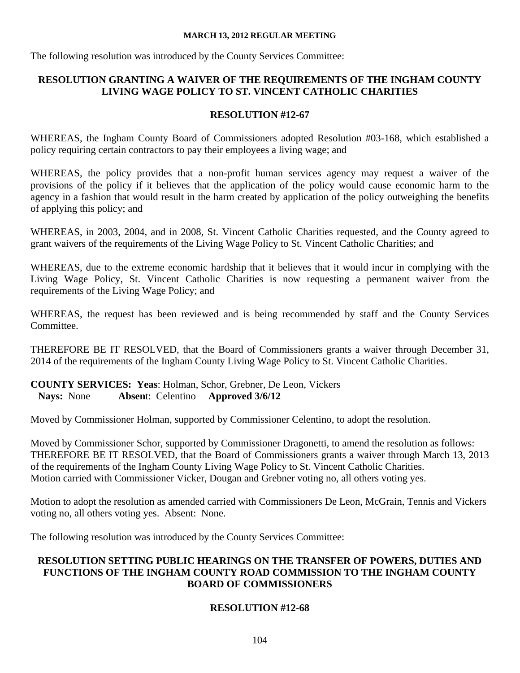The following resolution was introduced by the County Services Committee:

# **RESOLUTION GRANTING A WAIVER OF THE REQUIREMENTS OF THE INGHAM COUNTY LIVING WAGE POLICY TO ST. VINCENT CATHOLIC CHARITIES**

# **RESOLUTION #12-67**

WHEREAS, the Ingham County Board of Commissioners adopted Resolution #03-168, which established a policy requiring certain contractors to pay their employees a living wage; and

WHEREAS, the policy provides that a non-profit human services agency may request a waiver of the provisions of the policy if it believes that the application of the policy would cause economic harm to the agency in a fashion that would result in the harm created by application of the policy outweighing the benefits of applying this policy; and

WHEREAS, in 2003, 2004, and in 2008, St. Vincent Catholic Charities requested, and the County agreed to grant waivers of the requirements of the Living Wage Policy to St. Vincent Catholic Charities; and

WHEREAS, due to the extreme economic hardship that it believes that it would incur in complying with the Living Wage Policy, St. Vincent Catholic Charities is now requesting a permanent waiver from the requirements of the Living Wage Policy; and

WHEREAS, the request has been reviewed and is being recommended by staff and the County Services Committee.

THEREFORE BE IT RESOLVED, that the Board of Commissioners grants a waiver through December 31, 2014 of the requirements of the Ingham County Living Wage Policy to St. Vincent Catholic Charities.

**COUNTY SERVICES: Yeas**: Holman, Schor, Grebner, De Leon, Vickers **Nays:** None **Absen**t: Celentino **Approved 3/6/12**

Moved by Commissioner Holman, supported by Commissioner Celentino, to adopt the resolution.

Moved by Commissioner Schor, supported by Commissioner Dragonetti, to amend the resolution as follows: THEREFORE BE IT RESOLVED, that the Board of Commissioners grants a waiver through March 13, 2013 of the requirements of the Ingham County Living Wage Policy to St. Vincent Catholic Charities. Motion carried with Commissioner Vicker, Dougan and Grebner voting no, all others voting yes.

Motion to adopt the resolution as amended carried with Commissioners De Leon, McGrain, Tennis and Vickers voting no, all others voting yes. Absent: None.

The following resolution was introduced by the County Services Committee:

# **RESOLUTION SETTING PUBLIC HEARINGS ON THE TRANSFER OF POWERS, DUTIES AND FUNCTIONS OF THE INGHAM COUNTY ROAD COMMISSION TO THE INGHAM COUNTY BOARD OF COMMISSIONERS**

# **RESOLUTION #12-68**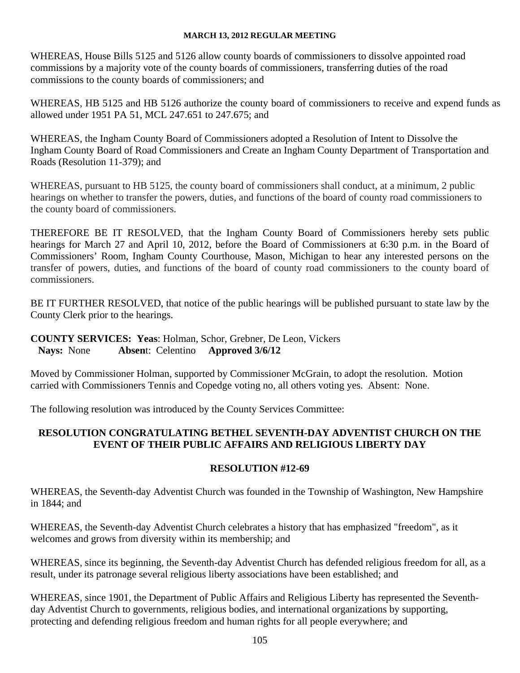WHEREAS, House Bills 5125 and 5126 allow county boards of commissioners to dissolve appointed road commissions by a majority vote of the county boards of commissioners, transferring duties of the road commissions to the county boards of commissioners; and

WHEREAS, HB 5125 and HB 5126 authorize the county board of commissioners to receive and expend funds as allowed under 1951 PA 51, MCL 247.651 to 247.675; and

WHEREAS, the Ingham County Board of Commissioners adopted a Resolution of Intent to Dissolve the Ingham County Board of Road Commissioners and Create an Ingham County Department of Transportation and Roads (Resolution 11-379); and

WHEREAS, pursuant to HB 5125, the county board of commissioners shall conduct, at a minimum, 2 public hearings on whether to transfer the powers, duties, and functions of the board of county road commissioners to the county board of commissioners.

THEREFORE BE IT RESOLVED, that the Ingham County Board of Commissioners hereby sets public hearings for March 27 and April 10, 2012, before the Board of Commissioners at 6:30 p.m. in the Board of Commissioners' Room, Ingham County Courthouse, Mason, Michigan to hear any interested persons on the transfer of powers, duties, and functions of the board of county road commissioners to the county board of commissioners.

BE IT FURTHER RESOLVED, that notice of the public hearings will be published pursuant to state law by the County Clerk prior to the hearings.

# **COUNTY SERVICES: Yeas**: Holman, Schor, Grebner, De Leon, Vickers **Nays:** None **Absen**t: Celentino **Approved 3/6/12**

Moved by Commissioner Holman, supported by Commissioner McGrain, to adopt the resolution. Motion carried with Commissioners Tennis and Copedge voting no, all others voting yes. Absent: None.

The following resolution was introduced by the County Services Committee:

# **RESOLUTION CONGRATULATING BETHEL SEVENTH-DAY ADVENTIST CHURCH ON THE EVENT OF THEIR PUBLIC AFFAIRS AND RELIGIOUS LIBERTY DAY**

# **RESOLUTION #12-69**

WHEREAS, the Seventh-day Adventist Church was founded in the Township of Washington, New Hampshire in 1844; and

WHEREAS, the Seventh-day Adventist Church celebrates a history that has emphasized "freedom", as it welcomes and grows from diversity within its membership; and

WHEREAS, since its beginning, the Seventh-day Adventist Church has defended religious freedom for all, as a result, under its patronage several religious liberty associations have been established; and

WHEREAS, since 1901, the Department of Public Affairs and Religious Liberty has represented the Seventhday Adventist Church to governments, religious bodies, and international organizations by supporting, protecting and defending religious freedom and human rights for all people everywhere; and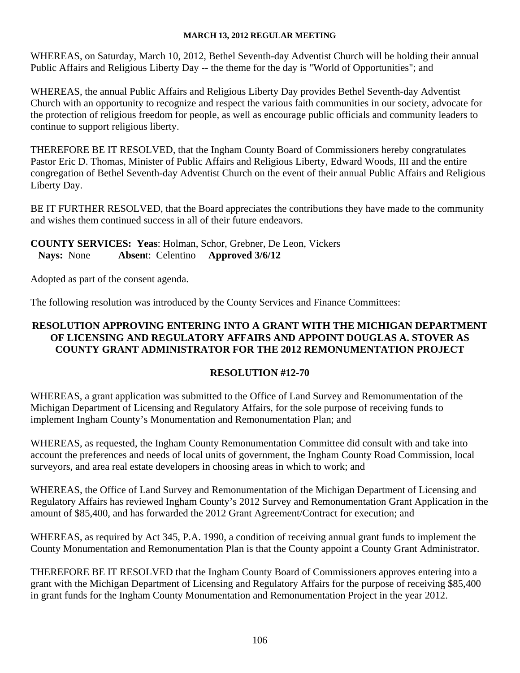WHEREAS, on Saturday, March 10, 2012, Bethel Seventh-day Adventist Church will be holding their annual Public Affairs and Religious Liberty Day -- the theme for the day is "World of Opportunities"; and

WHEREAS, the annual Public Affairs and Religious Liberty Day provides Bethel Seventh-day Adventist Church with an opportunity to recognize and respect the various faith communities in our society, advocate for the protection of religious freedom for people, as well as encourage public officials and community leaders to continue to support religious liberty.

THEREFORE BE IT RESOLVED, that the Ingham County Board of Commissioners hereby congratulates Pastor Eric D. Thomas, Minister of Public Affairs and Religious Liberty, Edward Woods, III and the entire congregation of Bethel Seventh-day Adventist Church on the event of their annual Public Affairs and Religious Liberty Day.

BE IT FURTHER RESOLVED, that the Board appreciates the contributions they have made to the community and wishes them continued success in all of their future endeavors.

# **COUNTY SERVICES: Yeas**: Holman, Schor, Grebner, De Leon, Vickers **Nays:** None **Absen**t: Celentino **Approved 3/6/12**

Adopted as part of the consent agenda.

The following resolution was introduced by the County Services and Finance Committees:

# **RESOLUTION APPROVING ENTERING INTO A GRANT WITH THE MICHIGAN DEPARTMENT OF LICENSING AND REGULATORY AFFAIRS AND APPOINT DOUGLAS A. STOVER AS COUNTY GRANT ADMINISTRATOR FOR THE 2012 REMONUMENTATION PROJECT**

# **RESOLUTION #12-70**

WHEREAS, a grant application was submitted to the Office of Land Survey and Remonumentation of the Michigan Department of Licensing and Regulatory Affairs, for the sole purpose of receiving funds to implement Ingham County's Monumentation and Remonumentation Plan; and

WHEREAS, as requested, the Ingham County Remonumentation Committee did consult with and take into account the preferences and needs of local units of government, the Ingham County Road Commission, local surveyors, and area real estate developers in choosing areas in which to work; and

WHEREAS, the Office of Land Survey and Remonumentation of the Michigan Department of Licensing and Regulatory Affairs has reviewed Ingham County's 2012 Survey and Remonumentation Grant Application in the amount of \$85,400, and has forwarded the 2012 Grant Agreement/Contract for execution; and

WHEREAS, as required by Act 345, P.A. 1990, a condition of receiving annual grant funds to implement the County Monumentation and Remonumentation Plan is that the County appoint a County Grant Administrator.

THEREFORE BE IT RESOLVED that the Ingham County Board of Commissioners approves entering into a grant with the Michigan Department of Licensing and Regulatory Affairs for the purpose of receiving \$85,400 in grant funds for the Ingham County Monumentation and Remonumentation Project in the year 2012.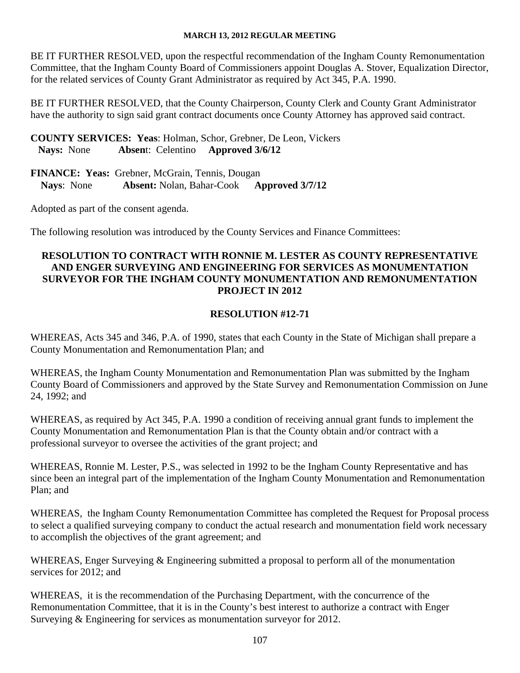BE IT FURTHER RESOLVED, upon the respectful recommendation of the Ingham County Remonumentation Committee, that the Ingham County Board of Commissioners appoint Douglas A. Stover, Equalization Director, for the related services of County Grant Administrator as required by Act 345, P.A. 1990.

BE IT FURTHER RESOLVED, that the County Chairperson, County Clerk and County Grant Administrator have the authority to sign said grant contract documents once County Attorney has approved said contract.

**COUNTY SERVICES: Yeas**: Holman, Schor, Grebner, De Leon, Vickers **Nays:** None **Absen**t: Celentino **Approved 3/6/12**

**FINANCE: Yeas:** Grebner, McGrain, Tennis, Dougan **Nays**: None **Absent:** Nolan, Bahar-Cook **Approved 3/7/12** 

Adopted as part of the consent agenda.

The following resolution was introduced by the County Services and Finance Committees:

# **RESOLUTION TO CONTRACT WITH RONNIE M. LESTER AS COUNTY REPRESENTATIVE AND ENGER SURVEYING AND ENGINEERING FOR SERVICES AS MONUMENTATION SURVEYOR FOR THE INGHAM COUNTY MONUMENTATION AND REMONUMENTATION PROJECT IN 2012**

# **RESOLUTION #12-71**

WHEREAS, Acts 345 and 346, P.A. of 1990, states that each County in the State of Michigan shall prepare a County Monumentation and Remonumentation Plan; and

WHEREAS, the Ingham County Monumentation and Remonumentation Plan was submitted by the Ingham County Board of Commissioners and approved by the State Survey and Remonumentation Commission on June 24, 1992; and

WHEREAS, as required by Act 345, P.A. 1990 a condition of receiving annual grant funds to implement the County Monumentation and Remonumentation Plan is that the County obtain and/or contract with a professional surveyor to oversee the activities of the grant project; and

WHEREAS, Ronnie M. Lester, P.S., was selected in 1992 to be the Ingham County Representative and has since been an integral part of the implementation of the Ingham County Monumentation and Remonumentation Plan; and

WHEREAS, the Ingham County Remonumentation Committee has completed the Request for Proposal process to select a qualified surveying company to conduct the actual research and monumentation field work necessary to accomplish the objectives of the grant agreement; and

WHEREAS, Enger Surveying & Engineering submitted a proposal to perform all of the monumentation services for 2012; and

WHEREAS, it is the recommendation of the Purchasing Department, with the concurrence of the Remonumentation Committee, that it is in the County's best interest to authorize a contract with Enger Surveying & Engineering for services as monumentation surveyor for 2012.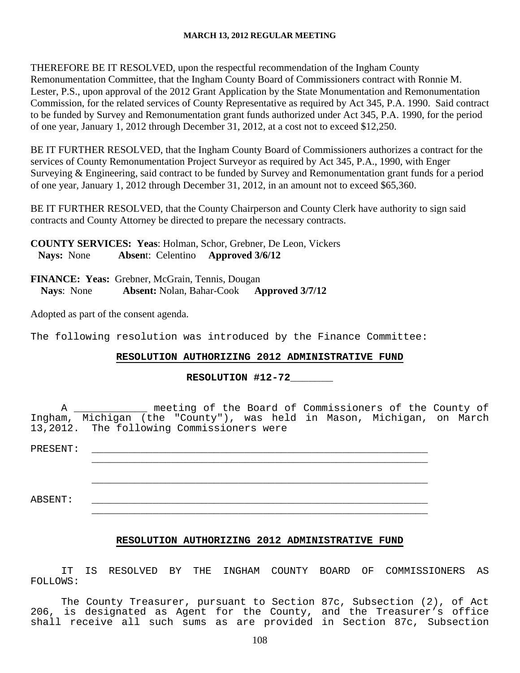THEREFORE BE IT RESOLVED, upon the respectful recommendation of the Ingham County Remonumentation Committee, that the Ingham County Board of Commissioners contract with Ronnie M. Lester, P.S., upon approval of the 2012 Grant Application by the State Monumentation and Remonumentation Commission, for the related services of County Representative as required by Act 345, P.A. 1990. Said contract to be funded by Survey and Remonumentation grant funds authorized under Act 345, P.A. 1990, for the period of one year, January 1, 2012 through December 31, 2012, at a cost not to exceed \$12,250.

BE IT FURTHER RESOLVED, that the Ingham County Board of Commissioners authorizes a contract for the services of County Remonumentation Project Surveyor as required by Act 345, P.A., 1990, with Enger Surveying & Engineering, said contract to be funded by Survey and Remonumentation grant funds for a period of one year, January 1, 2012 through December 31, 2012, in an amount not to exceed \$65,360.

BE IT FURTHER RESOLVED, that the County Chairperson and County Clerk have authority to sign said contracts and County Attorney be directed to prepare the necessary contracts.

**COUNTY SERVICES: Yeas**: Holman, Schor, Grebner, De Leon, Vickers **Nays:** None **Absen**t: Celentino **Approved 3/6/12**

**FINANCE: Yeas:** Grebner, McGrain, Tennis, Dougan **Nays**: None **Absent:** Nolan, Bahar-Cook **Approved 3/7/12** 

Adopted as part of the consent agenda.

The following resolution was introduced by the Finance Committee:

## **RESOLUTION AUTHORIZING 2012 ADMINISTRATIVE FUND**

**RESOLUTION #12-72\_\_\_\_\_\_\_** 

 A \_\_\_\_\_\_\_\_\_\_\_\_ meeting of the Board of Commissioners of the County of Ingham, Michigan (the "County"), was held in Mason, Michigan, on March 13,2012. The following Commissioners were

| PRESENT: |  |
|----------|--|
|          |  |
|          |  |
| ABSENT:  |  |
|          |  |

### **RESOLUTION AUTHORIZING 2012 ADMINISTRATIVE FUND**

 IT IS RESOLVED BY THE INGHAM COUNTY BOARD OF COMMISSIONERS AS FOLLOWS:

 The County Treasurer, pursuant to Section 87c, Subsection (2), of Act 206, is designated as Agent for the County, and the Treasurer's office shall receive all such sums as are provided in Section 87c, Subsection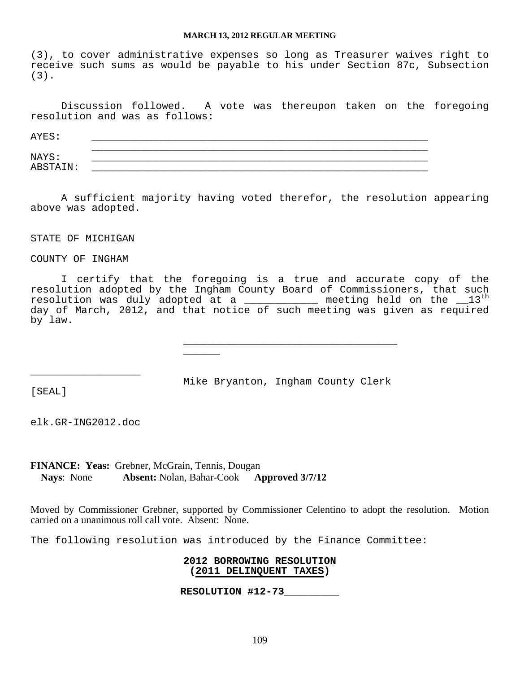(3), to cover administrative expenses so long as Treasurer waives right to receive such sums as would be payable to his under Section 87c, Subsection (3).

 Discussion followed. A vote was thereupon taken on the foregoing resolution and was as follows:

| AYES:    |  |
|----------|--|
| NAYS:    |  |
| ABSTAIN: |  |

 A sufficient majority having voted therefor, the resolution appearing above was adopted.

STATE OF MICHIGAN

COUNTY OF INGHAM

 I certify that the foregoing is a true and accurate copy of the resolution adopted by the Ingham County Board of Commissioners, that such resolution was duly adopted at a  $\begin{array}{ccc} \text{if} & \text{if} & \text{if} & \text{if} & \text{if} & \text{if} & \text{if} & \text{if} \text{if} & \text{if} & \text{if} & \text{if} & \text{if} & \text{if} \text{if} & \text{if} & \text{if} & \text{if} & \text{if} & \text{if} & \text{if} & \text{if} & \text{if} & \text{if} & \text{if} & \text{if} & \text{if} & \text{if} & \text{if} & \text{if} & \text$ day of March, 2012, and that notice of such meeting was given as required by law.

[SEAL]

Mike Bryanton, Ingham County Clerk

\_\_\_\_\_\_\_\_\_\_\_\_\_\_\_\_\_\_\_\_\_\_\_\_\_\_\_\_\_\_\_\_\_\_\_

elk.GR-ING2012.doc

\_\_\_\_\_\_\_\_\_\_\_\_\_\_\_\_\_\_

\_\_\_\_\_\_

**FINANCE: Yeas:** Grebner, McGrain, Tennis, Dougan **Nays**: None **Absent:** Nolan, Bahar-Cook **Approved 3/7/12** 

Moved by Commissioner Grebner, supported by Commissioner Celentino to adopt the resolution. Motion carried on a unanimous roll call vote. Absent: None.

The following resolution was introduced by the Finance Committee:

**2012 BORROWING RESOLUTION (2011 DELINQUENT TAXES)**

**RESOLUTION #12-73\_\_\_\_\_\_\_\_\_**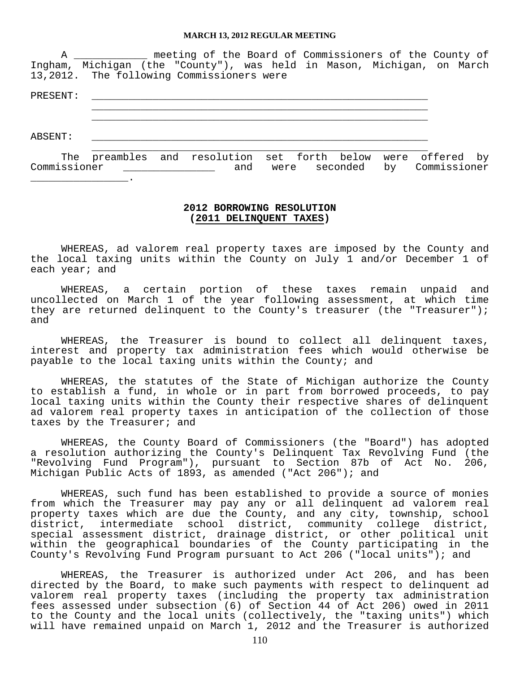A \_\_\_\_\_\_\_\_\_\_\_\_ meeting of the Board of Commissioners of the County of Ingham, Michigan (the "County"), was held in Mason, Michigan, on March 13,2012. The following Commissioners were

PRESENT: \_\_\_\_\_\_\_\_\_\_\_\_\_\_\_\_\_\_\_\_\_\_\_\_\_\_\_\_\_\_\_\_\_\_\_\_\_\_\_\_\_\_\_\_\_\_\_\_\_\_\_\_\_\_\_  $\overline{\phantom{a}}$  ,  $\overline{\phantom{a}}$  ,  $\overline{\phantom{a}}$  ,  $\overline{\phantom{a}}$  ,  $\overline{\phantom{a}}$  ,  $\overline{\phantom{a}}$  ,  $\overline{\phantom{a}}$  ,  $\overline{\phantom{a}}$  ,  $\overline{\phantom{a}}$  ,  $\overline{\phantom{a}}$  ,  $\overline{\phantom{a}}$  ,  $\overline{\phantom{a}}$  ,  $\overline{\phantom{a}}$  ,  $\overline{\phantom{a}}$  ,  $\overline{\phantom{a}}$  ,  $\overline{\phantom{a}}$ 

ABSENT: \_\_\_\_\_\_\_\_\_\_\_\_\_\_\_\_\_\_\_\_\_\_\_\_\_\_\_\_\_\_\_\_\_\_\_\_\_\_\_\_\_\_\_\_\_\_\_\_\_\_\_\_\_\_\_

 $\overline{\phantom{a}}$  ,  $\overline{\phantom{a}}$  ,  $\overline{\phantom{a}}$  ,  $\overline{\phantom{a}}$  ,  $\overline{\phantom{a}}$  ,  $\overline{\phantom{a}}$  ,  $\overline{\phantom{a}}$  ,  $\overline{\phantom{a}}$  ,  $\overline{\phantom{a}}$  ,  $\overline{\phantom{a}}$  ,  $\overline{\phantom{a}}$  ,  $\overline{\phantom{a}}$  ,  $\overline{\phantom{a}}$  ,  $\overline{\phantom{a}}$  ,  $\overline{\phantom{a}}$  ,  $\overline{\phantom{a}}$  The preambles and resolution set forth below were offered by Commissioner \_\_\_\_\_\_\_\_\_\_\_\_\_\_\_ and were seconded by Commissioner \_\_\_\_\_\_\_\_\_\_\_\_\_\_\_\_.

### **2012 BORROWING RESOLUTION (2011 DELINQUENT TAXES)**

 WHEREAS, ad valorem real property taxes are imposed by the County and the local taxing units within the County on July 1 and/or December 1 of each year; and

 WHEREAS, a certain portion of these taxes remain unpaid and uncollected on March 1 of the year following assessment, at which time they are returned delinquent to the County's treasurer (the "Treasurer"); and

 WHEREAS, the Treasurer is bound to collect all delinquent taxes, interest and property tax administration fees which would otherwise be payable to the local taxing units within the County; and

 WHEREAS, the statutes of the State of Michigan authorize the County to establish a fund, in whole or in part from borrowed proceeds, to pay local taxing units within the County their respective shares of delinquent ad valorem real property taxes in anticipation of the collection of those taxes by the Treasurer; and

 WHEREAS, the County Board of Commissioners (the "Board") has adopted a resolution authorizing the County's Delinquent Tax Revolving Fund (the "Revolving Fund Program"), pursuant to Section 87b of Act No. 206, Michigan Public Acts of 1893, as amended ("Act 206"); and

 WHEREAS, such fund has been established to provide a source of monies from which the Treasurer may pay any or all delinquent ad valorem real property taxes which are due the County, and any city, township, school district, intermediate school district, community college district, special assessment district, drainage district, or other political unit within the geographical boundaries of the County participating in the County's Revolving Fund Program pursuant to Act 206 ("local units"); and

 WHEREAS, the Treasurer is authorized under Act 206, and has been directed by the Board, to make such payments with respect to delinquent ad valorem real property taxes (including the property tax administration fees assessed under subsection (6) of Section 44 of Act 206) owed in 2011 to the County and the local units (collectively, the "taxing units") which will have remained unpaid on March 1, 2012 and the Treasurer is authorized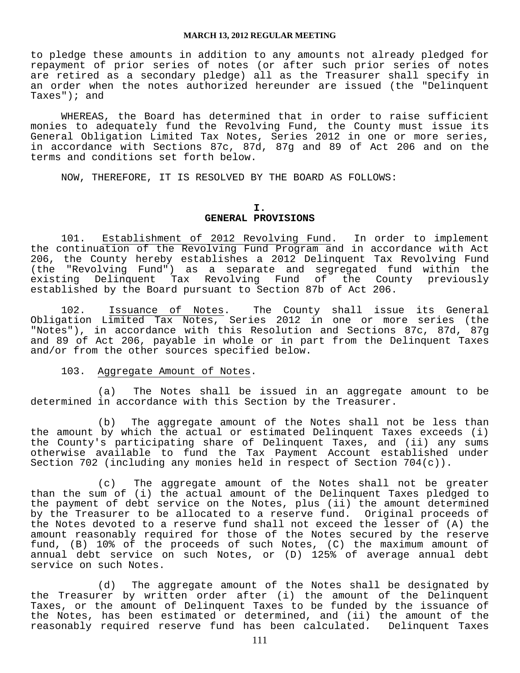to pledge these amounts in addition to any amounts not already pledged for repayment of prior series of notes (or after such prior series of notes are retired as a secondary pledge) all as the Treasurer shall specify in an order when the notes authorized hereunder are issued (the "Delinquent Taxes"); and

 WHEREAS, the Board has determined that in order to raise sufficient monies to adequately fund the Revolving Fund, the County must issue its General Obligation Limited Tax Notes, Series 2012 in one or more series, in accordance with Sections 87c, 87d, 87g and 89 of Act 206 and on the terms and conditions set forth below.

NOW, THEREFORE, IT IS RESOLVED BY THE BOARD AS FOLLOWS:

#### **I.**

### **GENERAL PROVISIONS**

 101. Establishment of 2012 Revolving Fund. In order to implement the continuation of the Revolving Fund Program and in accordance with Act 206, the County hereby establishes a 2012 Delinquent Tax Revolving Fund ever, the councy hereby escomprises a separate and segregated fund within the<br>existing Delinquent Tax Revolving Fund of the County previously Tax Revolving Fund of the County previously established by the Board pursuant to Section 87b of Act 206.

 102. Issuance of Notes. The County shall issue its General Obligation Limited Tax Notes, Series 2012 in one or more series (the "Notes"), in accordance with this Resolution and Sections 87c, 87d, 87g and 89 of Act 206, payable in whole or in part from the Delinquent Taxes and/or from the other sources specified below.

#### 103. Aggregate Amount of Notes.

 (a) The Notes shall be issued in an aggregate amount to be determined in accordance with this Section by the Treasurer.

 (b) The aggregate amount of the Notes shall not be less than the amount by which the actual or estimated Delinquent Taxes exceeds (i) the County's participating share of Delinquent Taxes, and (ii) any sums otherwise available to fund the Tax Payment Account established under Section 702 (including any monies held in respect of Section 704(c)).

 (c) The aggregate amount of the Notes shall not be greater than the sum of (i) the actual amount of the Delinquent Taxes pledged to the payment of debt service on the Notes, plus (ii) the amount determined by the Treasurer to be allocated to a reserve fund. Original proceeds of the Notes devoted to a reserve fund shall not exceed the lesser of (A) the amount reasonably required for those of the Notes secured by the reserve fund, (B) 10% of the proceeds of such Notes, (C) the maximum amount of annual debt service on such Notes, or (D) 125% of average annual debt service on such Notes.

 (d) The aggregate amount of the Notes shall be designated by the Treasurer by written order after (i) the amount of the Delinquent Taxes, or the amount of Delinquent Taxes to be funded by the issuance of the Notes, has been estimated or determined, and (ii) the amount of the reasonably required reserve fund has been calculated. Delinquent Taxes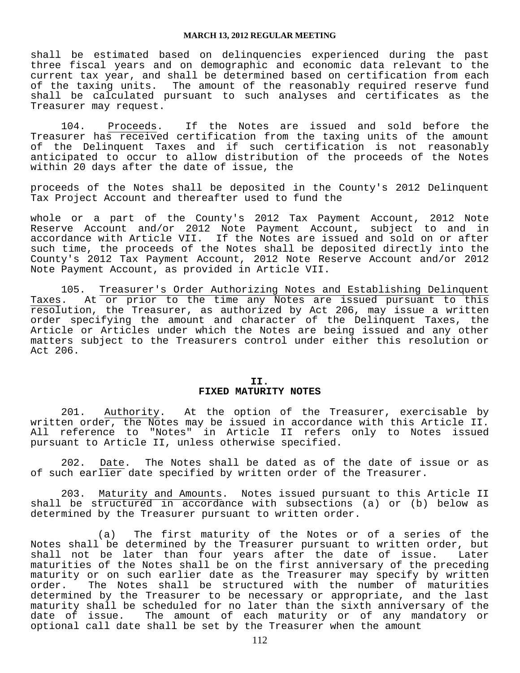shall be estimated based on delinquencies experienced during the past three fiscal years and on demographic and economic data relevant to the current tax year, and shall be determined based on certification from each of the taxing units. The amount of the reasonably required reserve fund shall be calculated pursuant to such analyses and certificates as the Treasurer may request.

 104. Proceeds. If the Notes are issued and sold before the Treasurer has received certification from the taxing units of the amount of the Delinquent Taxes and if such certification is not reasonably anticipated to occur to allow distribution of the proceeds of the Notes within 20 days after the date of issue, the

proceeds of the Notes shall be deposited in the County's 2012 Delinquent Tax Project Account and thereafter used to fund the

whole or a part of the County's 2012 Tax Payment Account, 2012 Note Reserve Account and/or 2012 Note Payment Account, subject to and in accordance with Article VII. If the Notes are issued and sold on or after such time, the proceeds of the Notes shall be deposited directly into the County's 2012 Tax Payment Account, 2012 Note Reserve Account and/or 2012 Note Payment Account, as provided in Article VII.

 105. Treasurer's Order Authorizing Notes and Establishing Delinquent Taxes. At or prior to the time any Notes are issued pursuant to this resolution, the Treasurer, as authorized by Act 206, may issue a written order specifying the amount and character of the Delinquent Taxes, the Article or Articles under which the Notes are being issued and any other matters subject to the Treasurers control under either this resolution or Act 206.

#### **II. FIXED MATURITY NOTES**

 201. Authority. At the option of the Treasurer, exercisable by written order, the Notes may be issued in accordance with this Article II. All reference to "Notes" in Article II refers only to Notes issued pursuant to Article II, unless otherwise specified.

 202. Date. The Notes shall be dated as of the date of issue or as of such earlier date specified by written order of the Treasurer.

 203. Maturity and Amounts. Notes issued pursuant to this Article II shall be structured in accordance with subsections (a) or (b) below as determined by the Treasurer pursuant to written order.

 (a) The first maturity of the Notes or of a series of the Notes shall be determined by the Treasurer pursuant to written order, but shall not be later than four years after the date of issue. Later maturities of the Notes shall be on the first anniversary of the preceding maturity or on such earlier date as the Treasurer may specify by written order. The Notes shall be structured with the number of maturities determined by the Treasurer to be necessary or appropriate, and the last maturity shall be scheduled for no later than the sixth anniversary of the date of issue. The amount of each maturity or of any mandatory or optional call date shall be set by the Treasurer when the amount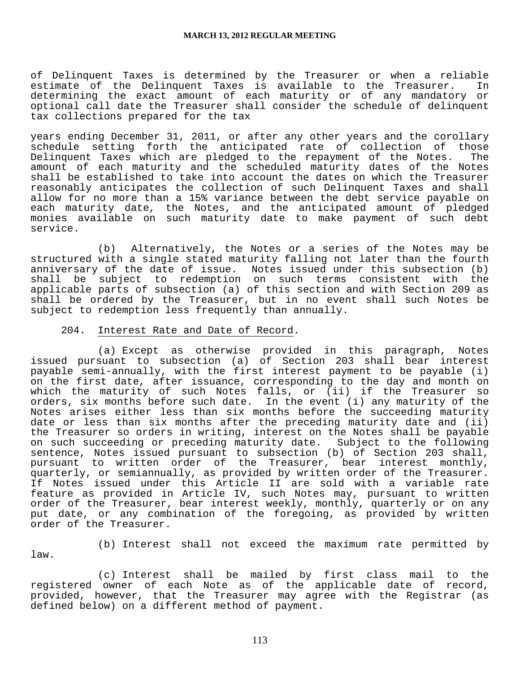of Delinquent Taxes is determined by the Treasurer or when a reliable estimate of the Delinquent Taxes is available to the Treasurer. In determining the exact amount of each maturity or of any mandatory or optional call date the Treasurer shall consider the schedule of delinquent tax collections prepared for the tax

years ending December 31, 2011, or after any other years and the corollary schedule setting forth the anticipated rate of collection of those Delinquent Taxes which are pledged to the repayment of the Notes. The amount of each maturity and the scheduled maturity dates of the Notes shall be established to take into account the dates on which the Treasurer reasonably anticipates the collection of such Delinquent Taxes and shall allow for no more than a 15% variance between the debt service payable on each maturity date, the Notes, and the anticipated amount of pledged monies available on such maturity date to make payment of such debt service.

 (b) Alternatively, the Notes or a series of the Notes may be structured with a single stated maturity falling not later than the fourth anniversary of the date of issue. Notes issued under this subsection (b)<br>shall be subject to redemption on such terms consistent with the shall be subject to redemption on such terms consistent with applicable parts of subsection (a) of this section and with Section 209 as shall be ordered by the Treasurer, but in no event shall such Notes be subject to redemption less frequently than annually.

#### 204. Interest Rate and Date of Record.

 (a) Except as otherwise provided in this paragraph, Notes issued pursuant to subsection (a) of Section 203 shall bear interest payable semi-annually, with the first interest payment to be payable (i) on the first date, after issuance, corresponding to the day and month on which the maturity of such Notes falls, or (ii) if the Treasurer so orders, six months before such date. In the event (i) any maturity of the Notes arises either less than six months before the succeeding maturity date or less than six months after the preceding maturity date and (ii) the Treasurer so orders in writing, interest on the Notes shall be payable on such succeeding or preceding maturity date. Subject to the following sentence, Notes issued pursuant to subsection (b) of Section 203 shall, pursuant to written order of the Treasurer, bear interest monthly, quarterly, or semiannually, as provided by written order of the Treasurer. If Notes issued under this Article II are sold with a variable rate feature as provided in Article IV, such Notes may, pursuant to written order of the Treasurer, bear interest weekly, monthly, quarterly or on any put date, or any combination of the foregoing, as provided by written order of the Treasurer.

law.

(b) Interest shall not exceed the maximum rate permitted by

 (c) Interest shall be mailed by first class mail to the registered owner of each Note as of the applicable date of record, provided, however, that the Treasurer may agree with the Registrar (as defined below) on a different method of payment.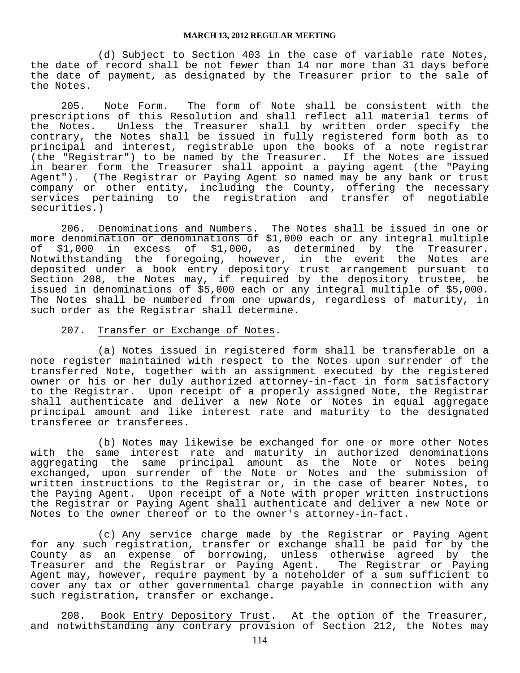(d) Subject to Section 403 in the case of variable rate Notes, the date of record shall be not fewer than 14 nor more than 31 days before the date of payment, as designated by the Treasurer prior to the sale of the Notes.

 205. Note Form. The form of Note shall be consistent with the prescriptions of this Resolution and shall reflect all material terms of the Notes. Unless the Treasurer shall by written order specify the contrary, the Notes shall be issued in fully registered form both as to principal and interest, registrable upon the books of a note registrar (the "Registrar") to be named by the Treasurer. If the Notes are issued in bearer form the Treasurer shall appoint a paying agent (the "Paying Agent"). (The Registrar or Paying Agent so named may be any bank or trust company or other entity, including the County, offering the necessary services pertaining to the registration and transfer of negotiable securities.)

 206. Denominations and Numbers. The Notes shall be issued in one or more denomination or denominations of \$1,000 each or any integral multiple of \$1,000 in excess of \$1,000, as determined by the Treasurer. Notwithstanding the foregoing, however, in the event the Notes are deposited under a book entry depository trust arrangement pursuant to Section 208, the Notes may, if required by the depository trustee, be issued in denominations of \$5,000 each or any integral multiple of \$5,000. The Notes shall be numbered from one upwards, regardless of maturity, in such order as the Registrar shall determine.

#### 207. Transfer or Exchange of Notes.

 (a) Notes issued in registered form shall be transferable on a note register maintained with respect to the Notes upon surrender of the transferred Note, together with an assignment executed by the registered owner or his or her duly authorized attorney-in-fact in form satisfactory to the Registrar. Upon receipt of a properly assigned Note, the Registrar shall authenticate and deliver a new Note or Notes in equal aggregate principal amount and like interest rate and maturity to the designated transferee or transferees.

 (b) Notes may likewise be exchanged for one or more other Notes with the same interest rate and maturity in authorized denominations aggregating the same principal amount as the Note or Notes being exchanged, upon surrender of the Note or Notes and the submission of written instructions to the Registrar or, in the case of bearer Notes, to the Paying Agent. Upon receipt of a Note with proper written instructions the Registrar or Paying Agent shall authenticate and deliver a new Note or Notes to the owner thereof or to the owner's attorney-in-fact.

 (c) Any service charge made by the Registrar or Paying Agent for any such registration, transfer or exchange shall be paid for by the County as an expense of borrowing, unless otherwise agreed by the Treasurer and the Registrar or Paying Agent. The Registrar or Paying Agent may, however, require payment by a noteholder of a sum sufficient to cover any tax or other governmental charge payable in connection with any such registration, transfer or exchange.

 208. Book Entry Depository Trust. At the option of the Treasurer, and notwithstanding any contrary provision of Section 212, the Notes may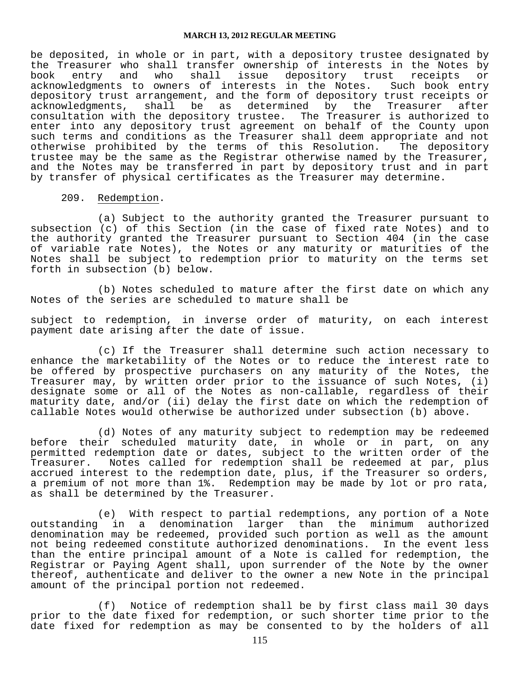be deposited, in whole or in part, with a depository trustee designated by the Treasurer who shall transfer ownership of interests in the Notes by<br>book entry and who shall issue depository trust receipts or book entry and who shall issue depository trust receipts or acknowledgments to owners of interests in the Notes. Such book entry depository trust arrangement, and the form of depository trust receipts or acknowledgments, shall be as determined by the Treasurer after consultation with the depository trustee. The Treasurer is authorized to enter into any depository trust agreement on behalf of the County upon such terms and conditions as the Treasurer shall deem appropriate and not<br>otherwise prohibited by the terms of this Resolution. The depository otherwise prohibited by the terms of this Resolution. trustee may be the same as the Registrar otherwise named by the Treasurer, and the Notes may be transferred in part by depository trust and in part by transfer of physical certificates as the Treasurer may determine.

209. Redemption.

 (a) Subject to the authority granted the Treasurer pursuant to subsection (c) of this Section (in the case of fixed rate Notes) and to the authority granted the Treasurer pursuant to Section 404 (in the case of variable rate Notes), the Notes or any maturity or maturities of the Notes shall be subject to redemption prior to maturity on the terms set forth in subsection (b) below.

 (b) Notes scheduled to mature after the first date on which any Notes of the series are scheduled to mature shall be

subject to redemption, in inverse order of maturity, on each interest payment date arising after the date of issue.

 (c) If the Treasurer shall determine such action necessary to enhance the marketability of the Notes or to reduce the interest rate to be offered by prospective purchasers on any maturity of the Notes, the Treasurer may, by written order prior to the issuance of such Notes, (i) designate some or all of the Notes as non-callable, regardless of their maturity date, and/or (ii) delay the first date on which the redemption of callable Notes would otherwise be authorized under subsection (b) above.

 (d) Notes of any maturity subject to redemption may be redeemed before their scheduled maturity date, in whole or in part, on any permitted redemption date or dates, subject to the written order of the Treasurer. Notes called for redemption shall be redeemed at par, plus accrued interest to the redemption date, plus, if the Treasurer so orders, a premium of not more than 1%. Redemption may be made by lot or pro rata, as shall be determined by the Treasurer.

 (e) With respect to partial redemptions, any portion of a Note outstanding in a denomination larger than the minimum authorized denomination may be redeemed, provided such portion as well as the amount not being redeemed constitute authorized denominations. In the event less than the entire principal amount of a Note is called for redemption, the Registrar or Paying Agent shall, upon surrender of the Note by the owner thereof, authenticate and deliver to the owner a new Note in the principal amount of the principal portion not redeemed.

 (f) Notice of redemption shall be by first class mail 30 days prior to the date fixed for redemption, or such shorter time prior to the date fixed for redemption as may be consented to by the holders of all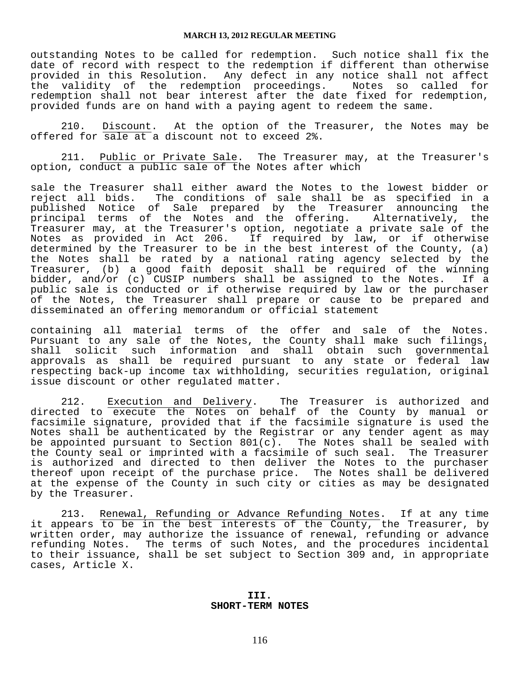outstanding Notes to be called for redemption. Such notice shall fix the date of record with respect to the redemption if different than otherwise provided in this Resolution. Any defect in any notice shall not affect<br>the validity of the redemption proceedings. Notes so called for the validity of the redemption proceedings. redemption shall not bear interest after the date fixed for redemption, provided funds are on hand with a paying agent to redeem the same.

 210. Discount. At the option of the Treasurer, the Notes may be offered for sale at a discount not to exceed 2%.

 211. Public or Private Sale. The Treasurer may, at the Treasurer's option, conduct a public sale of the Notes after which

sale the Treasurer shall either award the Notes to the lowest bidder or reject all bids. The conditions of sale shall be as specified in a published Notice of Sale prepared by the Treasurer announcing the principal terms of the Notes and the offering. Alternatively, the Treasurer may, at the Treasurer's option, negotiate a private sale of the Notes as provided in Act 206. If required by law, or if otherwise determined by the Treasurer to be in the best interest of the County, (a) the Notes shall be rated by a national rating agency selected by the Treasurer, (b) a good faith deposit shall be required of the winning bidder, and/or (c) CUSIP numbers shall be assigned to the Notes. If a public sale is conducted or if otherwise required by law or the purchaser of the Notes, the Treasurer shall prepare or cause to be prepared and disseminated an offering memorandum or official statement

containing all material terms of the offer and sale of the Notes. Pursuant to any sale of the Notes, the County shall make such filings, shall solicit such information and shall obtain such governmental approvals as shall be required pursuant to any state or federal law respecting back-up income tax withholding, securities regulation, original issue discount or other regulated matter.

212. Execution and Delivery. The Treasurer is authorized and directed to execute the Notes on behalf of the County by manual or facsimile signature, provided that if the facsimile signature is used the Notes shall be authenticated by the Registrar or any tender agent as may be appointed pursuant to Section  $801(c)$ . The Notes shall be sealed with the County seal or imprinted with a facsimile of such seal. The Treasurer is authorized and directed to then deliver the Notes to the purchaser thereof upon receipt of the purchase price. The Notes shall be delivered at the expense of the County in such city or cities as may be designated by the Treasurer.

 213. Renewal, Refunding or Advance Refunding Notes. If at any time it appears to be in the best interests of the County, the Treasurer, by written order, may authorize the issuance of renewal, refunding or advance refunding Notes. The terms of such Notes, and the procedures incidental to their issuance, shall be set subject to Section 309 and, in appropriate cases, Article X.

#### **III. SHORT-TERM NOTES**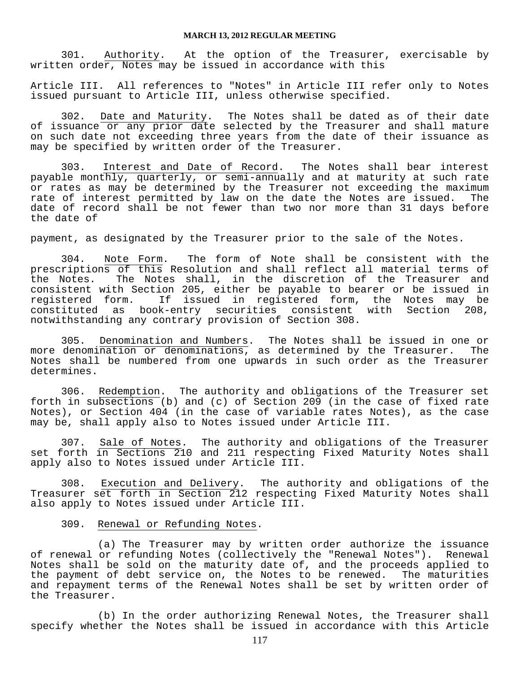301. Authority. At the option of the Treasurer, exercisable by written order, Notes may be issued in accordance with this

Article III. All references to "Notes" in Article III refer only to Notes issued pursuant to Article III, unless otherwise specified.

 302. Date and Maturity. The Notes shall be dated as of their date of issuance or any prior date selected by the Treasurer and shall mature on such date not exceeding three years from the date of their issuance as may be specified by written order of the Treasurer.

 303. Interest and Date of Record. The Notes shall bear interest payable monthly, quarterly, or semi-annually and at maturity at such rate or rates as may be determined by the Treasurer not exceeding the maximum rate of interest permitted by law on the date the Notes are issued. The date of record shall be not fewer than two nor more than 31 days before the date of

payment, as designated by the Treasurer prior to the sale of the Notes.

 304. Note Form. The form of Note shall be consistent with the prescriptions of this Resolution and shall reflect all material terms of the Notes. The Notes shall, in the discretion of the Treasurer and consistent with Section 205, either be payable to bearer or be issued in registered form. If issued in registered form, the Notes may be constituted as book-entry securities consistent with Section 208, notwithstanding any contrary provision of Section 308.

 305. Denomination and Numbers. The Notes shall be issued in one or more denomination or denominations, as determined by the Treasurer. The Notes shall be numbered from one upwards in such order as the Treasurer determines.

 306. Redemption. The authority and obligations of the Treasurer set forth in subsections (b) and (c) of Section 209 (in the case of fixed rate Notes), or Section 404 (in the case of variable rates Notes), as the case may be, shall apply also to Notes issued under Article III.

 307. Sale of Notes. The authority and obligations of the Treasurer set forth in Sections 210 and 211 respecting Fixed Maturity Notes shall apply also to Notes issued under Article III.

 308. Execution and Delivery. The authority and obligations of the Treasurer set forth in Section 212 respecting Fixed Maturity Notes shall also apply to Notes issued under Article III.

### 309. Renewal or Refunding Notes.

 (a) The Treasurer may by written order authorize the issuance of renewal or refunding Notes (collectively the "Renewal Notes"). Renewal Notes shall be sold on the maturity date of, and the proceeds applied to the payment of debt service on, the Notes to be renewed. The maturities and repayment terms of the Renewal Notes shall be set by written order of the Treasurer.

 (b) In the order authorizing Renewal Notes, the Treasurer shall specify whether the Notes shall be issued in accordance with this Article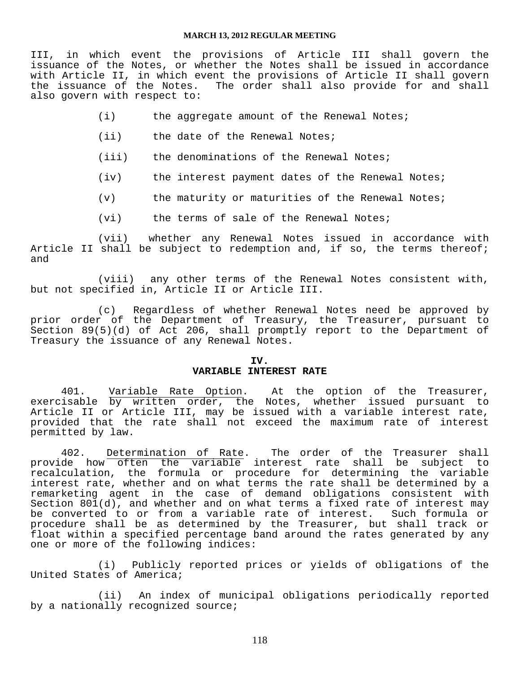III, in which event the provisions of Article III shall govern the issuance of the Notes, or whether the Notes shall be issued in accordance with Article II, in which event the provisions of Article II shall govern the issuance of the Notes. The order shall also provide for and shall also govern with respect to:

- (i) the aggregate amount of the Renewal Notes;
- (ii) the date of the Renewal Notes;
- (iii) the denominations of the Renewal Notes;
- (iv) the interest payment dates of the Renewal Notes;
- (v) the maturity or maturities of the Renewal Notes;
- (vi) the terms of sale of the Renewal Notes;

 (vii) whether any Renewal Notes issued in accordance with Article II shall be subject to redemption and, if so, the terms thereof; and

 (viii) any other terms of the Renewal Notes consistent with, but not specified in, Article II or Article III.

 (c) Regardless of whether Renewal Notes need be approved by prior order of the Department of Treasury, the Treasurer, pursuant to Section 89(5)(d) of Act 206, shall promptly report to the Department of Treasury the issuance of any Renewal Notes.

#### **IV.**

### **VARIABLE INTEREST RATE**

 401. Variable Rate Option. At the option of the Treasurer, exercisable by written order, the Notes, whether issued pursuant to Article II or Article III, may be issued with a variable interest rate, provided that the rate shall not exceed the maximum rate of interest permitted by law.

402. Determination of Rate. The order of the Treasurer shall provide how often the variable interest rate shall be subject to recalculation, the formula or procedure for determining the variable interest rate, whether and on what terms the rate shall be determined by a remarketing agent in the case of demand obligations consistent with Section 801(d), and whether and on what terms a fixed rate of interest may be converted to or from a variable rate of interest. Such formula or procedure shall be as determined by the Treasurer, but shall track or float within a specified percentage band around the rates generated by any one or more of the following indices:

 (i) Publicly reported prices or yields of obligations of the United States of America;

 (ii) An index of municipal obligations periodically reported by a nationally recognized source;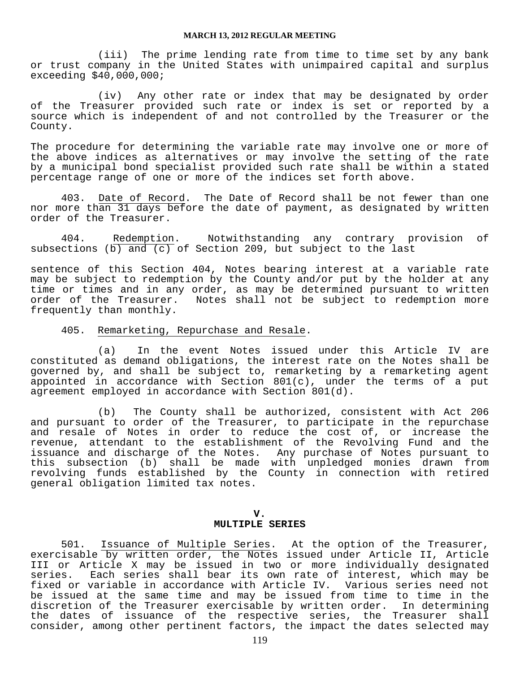(iii) The prime lending rate from time to time set by any bank or trust company in the United States with unimpaired capital and surplus exceeding \$40,000,000;

 (iv) Any other rate or index that may be designated by order of the Treasurer provided such rate or index is set or reported by a source which is independent of and not controlled by the Treasurer or the County.

The procedure for determining the variable rate may involve one or more of the above indices as alternatives or may involve the setting of the rate by a municipal bond specialist provided such rate shall be within a stated percentage range of one or more of the indices set forth above.

 403. Date of Record. The Date of Record shall be not fewer than one nor more than 31 days before the date of payment, as designated by written order of the Treasurer.

 404. Redemption. Notwithstanding any contrary provision of subsections  $(b)$  and  $(c)$  of Section 209, but subject to the last

sentence of this Section 404, Notes bearing interest at a variable rate may be subject to redemption by the County and/or put by the holder at any time or times and in any order, as may be determined pursuant to written<br>order of the Treasurer. Notes shall not be subject to redemption more Notes shall not be subject to redemption more frequently than monthly.

#### 405. Remarketing, Repurchase and Resale.

 (a) In the event Notes issued under this Article IV are constituted as demand obligations, the interest rate on the Notes shall be governed by, and shall be subject to, remarketing by a remarketing agent appointed in accordance with Section 801(c), under the terms of a put agreement employed in accordance with Section 801(d).

 (b) The County shall be authorized, consistent with Act 206 and pursuant to order of the Treasurer, to participate in the repurchase and resale of Notes in order to reduce the cost of, or increase the revenue, attendant to the establishment of the Revolving Fund and the issuance and discharge of the Notes. Any purchase of Notes pursuant to this subsection (b) shall be made with unpledged monies drawn from revolving funds established by the County in connection with retired general obligation limited tax notes.

#### **V. MULTIPLE SERIES**

 501. Issuance of Multiple Series. At the option of the Treasurer, exercisable by written order, the Notes issued under Article II, Article III or Article X may be issued in two or more individually designated series. Each series shall bear its own rate of interest, which may be fixed or variable in accordance with Article IV. Various series need not be issued at the same time and may be issued from time to time in the discretion of the Treasurer exercisable by written order. In determining the dates of issuance of the respective series, the Treasurer shall consider, among other pertinent factors, the impact the dates selected may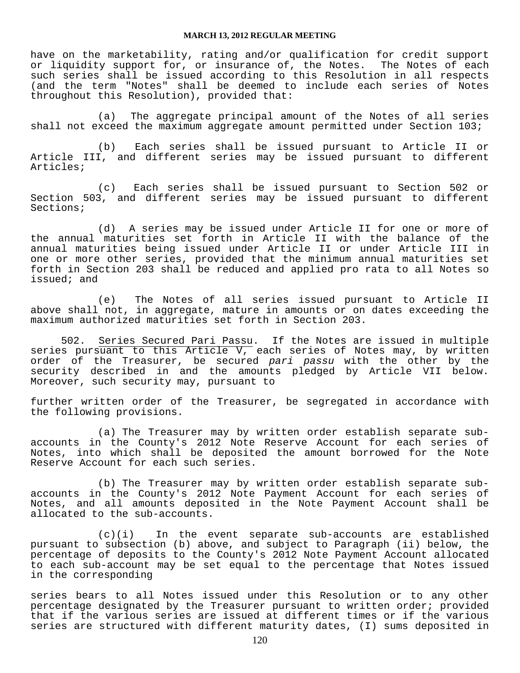have on the marketability, rating and/or qualification for credit support or liquidity support for, or insurance of, the Notes. The Notes of each such series shall be issued according to this Resolution in all respects (and the term "Notes" shall be deemed to include each series of Notes throughout this Resolution), provided that:

 (a) The aggregate principal amount of the Notes of all series shall not exceed the maximum aggregate amount permitted under Section 103;

 (b) Each series shall be issued pursuant to Article II or Article III, and different series may be issued pursuant to different Articles;

 (c) Each series shall be issued pursuant to Section 502 or Section 503, and different series may be issued pursuant to different Sections;

 (d) A series may be issued under Article II for one or more of the annual maturities set forth in Article II with the balance of the annual maturities being issued under Article II or under Article III in one or more other series, provided that the minimum annual maturities set forth in Section 203 shall be reduced and applied pro rata to all Notes so issued; and

 (e) The Notes of all series issued pursuant to Article II above shall not, in aggregate, mature in amounts or on dates exceeding the maximum authorized maturities set forth in Section 203.

502. Series Secured Pari Passu. If the Notes are issued in multiple series pursuant to this Article V, each series of Notes may, by written order of the Treasurer, be secured *pari passu* with the other by the security described in and the amounts pledged by Article VII below. Moreover, such security may, pursuant to

further written order of the Treasurer, be segregated in accordance with the following provisions.

 (a) The Treasurer may by written order establish separate subaccounts in the County's 2012 Note Reserve Account for each series of Notes, into which shall be deposited the amount borrowed for the Note Reserve Account for each such series.

 (b) The Treasurer may by written order establish separate subaccounts in the County's 2012 Note Payment Account for each series of Notes, and all amounts deposited in the Note Payment Account shall be allocated to the sub-accounts.

 (c)(i) In the event separate sub-accounts are established pursuant to subsection (b) above, and subject to Paragraph (ii) below, the percentage of deposits to the County's 2012 Note Payment Account allocated to each sub-account may be set equal to the percentage that Notes issued in the corresponding

series bears to all Notes issued under this Resolution or to any other percentage designated by the Treasurer pursuant to written order; provided that if the various series are issued at different times or if the various series are structured with different maturity dates, (I) sums deposited in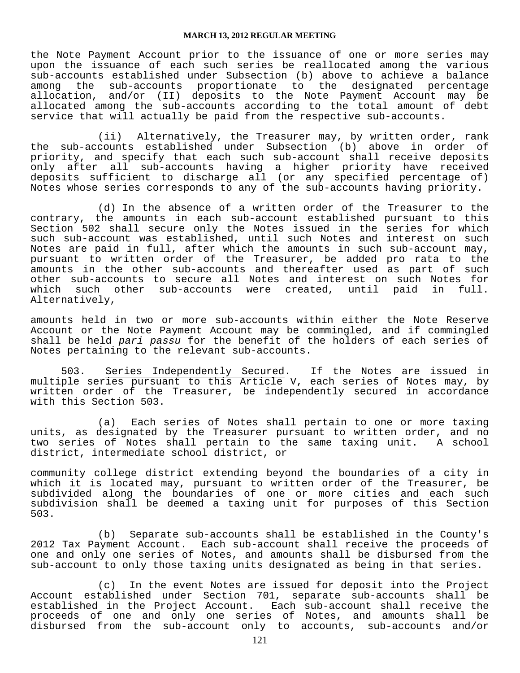the Note Payment Account prior to the issuance of one or more series may upon the issuance of each such series be reallocated among the various sub-accounts established under Subsection (b) above to achieve a balance among the sub-accounts proportionate to the designated percentage allocation, and/or (II) deposits to the Note Payment Account may be allocated among the sub-accounts according to the total amount of debt service that will actually be paid from the respective sub-accounts.

 (ii) Alternatively, the Treasurer may, by written order, rank the sub-accounts established under Subsection (b) above in order of priority, and specify that each such sub-account shall receive deposits only after all sub-accounts having a higher priority have received deposits sufficient to discharge all (or any specified percentage of) Notes whose series corresponds to any of the sub-accounts having priority.

 (d) In the absence of a written order of the Treasurer to the contrary, the amounts in each sub-account established pursuant to this Section 502 shall secure only the Notes issued in the series for which such sub-account was established, until such Notes and interest on such Notes are paid in full, after which the amounts in such sub-account may, pursuant to written order of the Treasurer, be added pro rata to the amounts in the other sub-accounts and thereafter used as part of such other sub-accounts to secure all Notes and interest on such Notes for which such other sub-accounts were created, until paid in full. Alternatively,

amounts held in two or more sub-accounts within either the Note Reserve Account or the Note Payment Account may be commingled, and if commingled shall be held *pari passu* for the benefit of the holders of each series of Notes pertaining to the relevant sub-accounts.

503. Series Independently Secured. If the Notes are issued in multiple series pursuant to this Article V, each series of Notes may, by written order of the Treasurer, be independently secured in accordance with this Section 503.

 (a) Each series of Notes shall pertain to one or more taxing units, as designated by the Treasurer pursuant to written order, and no two series of Notes shall pertain to the same taxing unit. A school district, intermediate school district, or

community college district extending beyond the boundaries of a city in which it is located may, pursuant to written order of the Treasurer, be subdivided along the boundaries of one or more cities and each such subdivision shall be deemed a taxing unit for purposes of this Section 503.

 (b) Separate sub-accounts shall be established in the County's 2012 Tax Payment Account. Each sub-account shall receive the proceeds of one and only one series of Notes, and amounts shall be disbursed from the sub-account to only those taxing units designated as being in that series.

 (c) In the event Notes are issued for deposit into the Project Account established under Section 701, separate sub-accounts shall be established in the Project Account. Each sub-account shall receive the proceeds of one and only one series of Notes, and amounts shall be disbursed from the sub-account only to accounts, sub-accounts and/or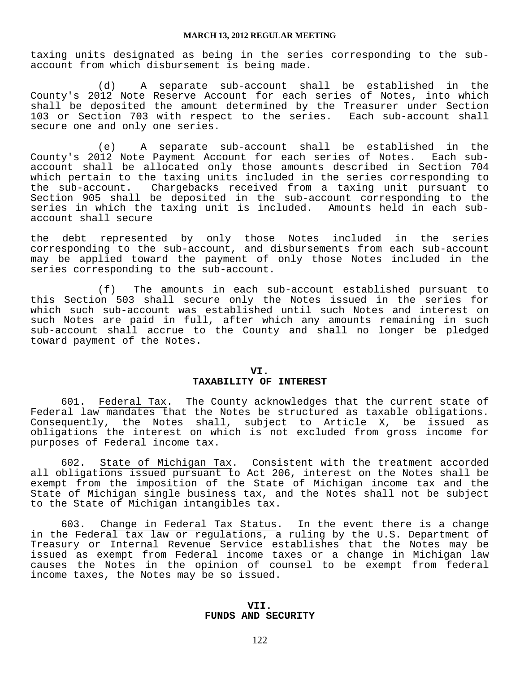taxing units designated as being in the series corresponding to the subaccount from which disbursement is being made.

 (d) A separate sub-account shall be established in the County's 2012 Note Reserve Account for each series of Notes, into which shall be deposited the amount determined by the Treasurer under Section<br>103 or Section 703 with respect to the series. Each sub-account shall 103 or Section 703 with respect to the series. secure one and only one series.

 (e) A separate sub-account shall be established in the County's 2012 Note Payment Account for each series of Notes. Each subaccount shall be allocated only those amounts described in Section 704 which pertain to the taxing units included in the series corresponding to the sub-account. Chargebacks received from a taxing unit pursuant to Section 905 shall be deposited in the sub-account corresponding to the series in which the taxing unit is included. Amounts held in each subaccount shall secure

the debt represented by only those Notes included in the series corresponding to the sub-account, and disbursements from each sub-account may be applied toward the payment of only those Notes included in the series corresponding to the sub-account.

 (f) The amounts in each sub-account established pursuant to this Section 503 shall secure only the Notes issued in the series for which such sub-account was established until such Notes and interest on such Notes are paid in full, after which any amounts remaining in such sub-account shall accrue to the County and shall no longer be pledged toward payment of the Notes.

#### **VI. TAXABILITY OF INTEREST**

 601. Federal Tax. The County acknowledges that the current state of Federal law mandates that the Notes be structured as taxable obligations. Consequently, the Notes shall, subject to Article X, be issued as obligations the interest on which is not excluded from gross income for purposes of Federal income tax.

 602. State of Michigan Tax. Consistent with the treatment accorded all obligations issued pursuant to Act 206, interest on the Notes shall be exempt from the imposition of the State of Michigan income tax and the State of Michigan single business tax, and the Notes shall not be subject to the State of Michigan intangibles tax.

 603. Change in Federal Tax Status. In the event there is a change in the Federal tax law or regulations, a ruling by the U.S. Department of Treasury or Internal Revenue Service establishes that the Notes may be issued as exempt from Federal income taxes or a change in Michigan law causes the Notes in the opinion of counsel to be exempt from federal income taxes, the Notes may be so issued.

### **VII. FUNDS AND SECURITY**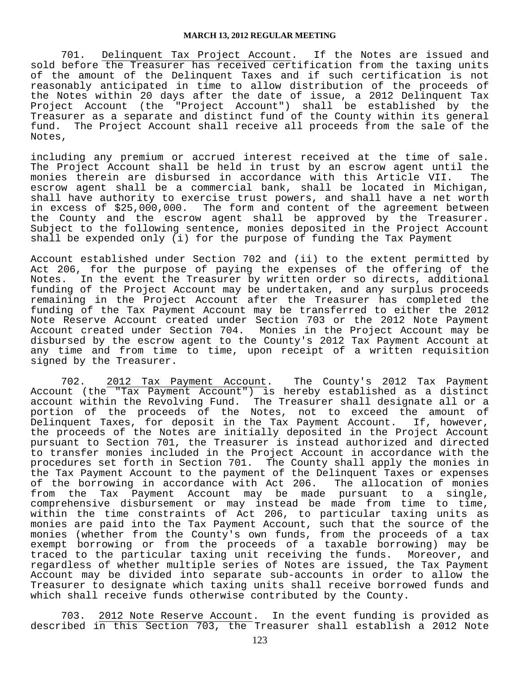701. Delinquent Tax Project Account. If the Notes are issued and sold before the Treasurer has received certification from the taxing units of the amount of the Delinquent Taxes and if such certification is not reasonably anticipated in time to allow distribution of the proceeds of the Notes within 20 days after the date of issue, a 2012 Delinquent Tax Project Account (the "Project Account") shall be established by the Treasurer as a separate and distinct fund of the County within its general<br>fund. The Project Account shall receive all proceeds from the sale of the The Project Account shall receive all proceeds from the sale of the Notes,

including any premium or accrued interest received at the time of sale. The Project Account shall be held in trust by an escrow agent until the monies therein are disbursed in accordance with this Article VII. The escrow agent shall be a commercial bank, shall be located in Michigan, shall have authority to exercise trust powers, and shall have a net worth in excess of \$25,000,000. The form and content of the agreement between the County and the escrow agent shall be approved by the Treasurer. Subject to the following sentence, monies deposited in the Project Account shall be expended only (i) for the purpose of funding the Tax Payment

Account established under Section 702 and (ii) to the extent permitted by Act 206, for the purpose of paying the expenses of the offering of the Notes. In the event the Treasurer by written order so directs, additional funding of the Project Account may be undertaken, and any surplus proceeds remaining in the Project Account after the Treasurer has completed the funding of the Tax Payment Account may be transferred to either the 2012 Note Reserve Account created under Section 703 or the 2012 Note Payment Account created under Section 704. Monies in the Project Account may be disbursed by the escrow agent to the County's 2012 Tax Payment Account at any time and from time to time, upon receipt of a written requisition signed by the Treasurer.

 702. 2012 Tax Payment Account. The County's 2012 Tax Payment Account (the "Tax Payment Account") is hereby established as a distinct account within the Revolving Fund. The Treasurer shall designate all or a portion of the proceeds of the Notes, not to exceed the amount of Delinquent Taxes, for deposit in the Tax Payment Account. If, however, the proceeds of the Notes are initially deposited in the Project Account pursuant to Section 701, the Treasurer is instead authorized and directed to transfer monies included in the Project Account in accordance with the procedures set forth in Section 701. The County shall apply the monies in the Tax Payment Account to the payment of the Delinquent Taxes or expenses of the borrowing in accordance with Act 206. The allocation of monies from the Tax Payment Account may be made pursuant to a single, comprehensive disbursement or may instead be made from time to time, within the time constraints of Act 206, to particular taxing units as monies are paid into the Tax Payment Account, such that the source of the monies (whether from the County's own funds, from the proceeds of a tax exempt borrowing or from the proceeds of a taxable borrowing) may be traced to the particular taxing unit receiving the funds. Moreover, and regardless of whether multiple series of Notes are issued, the Tax Payment Account may be divided into separate sub-accounts in order to allow the Treasurer to designate which taxing units shall receive borrowed funds and which shall receive funds otherwise contributed by the County.

 703. 2012 Note Reserve Account. In the event funding is provided as described in this Section 703, the Treasurer shall establish a 2012 Note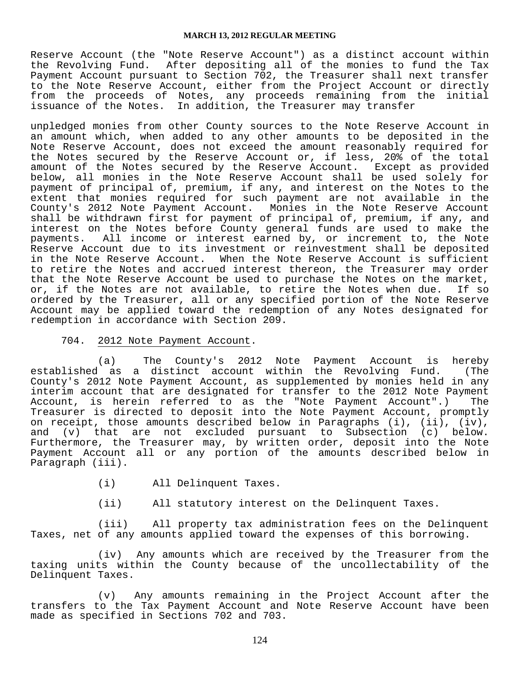Reserve Account (the "Note Reserve Account") as a distinct account within the Revolving Fund. After depositing all of the monies to fund the Tax Payment Account pursuant to Section 702, the Treasurer shall next transfer to the Note Reserve Account, either from the Project Account or directly from the proceeds of Notes, any proceeds remaining from the initial issuance of the Notes. In addition, the Treasurer may transfer

unpledged monies from other County sources to the Note Reserve Account in an amount which, when added to any other amounts to be deposited in the Note Reserve Account, does not exceed the amount reasonably required for the Notes secured by the Reserve Account or, if less, 20% of the total amount of the Notes secured by the Reserve Account. Except as provided below, all monies in the Note Reserve Account shall be used solely for payment of principal of, premium, if any, and interest on the Notes to the extent that monies required for such payment are not available in the County's 2012 Note Payment Account. Monies in the Note Reserve Account shall be withdrawn first for payment of principal of, premium, if any, and interest on the Notes before County general funds are used to make the payments. All income or interest earned by, or increment to, the Note Reserve Account due to its investment or reinvestment shall be deposited in the Note Reserve Account. When the Note Reserve Account is sufficient to retire the Notes and accrued interest thereon, the Treasurer may order that the Note Reserve Account be used to purchase the Notes on the market, or, if the Notes are not available, to retire the Notes when due. If so ordered by the Treasurer, all or any specified portion of the Note Reserve Account may be applied toward the redemption of any Notes designated for redemption in accordance with Section 209.

### 704. 2012 Note Payment Account.

 (a) The County's 2012 Note Payment Account is hereby established as a distinct account within the Revolving Fund. (The County's 2012 Note Payment Account, as supplemented by monies held in any interim account that are designated for transfer to the 2012 Note Payment Account, is herein referred to as the "Note Payment Account".) The Treasurer is directed to deposit into the Note Payment Account, promptly on receipt, those amounts described below in Paragraphs (i), (ii), (iv), and (v) that are not excluded pursuant to Subsection (c) below. Furthermore, the Treasurer may, by written order, deposit into the Note Payment Account all or any portion of the amounts described below in Paragraph (iii).

- (i) All Delinquent Taxes.
- (ii) All statutory interest on the Delinquent Taxes.

 (iii) All property tax administration fees on the Delinquent Taxes, net of any amounts applied toward the expenses of this borrowing.

 (iv) Any amounts which are received by the Treasurer from the taxing units within the County because of the uncollectability of the Delinquent Taxes.

 (v) Any amounts remaining in the Project Account after the transfers to the Tax Payment Account and Note Reserve Account have been made as specified in Sections 702 and 703.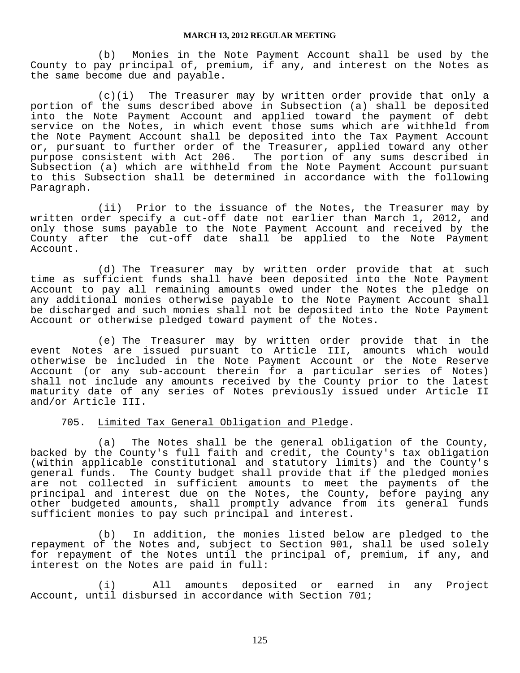(b) Monies in the Note Payment Account shall be used by the County to pay principal of, premium, if any, and interest on the Notes as the same become due and payable.

 (c)(i) The Treasurer may by written order provide that only a portion of the sums described above in Subsection (a) shall be deposited into the Note Payment Account and applied toward the payment of debt service on the Notes, in which event those sums which are withheld from the Note Payment Account shall be deposited into the Tax Payment Account or, pursuant to further order of the Treasurer, applied toward any other purpose consistent with Act 206. The portion of any sums described in Subsection (a) which are withheld from the Note Payment Account pursuant to this Subsection shall be determined in accordance with the following Paragraph.

 (ii) Prior to the issuance of the Notes, the Treasurer may by written order specify a cut-off date not earlier than March 1, 2012, and only those sums payable to the Note Payment Account and received by the County after the cut-off date shall be applied to the Note Payment Account.

 (d) The Treasurer may by written order provide that at such time as sufficient funds shall have been deposited into the Note Payment Account to pay all remaining amounts owed under the Notes the pledge on any additional monies otherwise payable to the Note Payment Account shall be discharged and such monies shall not be deposited into the Note Payment Account or otherwise pledged toward payment of the Notes.

 (e) The Treasurer may by written order provide that in the event Notes are issued pursuant to Article III, amounts which would otherwise be included in the Note Payment Account or the Note Reserve Account (or any sub-account therein for a particular series of Notes) shall not include any amounts received by the County prior to the latest maturity date of any series of Notes previously issued under Article II and/or Article III.

705. Limited Tax General Obligation and Pledge.

 (a) The Notes shall be the general obligation of the County, backed by the County's full faith and credit, the County's tax obligation (within applicable constitutional and statutory limits) and the County's general funds. The County budget shall provide that if the pledged monies are not collected in sufficient amounts to meet the payments of the principal and interest due on the Notes, the County, before paying any other budgeted amounts, shall promptly advance from its general funds sufficient monies to pay such principal and interest.

 (b) In addition, the monies listed below are pledged to the repayment of the Notes and, subject to Section 901, shall be used solely for repayment of the Notes until the principal of, premium, if any, and interest on the Notes are paid in full:

 (i) All amounts deposited or earned in any Project Account, until disbursed in accordance with Section 701;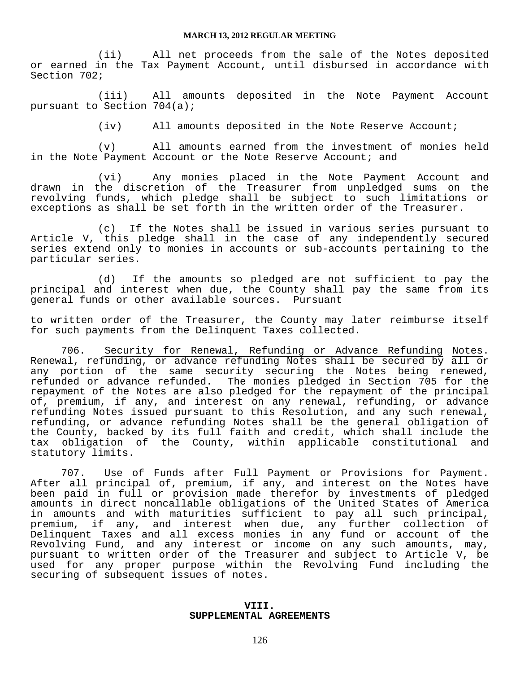(ii) All net proceeds from the sale of the Notes deposited or earned in the Tax Payment Account, until disbursed in accordance with Section 702;

 (iii) All amounts deposited in the Note Payment Account pursuant to Section 704(a);

(iv) All amounts deposited in the Note Reserve Account;

 (v) All amounts earned from the investment of monies held in the Note Payment Account or the Note Reserve Account; and

 (vi) Any monies placed in the Note Payment Account and drawn in the discretion of the Treasurer from unpledged sums on the revolving funds, which pledge shall be subject to such limitations or exceptions as shall be set forth in the written order of the Treasurer.

 (c) If the Notes shall be issued in various series pursuant to Article V, this pledge shall in the case of any independently secured series extend only to monies in accounts or sub-accounts pertaining to the particular series.

 (d) If the amounts so pledged are not sufficient to pay the principal and interest when due, the County shall pay the same from its general funds or other available sources. Pursuant

to written order of the Treasurer, the County may later reimburse itself for such payments from the Delinquent Taxes collected.

 706. Security for Renewal, Refunding or Advance Refunding Notes. Renewal, refunding, or advance refunding Notes shall be secured by all or any portion of the same security securing the Notes being renewed, refunded or advance refunded. The monies pledged in Section 705 for the repayment of the Notes are also pledged for the repayment of the principal of, premium, if any, and interest on any renewal, refunding, or advance refunding Notes issued pursuant to this Resolution, and any such renewal, refunding, or advance refunding Notes shall be the general obligation of the County, backed by its full faith and credit, which shall include the tax obligation of the County, within applicable constitutional and statutory limits.

 707. Use of Funds after Full Payment or Provisions for Payment. After all principal of, premium, if any, and interest on the Notes have been paid in full or provision made therefor by investments of pledged amounts in direct noncallable obligations of the United States of America in amounts and with maturities sufficient to pay all such principal, premium, if any, and interest when due, any further collection of Delinquent Taxes and all excess monies in any fund or account of the Revolving Fund, and any interest or income on any such amounts, may, pursuant to written order of the Treasurer and subject to Article V, be used for any proper purpose within the Revolving Fund including the securing of subsequent issues of notes.

### **VIII. SUPPLEMENTAL AGREEMENTS**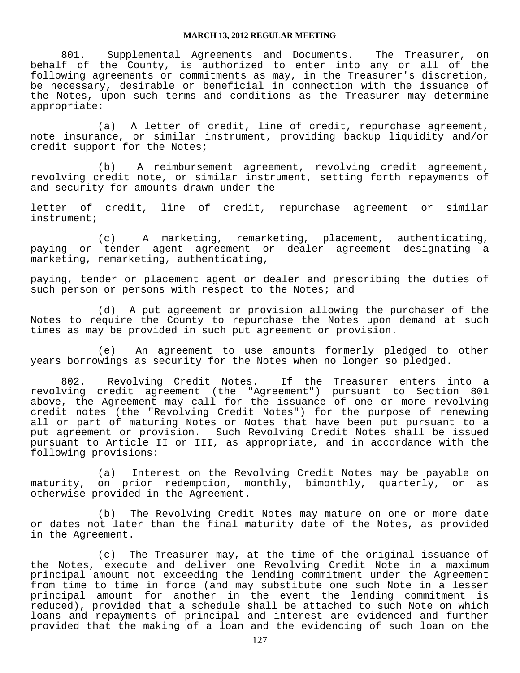801. Supplemental Agreements and Documents. The Treasurer, on behalf of the County, is authorized to enter into any or all of the following agreements or commitments as may, in the Treasurer's discretion, be necessary, desirable or beneficial in connection with the issuance of the Notes, upon such terms and conditions as the Treasurer may determine appropriate:

 (a) A letter of credit, line of credit, repurchase agreement, note insurance, or similar instrument, providing backup liquidity and/or credit support for the Notes;

 (b) A reimbursement agreement, revolving credit agreement, revolving credit note, or similar instrument, setting forth repayments of and security for amounts drawn under the

letter of credit, line of credit, repurchase agreement or similar instrument;

 (c) A marketing, remarketing, placement, authenticating, paying or tender agent agreement or dealer agreement designating a marketing, remarketing, authenticating,

paying, tender or placement agent or dealer and prescribing the duties of such person or persons with respect to the Notes; and

 (d) A put agreement or provision allowing the purchaser of the Notes to require the County to repurchase the Notes upon demand at such times as may be provided in such put agreement or provision.

 (e) An agreement to use amounts formerly pledged to other years borrowings as security for the Notes when no longer so pledged.

 802. Revolving Credit Notes. If the Treasurer enters into a revolving credit agreement (the "Agreement") pursuant to Section 801 above, the Agreement may call for the issuance of one or more revolving credit notes (the "Revolving Credit Notes") for the purpose of renewing all or part of maturing Notes or Notes that have been put pursuant to a put agreement or provision. Such Revolving Credit Notes shall be issued pursuant to Article II or III, as appropriate, and in accordance with the following provisions:

 (a) Interest on the Revolving Credit Notes may be payable on maturity, on prior redemption, monthly, bimonthly, quarterly, or as otherwise provided in the Agreement.

 (b) The Revolving Credit Notes may mature on one or more date or dates not later than the final maturity date of the Notes, as provided in the Agreement.

 (c) The Treasurer may, at the time of the original issuance of the Notes, execute and deliver one Revolving Credit Note in a maximum principal amount not exceeding the lending commitment under the Agreement from time to time in force (and may substitute one such Note in a lesser principal amount for another in the event the lending commitment is reduced), provided that a schedule shall be attached to such Note on which loans and repayments of principal and interest are evidenced and further provided that the making of a loan and the evidencing of such loan on the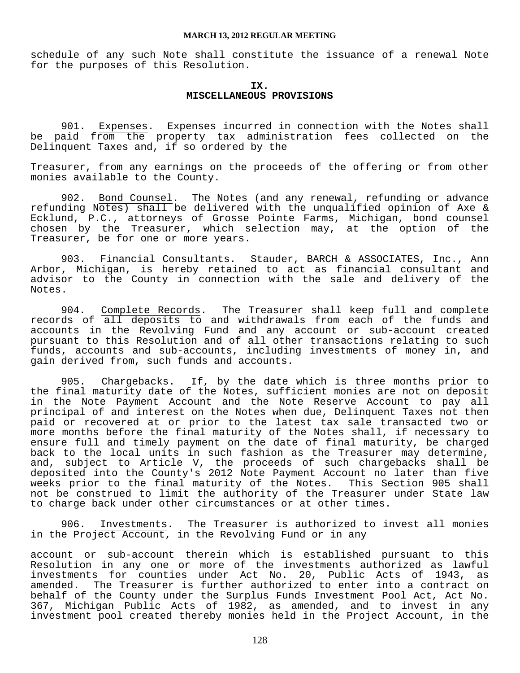schedule of any such Note shall constitute the issuance of a renewal Note for the purposes of this Resolution.

#### **IX. MISCELLANEOUS PROVISIONS**

 901. Expenses. Expenses incurred in connection with the Notes shall be paid from the property tax administration fees collected on the Delinquent Taxes and, if so ordered by the

Treasurer, from any earnings on the proceeds of the offering or from other monies available to the County.

 902. Bond Counsel. The Notes (and any renewal, refunding or advance refunding Notes) shall be delivered with the unqualified opinion of Axe & Ecklund, P.C., attorneys of Grosse Pointe Farms, Michigan, bond counsel chosen by the Treasurer, which selection may, at the option of the Treasurer, be for one or more years.

 903. Financial Consultants. Stauder, BARCH & ASSOCIATES, Inc., Ann Arbor, Michigan, is hereby retained to act as financial consultant and advisor to the County in connection with the sale and delivery of the Notes.

 904. Complete Records. The Treasurer shall keep full and complete records of all deposits to and withdrawals from each of the funds and accounts in the Revolving Fund and any account or sub-account created pursuant to this Resolution and of all other transactions relating to such funds, accounts and sub-accounts, including investments of money in, and gain derived from, such funds and accounts.

 905. Chargebacks. If, by the date which is three months prior to the final maturity date of the Notes, sufficient monies are not on deposit in the Note Payment Account and the Note Reserve Account to pay all principal of and interest on the Notes when due, Delinquent Taxes not then paid or recovered at or prior to the latest tax sale transacted two or more months before the final maturity of the Notes shall, if necessary to ensure full and timely payment on the date of final maturity, be charged back to the local units in such fashion as the Treasurer may determine, and, subject to Article V, the proceeds of such chargebacks shall be deposited into the County's 2012 Note Payment Account no later than five weeks prior to the final maturity of the Notes. This Section 905 shall not be construed to limit the authority of the Treasurer under State law to charge back under other circumstances or at other times.

 906. Investments. The Treasurer is authorized to invest all monies in the Project Account, in the Revolving Fund or in any

account or sub-account therein which is established pursuant to this Resolution in any one or more of the investments authorized as lawful investments for counties under Act No. 20, Public Acts of 1943, as amended. The Treasurer is further authorized to enter into a contract on behalf of the County under the Surplus Funds Investment Pool Act, Act No. 367, Michigan Public Acts of 1982, as amended, and to invest in any investment pool created thereby monies held in the Project Account, in the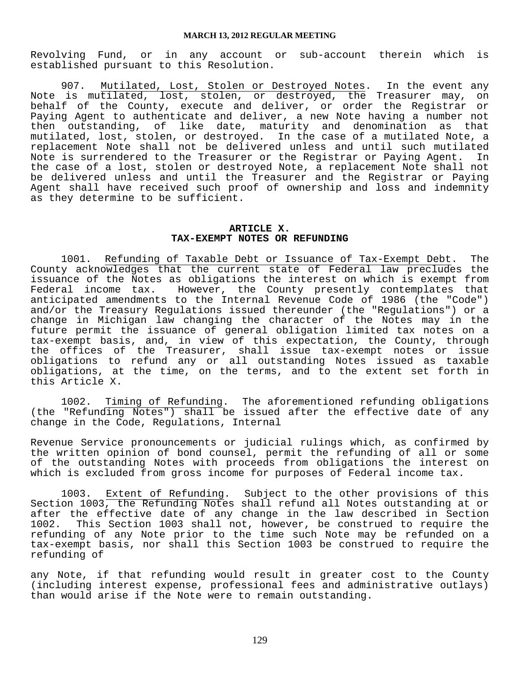Revolving Fund, or in any account or sub-account therein which is established pursuant to this Resolution.

907. Mutilated, Lost, Stolen or Destroyed Notes. In the event any Note is mutilated, lost, stolen, or destroyed, the Treasurer may, on behalf of the County, execute and deliver, or order the Registrar or Paying Agent to authenticate and deliver, a new Note having a number not<br>then outstanding, of like date, maturity and denomination as that then outstanding, of like date, maturity and denomination as mutilated, lost, stolen, or destroyed. In the case of a mutilated Note, a replacement Note shall not be delivered unless and until such mutilated Note is surrendered to the Treasurer or the Registrar or Paying Agent. In the case of a lost, stolen or destroyed Note, a replacement Note shall not be delivered unless and until the Treasurer and the Registrar or Paying Agent shall have received such proof of ownership and loss and indemnity as they determine to be sufficient.

#### **ARTICLE X. TAX-EXEMPT NOTES OR REFUNDING**

 1001. Refunding of Taxable Debt or Issuance of Tax-Exempt Debt. The County acknowledges that the current state of Federal law precludes the issuance of the Notes as obligations the interest on which is exempt from<br>Federal income tax. However, the County presently contemplates that However, the County presently contemplates that anticipated amendments to the Internal Revenue Code of 1986 (the "Code") and/or the Treasury Regulations issued thereunder (the "Regulations") or a change in Michigan law changing the character of the Notes may in the future permit the issuance of general obligation limited tax notes on a tax-exempt basis, and, in view of this expectation, the County, through the offices of the Treasurer, shall issue tax-exempt notes or issue obligations to refund any or all outstanding Notes issued as taxable obligations, at the time, on the terms, and to the extent set forth in this Article X.

 1002. Timing of Refunding. The aforementioned refunding obligations (the "Refunding Notes") shall be issued after the effective date of any change in the Code, Regulations, Internal

Revenue Service pronouncements or judicial rulings which, as confirmed by the written opinion of bond counsel, permit the refunding of all or some of the outstanding Notes with proceeds from obligations the interest on which is excluded from gross income for purposes of Federal income tax.

 1003. Extent of Refunding. Subject to the other provisions of this Section 1003, the Refunding Notes shall refund all Notes outstanding at or after the effective date of any change in the law described in Section 1002. This Section 1003 shall not, however, be construed to require the refunding of any Note prior to the time such Note may be refunded on a tax-exempt basis, nor shall this Section 1003 be construed to require the refunding of

any Note, if that refunding would result in greater cost to the County (including interest expense, professional fees and administrative outlays) than would arise if the Note were to remain outstanding.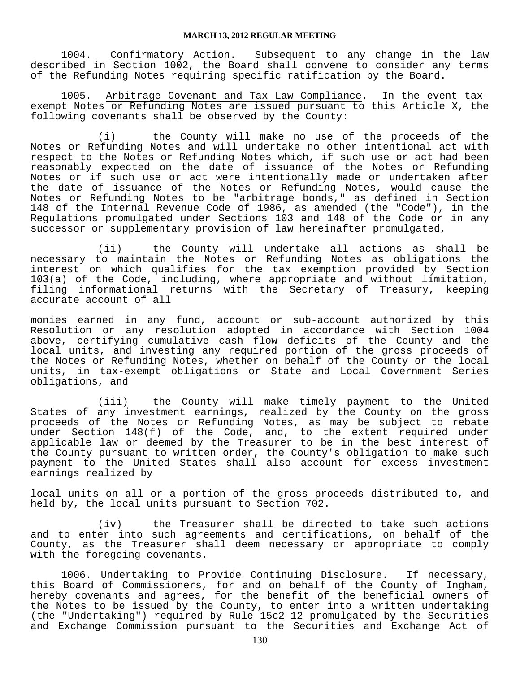1004. Confirmatory Action. Subsequent to any change in the law described in Section 1002, the Board shall convene to consider any terms of the Refunding Notes requiring specific ratification by the Board.

 1005. Arbitrage Covenant and Tax Law Compliance. In the event taxexempt Notes or Refunding Notes are issued pursuant to this Article X, the following covenants shall be observed by the County:

 (i) the County will make no use of the proceeds of the Notes or Refunding Notes and will undertake no other intentional act with respect to the Notes or Refunding Notes which, if such use or act had been reasonably expected on the date of issuance of the Notes or Refunding Notes or if such use or act were intentionally made or undertaken after the date of issuance of the Notes or Refunding Notes, would cause the Notes or Refunding Notes to be "arbitrage bonds," as defined in Section 148 of the Internal Revenue Code of 1986, as amended (the "Code"), in the Regulations promulgated under Sections 103 and 148 of the Code or in any successor or supplementary provision of law hereinafter promulgated,

 (ii) the County will undertake all actions as shall be necessary to maintain the Notes or Refunding Notes as obligations the interest on which qualifies for the tax exemption provided by Section 103(a) of the Code, including, where appropriate and without limitation, filing informational returns with the Secretary of Treasury, keeping accurate account of all

monies earned in any fund, account or sub-account authorized by this Resolution or any resolution adopted in accordance with Section 1004 above, certifying cumulative cash flow deficits of the County and the local units, and investing any required portion of the gross proceeds of the Notes or Refunding Notes, whether on behalf of the County or the local units, in tax-exempt obligations or State and Local Government Series obligations, and

 (iii) the County will make timely payment to the United States of any investment earnings, realized by the County on the gross proceeds of the Notes or Refunding Notes, as may be subject to rebate under Section 148(f) of the Code, and, to the extent required under applicable law or deemed by the Treasurer to be in the best interest of the County pursuant to written order, the County's obligation to make such payment to the United States shall also account for excess investment earnings realized by

local units on all or a portion of the gross proceeds distributed to, and held by, the local units pursuant to Section 702.

 (iv) the Treasurer shall be directed to take such actions and to enter into such agreements and certifications, on behalf of the County, as the Treasurer shall deem necessary or appropriate to comply with the foregoing covenants.

1006. Undertaking to Provide Continuing Disclosure. If necessary, this Board of Commissioners, for and on behalf of the County of Ingham, hereby covenants and agrees, for the benefit of the beneficial owners of the Notes to be issued by the County, to enter into a written undertaking (the "Undertaking") required by Rule 15c2-12 promulgated by the Securities and Exchange Commission pursuant to the Securities and Exchange Act of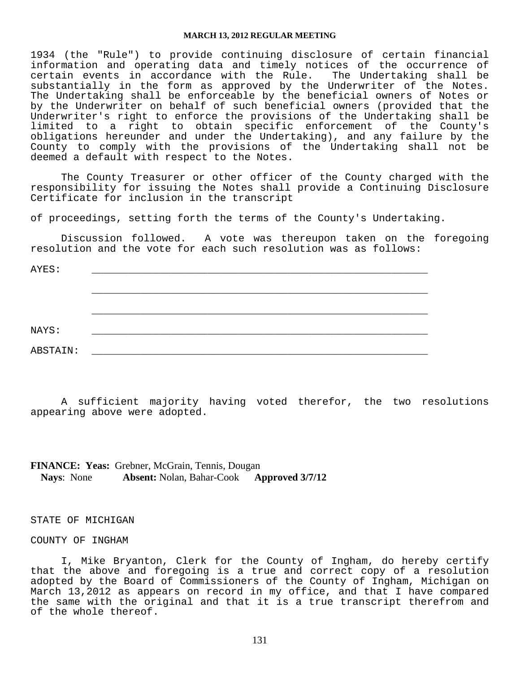1934 (the "Rule") to provide continuing disclosure of certain financial information and operating data and timely notices of the occurrence of<br>certain events in accordance with the Rule. The Undertaking shall be certain events in accordance with the Rule. substantially in the form as approved by the Underwriter of the Notes. The Undertaking shall be enforceable by the beneficial owners of Notes or by the Underwriter on behalf of such beneficial owners (provided that the Underwriter's right to enforce the provisions of the Undertaking shall be limited to a right to obtain specific enforcement of the County's obligations hereunder and under the Undertaking), and any failure by the County to comply with the provisions of the Undertaking shall not be deemed a default with respect to the Notes.

 The County Treasurer or other officer of the County charged with the responsibility for issuing the Notes shall provide a Continuing Disclosure Certificate for inclusion in the transcript

of proceedings, setting forth the terms of the County's Undertaking.

 Discussion followed. A vote was thereupon taken on the foregoing resolution and the vote for each such resolution was as follows:

| AYES:    |  |  |
|----------|--|--|
|          |  |  |
|          |  |  |
|          |  |  |
| NAYS:    |  |  |
|          |  |  |
| ABSTAIN: |  |  |

 A sufficient majority having voted therefor, the two resolutions appearing above were adopted.

#### **FINANCE: Yeas:** Grebner, McGrain, Tennis, Dougan **Nays**: None **Absent:** Nolan, Bahar-Cook **Approved 3/7/12**

#### STATE OF MICHIGAN

#### COUNTY OF INGHAM

 I, Mike Bryanton, Clerk for the County of Ingham, do hereby certify that the above and foregoing is a true and correct copy of a resolution adopted by the Board of Commissioners of the County of Ingham, Michigan on March 13,2012 as appears on record in my office, and that I have compared the same with the original and that it is a true transcript therefrom and of the whole thereof.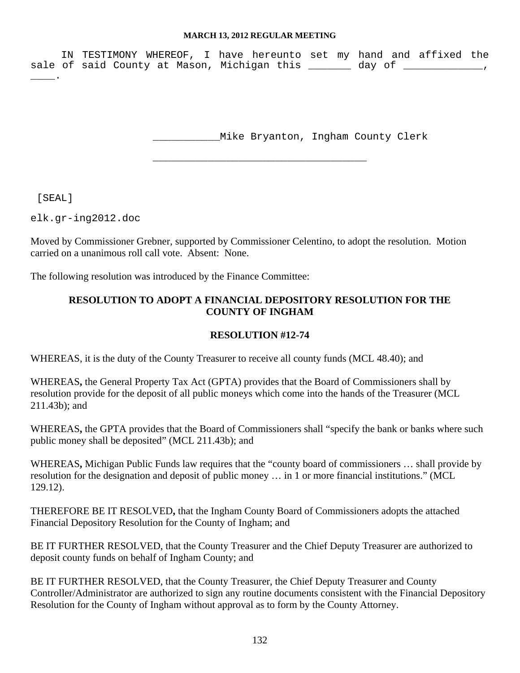IN TESTIMONY WHEREOF, I have hereunto set my hand and affixed the sale of said County at Mason, Michigan this \_\_\_\_\_\_\_ day of \_\_\_\_\_\_\_\_\_\_\_\_\_,  $\overline{\phantom{a}}$ .

\_\_\_\_\_\_\_\_\_\_\_\_\_\_\_\_\_\_\_\_\_\_\_\_\_\_\_\_\_\_\_\_\_\_\_

\_\_\_\_\_\_\_\_\_\_\_Mike Bryanton, Ingham County Clerk

[SEAL]

elk.gr-ing2012.doc

Moved by Commissioner Grebner, supported by Commissioner Celentino, to adopt the resolution. Motion carried on a unanimous roll call vote. Absent: None.

The following resolution was introduced by the Finance Committee:

## **RESOLUTION TO ADOPT A FINANCIAL DEPOSITORY RESOLUTION FOR THE COUNTY OF INGHAM**

## **RESOLUTION #12-74**

WHEREAS, it is the duty of the County Treasurer to receive all county funds (MCL 48.40); and

WHEREAS**,** the General Property Tax Act (GPTA) provides that the Board of Commissioners shall by resolution provide for the deposit of all public moneys which come into the hands of the Treasurer (MCL 211.43b); and

WHEREAS**,** the GPTA provides that the Board of Commissioners shall "specify the bank or banks where such public money shall be deposited" (MCL 211.43b); and

WHEREAS**,** Michigan Public Funds law requires that the "county board of commissioners … shall provide by resolution for the designation and deposit of public money … in 1 or more financial institutions." (MCL 129.12).

THEREFORE BE IT RESOLVED**,** that the Ingham County Board of Commissioners adopts the attached Financial Depository Resolution for the County of Ingham; and

BE IT FURTHER RESOLVED, that the County Treasurer and the Chief Deputy Treasurer are authorized to deposit county funds on behalf of Ingham County; and

BE IT FURTHER RESOLVED, that the County Treasurer, the Chief Deputy Treasurer and County Controller/Administrator are authorized to sign any routine documents consistent with the Financial Depository Resolution for the County of Ingham without approval as to form by the County Attorney.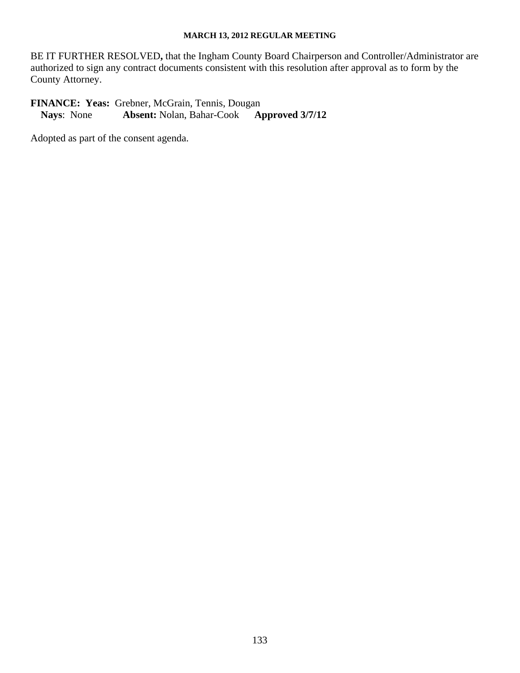BE IT FURTHER RESOLVED**,** that the Ingham County Board Chairperson and Controller/Administrator are authorized to sign any contract documents consistent with this resolution after approval as to form by the County Attorney.

**FINANCE: Yeas:** Grebner, McGrain, Tennis, Dougan<br>Nays: None **Absent:** Nolan, Bahar-Cook **Approved 3/7/12 Nays:** None **Absent:** Nolan, Bahar-Cook

Adopted as part of the consent agenda.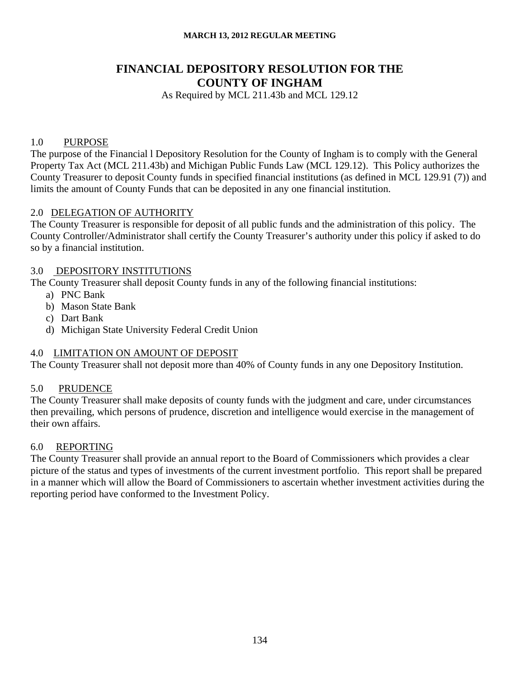# **FINANCIAL DEPOSITORY RESOLUTION FOR THE COUNTY OF INGHAM**

As Required by MCL 211.43b and MCL 129.12

## 1.0 PURPOSE

The purpose of the Financial l Depository Resolution for the County of Ingham is to comply with the General Property Tax Act (MCL 211.43b) and Michigan Public Funds Law (MCL 129.12). This Policy authorizes the County Treasurer to deposit County funds in specified financial institutions (as defined in MCL 129.91 (7)) and limits the amount of County Funds that can be deposited in any one financial institution.

## 2.0 DELEGATION OF AUTHORITY

The County Treasurer is responsible for deposit of all public funds and the administration of this policy. The County Controller/Administrator shall certify the County Treasurer's authority under this policy if asked to do so by a financial institution.

## 3.0 DEPOSITORY INSTITUTIONS

The County Treasurer shall deposit County funds in any of the following financial institutions:

- a) PNC Bank
- b) Mason State Bank
- c) Dart Bank
- d) Michigan State University Federal Credit Union

## 4.0 LIMITATION ON AMOUNT OF DEPOSIT

The County Treasurer shall not deposit more than 40% of County funds in any one Depository Institution.

## 5.0 PRUDENCE

The County Treasurer shall make deposits of county funds with the judgment and care, under circumstances then prevailing, which persons of prudence, discretion and intelligence would exercise in the management of their own affairs.

## 6.0 REPORTING

The County Treasurer shall provide an annual report to the Board of Commissioners which provides a clear picture of the status and types of investments of the current investment portfolio. This report shall be prepared in a manner which will allow the Board of Commissioners to ascertain whether investment activities during the reporting period have conformed to the Investment Policy.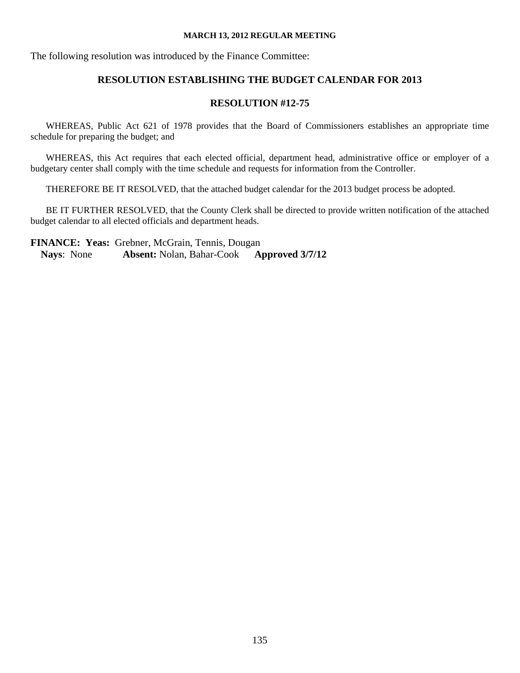The following resolution was introduced by the Finance Committee:

# **RESOLUTION ESTABLISHING THE BUDGET CALENDAR FOR 2013**

# **RESOLUTION #12-75**

WHEREAS, Public Act 621 of 1978 provides that the Board of Commissioners establishes an appropriate time schedule for preparing the budget; and

WHEREAS, this Act requires that each elected official, department head, administrative office or employer of a budgetary center shall comply with the time schedule and requests for information from the Controller.

THEREFORE BE IT RESOLVED, that the attached budget calendar for the 2013 budget process be adopted.

BE IT FURTHER RESOLVED, that the County Clerk shall be directed to provide written notification of the attached budget calendar to all elected officials and department heads.

**FINANCE: Yeas:** Grebner, McGrain, Tennis, Dougan **Nays**: None **Absent:** Nolan, Bahar-Cook **Approved 3/7/12**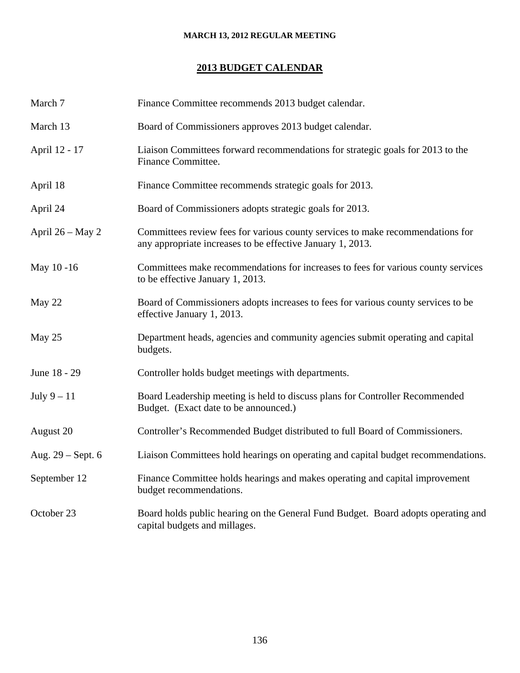## **2013 BUDGET CALENDAR**

| March 7           | Finance Committee recommends 2013 budget calendar.                                                                                           |  |
|-------------------|----------------------------------------------------------------------------------------------------------------------------------------------|--|
| March 13          | Board of Commissioners approves 2013 budget calendar.                                                                                        |  |
| April 12 - 17     | Liaison Committees forward recommendations for strategic goals for 2013 to the<br>Finance Committee.                                         |  |
| April 18          | Finance Committee recommends strategic goals for 2013.                                                                                       |  |
| April 24          | Board of Commissioners adopts strategic goals for 2013.                                                                                      |  |
| April 26 - May 2  | Committees review fees for various county services to make recommendations for<br>any appropriate increases to be effective January 1, 2013. |  |
| May 10-16         | Committees make recommendations for increases to fees for various county services<br>to be effective January 1, 2013.                        |  |
| May 22            | Board of Commissioners adopts increases to fees for various county services to be<br>effective January 1, 2013.                              |  |
| May 25            | Department heads, agencies and community agencies submit operating and capital<br>budgets.                                                   |  |
| June 18 - 29      | Controller holds budget meetings with departments.                                                                                           |  |
| July $9-11$       | Board Leadership meeting is held to discuss plans for Controller Recommended<br>Budget. (Exact date to be announced.)                        |  |
| August 20         | Controller's Recommended Budget distributed to full Board of Commissioners.                                                                  |  |
| Aug. 29 – Sept. 6 | Liaison Committees hold hearings on operating and capital budget recommendations.                                                            |  |
| September 12      | Finance Committee holds hearings and makes operating and capital improvement<br>budget recommendations.                                      |  |
| October 23        | Board holds public hearing on the General Fund Budget. Board adopts operating and<br>capital budgets and millages.                           |  |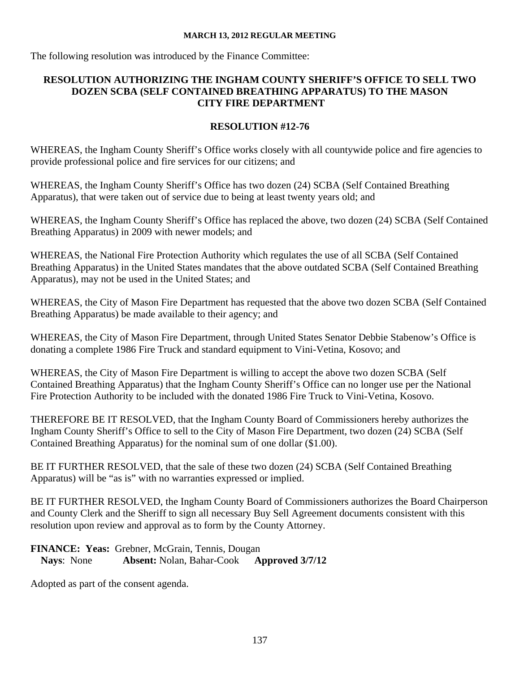The following resolution was introduced by the Finance Committee:

# **RESOLUTION AUTHORIZING THE INGHAM COUNTY SHERIFF'S OFFICE TO SELL TWO DOZEN SCBA (SELF CONTAINED BREATHING APPARATUS) TO THE MASON CITY FIRE DEPARTMENT**

# **RESOLUTION #12-76**

WHEREAS, the Ingham County Sheriff's Office works closely with all countywide police and fire agencies to provide professional police and fire services for our citizens; and

WHEREAS, the Ingham County Sheriff's Office has two dozen (24) SCBA (Self Contained Breathing Apparatus), that were taken out of service due to being at least twenty years old; and

WHEREAS, the Ingham County Sheriff's Office has replaced the above, two dozen (24) SCBA (Self Contained Breathing Apparatus) in 2009 with newer models; and

WHEREAS, the National Fire Protection Authority which regulates the use of all SCBA (Self Contained Breathing Apparatus) in the United States mandates that the above outdated SCBA (Self Contained Breathing Apparatus), may not be used in the United States; and

WHEREAS, the City of Mason Fire Department has requested that the above two dozen SCBA (Self Contained Breathing Apparatus) be made available to their agency; and

WHEREAS, the City of Mason Fire Department, through United States Senator Debbie Stabenow's Office is donating a complete 1986 Fire Truck and standard equipment to Vini-Vetina, Kosovo; and

WHEREAS, the City of Mason Fire Department is willing to accept the above two dozen SCBA (Self Contained Breathing Apparatus) that the Ingham County Sheriff's Office can no longer use per the National Fire Protection Authority to be included with the donated 1986 Fire Truck to Vini-Vetina, Kosovo.

THEREFORE BE IT RESOLVED, that the Ingham County Board of Commissioners hereby authorizes the Ingham County Sheriff's Office to sell to the City of Mason Fire Department, two dozen (24) SCBA (Self Contained Breathing Apparatus) for the nominal sum of one dollar (\$1.00).

BE IT FURTHER RESOLVED, that the sale of these two dozen (24) SCBA (Self Contained Breathing Apparatus) will be "as is" with no warranties expressed or implied.

BE IT FURTHER RESOLVED, the Ingham County Board of Commissioners authorizes the Board Chairperson and County Clerk and the Sheriff to sign all necessary Buy Sell Agreement documents consistent with this resolution upon review and approval as to form by the County Attorney.

**FINANCE: Yeas:** Grebner, McGrain, Tennis, Dougan **Nays**: None **Absent:** Nolan, Bahar-Cook **Approved 3/7/12** 

Adopted as part of the consent agenda.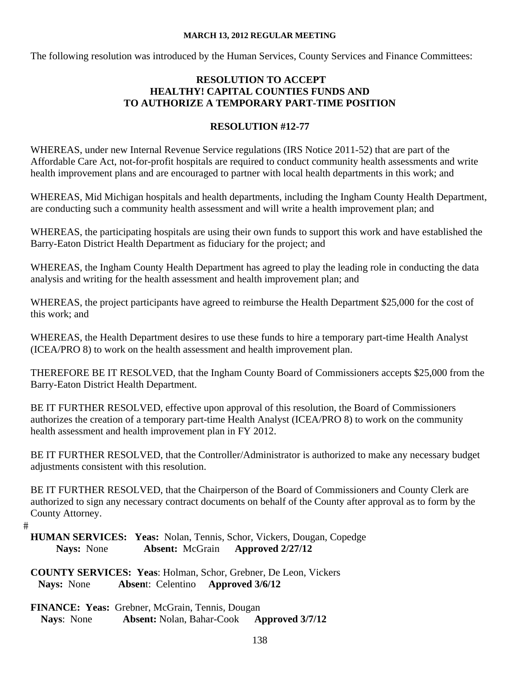The following resolution was introduced by the Human Services, County Services and Finance Committees:

## **RESOLUTION TO ACCEPT HEALTHY! CAPITAL COUNTIES FUNDS AND TO AUTHORIZE A TEMPORARY PART-TIME POSITION**

## **RESOLUTION #12-77**

WHEREAS, under new Internal Revenue Service regulations (IRS Notice 2011-52) that are part of the Affordable Care Act, not-for-profit hospitals are required to conduct community health assessments and write health improvement plans and are encouraged to partner with local health departments in this work; and

WHEREAS, Mid Michigan hospitals and health departments, including the Ingham County Health Department, are conducting such a community health assessment and will write a health improvement plan; and

WHEREAS, the participating hospitals are using their own funds to support this work and have established the Barry-Eaton District Health Department as fiduciary for the project; and

WHEREAS, the Ingham County Health Department has agreed to play the leading role in conducting the data analysis and writing for the health assessment and health improvement plan; and

WHEREAS, the project participants have agreed to reimburse the Health Department \$25,000 for the cost of this work; and

WHEREAS, the Health Department desires to use these funds to hire a temporary part-time Health Analyst (ICEA/PRO 8) to work on the health assessment and health improvement plan.

THEREFORE BE IT RESOLVED, that the Ingham County Board of Commissioners accepts \$25,000 from the Barry-Eaton District Health Department.

BE IT FURTHER RESOLVED, effective upon approval of this resolution, the Board of Commissioners authorizes the creation of a temporary part-time Health Analyst (ICEA/PRO 8) to work on the community health assessment and health improvement plan in FY 2012.

BE IT FURTHER RESOLVED, that the Controller/Administrator is authorized to make any necessary budget adjustments consistent with this resolution.

BE IT FURTHER RESOLVED, that the Chairperson of the Board of Commissioners and County Clerk are authorized to sign any necessary contract documents on behalf of the County after approval as to form by the County Attorney.

 $#$ 

**HUMAN SERVICES: Yeas:** Nolan, Tennis, Schor, Vickers, Dougan, Copedge  **Nays:** None **Absent:** McGrain **Approved 2/27/12** 

**COUNTY SERVICES: Yeas**: Holman, Schor, Grebner, De Leon, Vickers **Nays:** None **Absen**t: Celentino **Approved 3/6/12**

**FINANCE: Yeas:** Grebner, McGrain, Tennis, Dougan **Nays**: None **Absent:** Nolan, Bahar-Cook **Approved 3/7/12**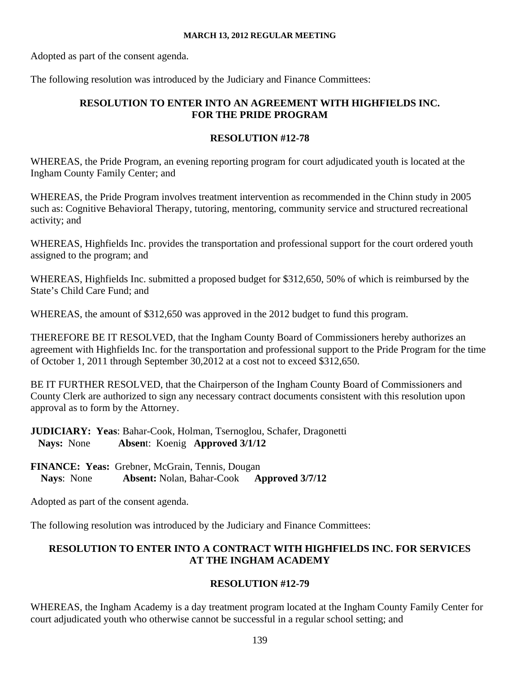Adopted as part of the consent agenda.

The following resolution was introduced by the Judiciary and Finance Committees:

## **RESOLUTION TO ENTER INTO AN AGREEMENT WITH HIGHFIELDS INC. FOR THE PRIDE PROGRAM**

## **RESOLUTION #12-78**

WHEREAS, the Pride Program, an evening reporting program for court adjudicated youth is located at the Ingham County Family Center; and

WHEREAS, the Pride Program involves treatment intervention as recommended in the Chinn study in 2005 such as: Cognitive Behavioral Therapy, tutoring, mentoring, community service and structured recreational activity; and

WHEREAS, Highfields Inc. provides the transportation and professional support for the court ordered youth assigned to the program; and

WHEREAS, Highfields Inc. submitted a proposed budget for \$312,650, 50% of which is reimbursed by the State's Child Care Fund; and

WHEREAS, the amount of \$312,650 was approved in the 2012 budget to fund this program.

THEREFORE BE IT RESOLVED, that the Ingham County Board of Commissioners hereby authorizes an agreement with Highfields Inc. for the transportation and professional support to the Pride Program for the time of October 1, 2011 through September 30,2012 at a cost not to exceed \$312,650.

BE IT FURTHER RESOLVED, that the Chairperson of the Ingham County Board of Commissioners and County Clerk are authorized to sign any necessary contract documents consistent with this resolution upon approval as to form by the Attorney.

**JUDICIARY: Yeas**: Bahar-Cook, Holman, Tsernoglou, Schafer, Dragonetti **Nays:** None **Absen**t: Koenig **Approved 3/1/12** 

**FINANCE: Yeas:** Grebner, McGrain, Tennis, Dougan **Nays**: None **Absent:** Nolan, Bahar-Cook **Approved 3/7/12** 

Adopted as part of the consent agenda.

The following resolution was introduced by the Judiciary and Finance Committees:

# **RESOLUTION TO ENTER INTO A CONTRACT WITH HIGHFIELDS INC. FOR SERVICES AT THE INGHAM ACADEMY**

## **RESOLUTION #12-79**

WHEREAS, the Ingham Academy is a day treatment program located at the Ingham County Family Center for court adjudicated youth who otherwise cannot be successful in a regular school setting; and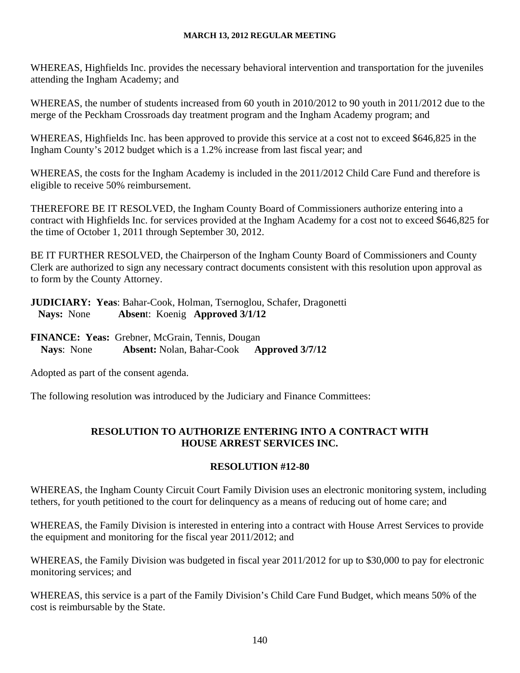WHEREAS, Highfields Inc. provides the necessary behavioral intervention and transportation for the juveniles attending the Ingham Academy; and

WHEREAS, the number of students increased from 60 youth in 2010/2012 to 90 youth in 2011/2012 due to the merge of the Peckham Crossroads day treatment program and the Ingham Academy program; and

WHEREAS, Highfields Inc. has been approved to provide this service at a cost not to exceed \$646,825 in the Ingham County's 2012 budget which is a 1.2% increase from last fiscal year; and

WHEREAS, the costs for the Ingham Academy is included in the 2011/2012 Child Care Fund and therefore is eligible to receive 50% reimbursement.

THEREFORE BE IT RESOLVED, the Ingham County Board of Commissioners authorize entering into a contract with Highfields Inc. for services provided at the Ingham Academy for a cost not to exceed \$646,825 for the time of October 1, 2011 through September 30, 2012.

BE IT FURTHER RESOLVED, the Chairperson of the Ingham County Board of Commissioners and County Clerk are authorized to sign any necessary contract documents consistent with this resolution upon approval as to form by the County Attorney.

**JUDICIARY: Yeas**: Bahar-Cook, Holman, Tsernoglou, Schafer, Dragonetti **Nays:** None **Absen**t: Koenig **Approved 3/1/12**

**FINANCE: Yeas:** Grebner, McGrain, Tennis, Dougan **Nays**: None **Absent:** Nolan, Bahar-Cook **Approved 3/7/12** 

Adopted as part of the consent agenda.

The following resolution was introduced by the Judiciary and Finance Committees:

# **RESOLUTION TO AUTHORIZE ENTERING INTO A CONTRACT WITH HOUSE ARREST SERVICES INC.**

## **RESOLUTION #12-80**

WHEREAS, the Ingham County Circuit Court Family Division uses an electronic monitoring system, including tethers, for youth petitioned to the court for delinquency as a means of reducing out of home care; and

WHEREAS, the Family Division is interested in entering into a contract with House Arrest Services to provide the equipment and monitoring for the fiscal year 2011/2012; and

WHEREAS, the Family Division was budgeted in fiscal year 2011/2012 for up to \$30,000 to pay for electronic monitoring services; and

WHEREAS, this service is a part of the Family Division's Child Care Fund Budget, which means 50% of the cost is reimbursable by the State.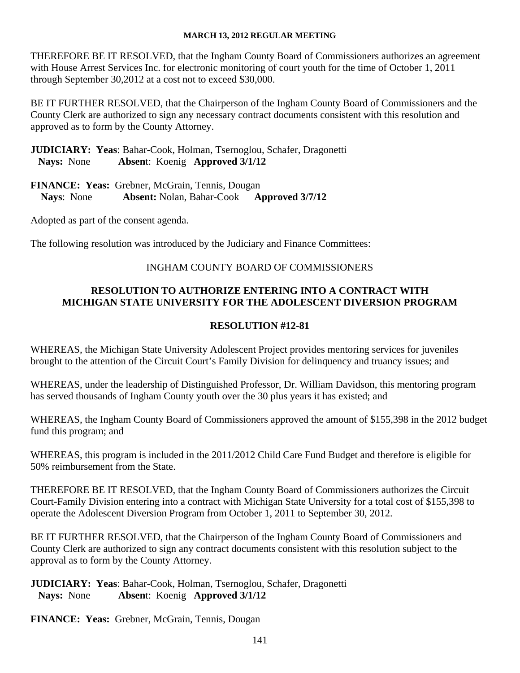THEREFORE BE IT RESOLVED, that the Ingham County Board of Commissioners authorizes an agreement with House Arrest Services Inc. for electronic monitoring of court youth for the time of October 1, 2011 through September 30,2012 at a cost not to exceed \$30,000.

BE IT FURTHER RESOLVED, that the Chairperson of the Ingham County Board of Commissioners and the County Clerk are authorized to sign any necessary contract documents consistent with this resolution and approved as to form by the County Attorney.

**JUDICIARY: Yeas**: Bahar-Cook, Holman, Tsernoglou, Schafer, Dragonetti **Nays:** None **Absen**t: Koenig **Approved 3/1/12**

**FINANCE: Yeas:** Grebner, McGrain, Tennis, Dougan **Nays**: None **Absent:** Nolan, Bahar-Cook **Approved 3/7/12** 

Adopted as part of the consent agenda.

The following resolution was introduced by the Judiciary and Finance Committees:

## INGHAM COUNTY BOARD OF COMMISSIONERS

## **RESOLUTION TO AUTHORIZE ENTERING INTO A CONTRACT WITH MICHIGAN STATE UNIVERSITY FOR THE ADOLESCENT DIVERSION PROGRAM**

## **RESOLUTION #12-81**

WHEREAS, the Michigan State University Adolescent Project provides mentoring services for juveniles brought to the attention of the Circuit Court's Family Division for delinquency and truancy issues; and

WHEREAS, under the leadership of Distinguished Professor, Dr. William Davidson, this mentoring program has served thousands of Ingham County youth over the 30 plus years it has existed; and

WHEREAS, the Ingham County Board of Commissioners approved the amount of \$155,398 in the 2012 budget fund this program; and

WHEREAS, this program is included in the 2011/2012 Child Care Fund Budget and therefore is eligible for 50% reimbursement from the State.

THEREFORE BE IT RESOLVED, that the Ingham County Board of Commissioners authorizes the Circuit Court-Family Division entering into a contract with Michigan State University for a total cost of \$155,398 to operate the Adolescent Diversion Program from October 1, 2011 to September 30, 2012.

BE IT FURTHER RESOLVED, that the Chairperson of the Ingham County Board of Commissioners and County Clerk are authorized to sign any contract documents consistent with this resolution subject to the approval as to form by the County Attorney.

# **JUDICIARY: Yeas**: Bahar-Cook, Holman, Tsernoglou, Schafer, Dragonetti **Nays:** None **Absen**t: Koenig **Approved 3/1/12**

**FINANCE: Yeas:** Grebner, McGrain, Tennis, Dougan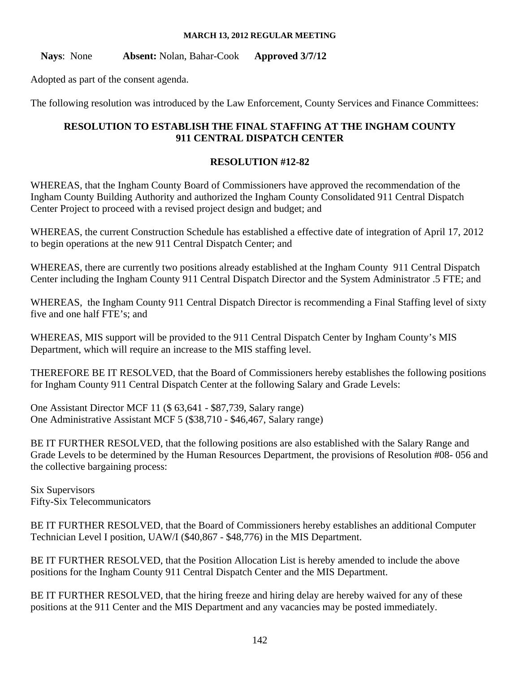**Nays**: None **Absent:** Nolan, Bahar-Cook **Approved 3/7/12** 

Adopted as part of the consent agenda.

The following resolution was introduced by the Law Enforcement, County Services and Finance Committees:

## **RESOLUTION TO ESTABLISH THE FINAL STAFFING AT THE INGHAM COUNTY 911 CENTRAL DISPATCH CENTER**

## **RESOLUTION #12-82**

WHEREAS, that the Ingham County Board of Commissioners have approved the recommendation of the Ingham County Building Authority and authorized the Ingham County Consolidated 911 Central Dispatch Center Project to proceed with a revised project design and budget; and

WHEREAS, the current Construction Schedule has established a effective date of integration of April 17, 2012 to begin operations at the new 911 Central Dispatch Center; and

WHEREAS, there are currently two positions already established at the Ingham County 911 Central Dispatch Center including the Ingham County 911 Central Dispatch Director and the System Administrator .5 FTE; and

WHEREAS, the Ingham County 911 Central Dispatch Director is recommending a Final Staffing level of sixty five and one half FTE's; and

WHEREAS, MIS support will be provided to the 911 Central Dispatch Center by Ingham County's MIS Department, which will require an increase to the MIS staffing level.

THEREFORE BE IT RESOLVED, that the Board of Commissioners hereby establishes the following positions for Ingham County 911 Central Dispatch Center at the following Salary and Grade Levels:

One Assistant Director MCF 11 (\$ 63,641 - \$87,739, Salary range) One Administrative Assistant MCF 5 (\$38,710 - \$46,467, Salary range)

BE IT FURTHER RESOLVED, that the following positions are also established with the Salary Range and Grade Levels to be determined by the Human Resources Department, the provisions of Resolution #08- 056 and the collective bargaining process:

Six Supervisors Fifty-Six Telecommunicators

BE IT FURTHER RESOLVED, that the Board of Commissioners hereby establishes an additional Computer Technician Level I position, UAW/I (\$40,867 - \$48,776) in the MIS Department.

BE IT FURTHER RESOLVED, that the Position Allocation List is hereby amended to include the above positions for the Ingham County 911 Central Dispatch Center and the MIS Department.

BE IT FURTHER RESOLVED, that the hiring freeze and hiring delay are hereby waived for any of these positions at the 911 Center and the MIS Department and any vacancies may be posted immediately.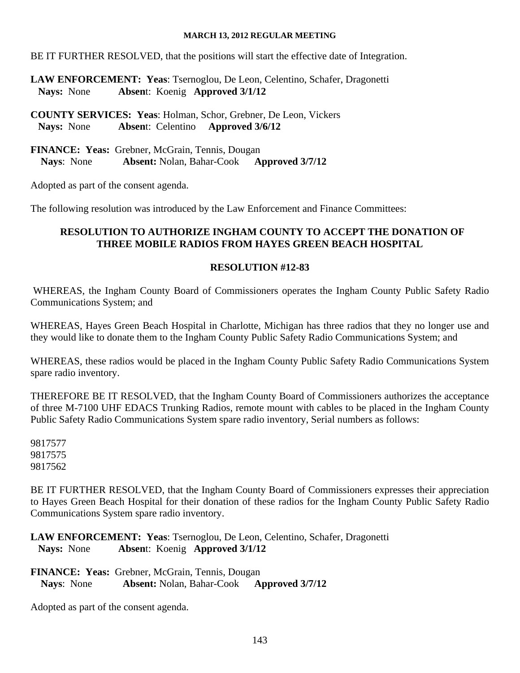BE IT FURTHER RESOLVED, that the positions will start the effective date of Integration.

**LAW ENFORCEMENT: Yeas**: Tsernoglou, De Leon, Celentino, Schafer, Dragonetti **Nays:** None **Absen**t: Koenig **Approved 3/1/12**

**COUNTY SERVICES: Yeas**: Holman, Schor, Grebner, De Leon, Vickers **Nays:** None **Absen**t: Celentino **Approved 3/6/12**

**FINANCE: Yeas:** Grebner, McGrain, Tennis, Dougan **Nays**: None **Absent:** Nolan, Bahar-Cook **Approved 3/7/12** 

Adopted as part of the consent agenda.

The following resolution was introduced by the Law Enforcement and Finance Committees:

# **RESOLUTION TO AUTHORIZE INGHAM COUNTY TO ACCEPT THE DONATION OF THREE MOBILE RADIOS FROM HAYES GREEN BEACH HOSPITAL**

# **RESOLUTION #12-83**

 WHEREAS, the Ingham County Board of Commissioners operates the Ingham County Public Safety Radio Communications System; and

WHEREAS, Hayes Green Beach Hospital in Charlotte, Michigan has three radios that they no longer use and they would like to donate them to the Ingham County Public Safety Radio Communications System; and

WHEREAS, these radios would be placed in the Ingham County Public Safety Radio Communications System spare radio inventory.

THEREFORE BE IT RESOLVED, that the Ingham County Board of Commissioners authorizes the acceptance of three M-7100 UHF EDACS Trunking Radios, remote mount with cables to be placed in the Ingham County Public Safety Radio Communications System spare radio inventory, Serial numbers as follows:

9817577 9817575 9817562

BE IT FURTHER RESOLVED, that the Ingham County Board of Commissioners expresses their appreciation to Hayes Green Beach Hospital for their donation of these radios for the Ingham County Public Safety Radio Communications System spare radio inventory.

**LAW ENFORCEMENT: Yeas**: Tsernoglou, De Leon, Celentino, Schafer, Dragonetti **Nays:** None **Absen**t: Koenig **Approved 3/1/12**

**FINANCE: Yeas:** Grebner, McGrain, Tennis, Dougan **Nays**: None **Absent:** Nolan, Bahar-Cook **Approved 3/7/12** 

Adopted as part of the consent agenda.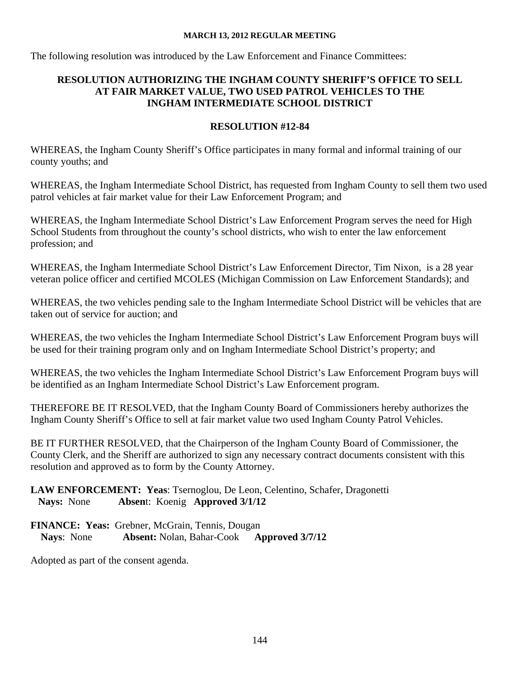The following resolution was introduced by the Law Enforcement and Finance Committees:

## **RESOLUTION AUTHORIZING THE INGHAM COUNTY SHERIFF'S OFFICE TO SELL AT FAIR MARKET VALUE, TWO USED PATROL VEHICLES TO THE INGHAM INTERMEDIATE SCHOOL DISTRICT**

## **RESOLUTION #12-84**

WHEREAS, the Ingham County Sheriff's Office participates in many formal and informal training of our county youths; and

WHEREAS, the Ingham Intermediate School District, has requested from Ingham County to sell them two used patrol vehicles at fair market value for their Law Enforcement Program; and

WHEREAS, the Ingham Intermediate School District's Law Enforcement Program serves the need for High School Students from throughout the county's school districts, who wish to enter the law enforcement profession; and

WHEREAS, the Ingham Intermediate School District's Law Enforcement Director, Tim Nixon, is a 28 year veteran police officer and certified MCOLES (Michigan Commission on Law Enforcement Standards); and

WHEREAS, the two vehicles pending sale to the Ingham Intermediate School District will be vehicles that are taken out of service for auction; and

WHEREAS, the two vehicles the Ingham Intermediate School District's Law Enforcement Program buys will be used for their training program only and on Ingham Intermediate School District's property; and

WHEREAS, the two vehicles the Ingham Intermediate School District's Law Enforcement Program buys will be identified as an Ingham Intermediate School District's Law Enforcement program.

THEREFORE BE IT RESOLVED, that the Ingham County Board of Commissioners hereby authorizes the Ingham County Sheriff's Office to sell at fair market value two used Ingham County Patrol Vehicles.

BE IT FURTHER RESOLVED, that the Chairperson of the Ingham County Board of Commissioner, the County Clerk, and the Sheriff are authorized to sign any necessary contract documents consistent with this resolution and approved as to form by the County Attorney.

## **LAW ENFORCEMENT: Yeas**: Tsernoglou, De Leon, Celentino, Schafer, Dragonetti **Nays:** None **Absen**t: Koenig **Approved 3/1/12**

**FINANCE: Yeas:** Grebner, McGrain, Tennis, Dougan **Nays**: None **Absent:** Nolan, Bahar-Cook **Approved 3/7/12** 

Adopted as part of the consent agenda.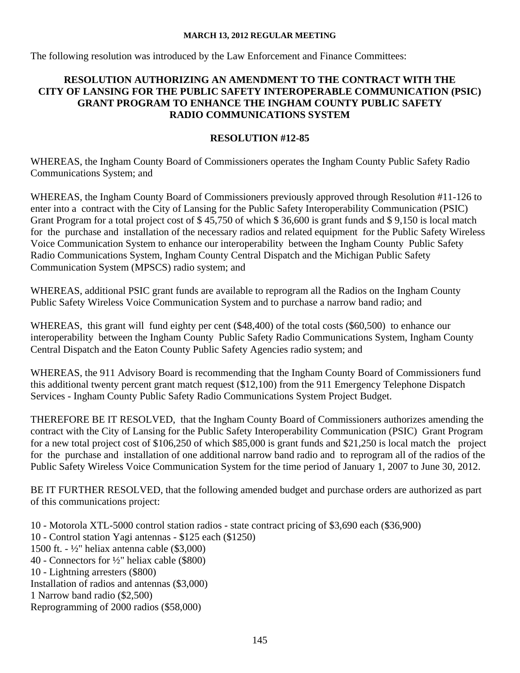The following resolution was introduced by the Law Enforcement and Finance Committees:

## **RESOLUTION AUTHORIZING AN AMENDMENT TO THE CONTRACT WITH THE CITY OF LANSING FOR THE PUBLIC SAFETY INTEROPERABLE COMMUNICATION (PSIC) GRANT PROGRAM TO ENHANCE THE INGHAM COUNTY PUBLIC SAFETY RADIO COMMUNICATIONS SYSTEM**

## **RESOLUTION #12-85**

WHEREAS, the Ingham County Board of Commissioners operates the Ingham County Public Safety Radio Communications System; and

WHEREAS, the Ingham County Board of Commissioners previously approved through Resolution #11-126 to enter into a contract with the City of Lansing for the Public Safety Interoperability Communication (PSIC) Grant Program for a total project cost of \$ 45,750 of which \$ 36,600 is grant funds and \$ 9,150 is local match for the purchase and installation of the necessary radios and related equipment for the Public Safety Wireless Voice Communication System to enhance our interoperability between the Ingham County Public Safety Radio Communications System, Ingham County Central Dispatch and the Michigan Public Safety Communication System (MPSCS) radio system; and

WHEREAS, additional PSIC grant funds are available to reprogram all the Radios on the Ingham County Public Safety Wireless Voice Communication System and to purchase a narrow band radio; and

WHEREAS, this grant will fund eighty per cent (\$48,400) of the total costs (\$60,500) to enhance our interoperability between the Ingham County Public Safety Radio Communications System, Ingham County Central Dispatch and the Eaton County Public Safety Agencies radio system; and

WHEREAS, the 911 Advisory Board is recommending that the Ingham County Board of Commissioners fund this additional twenty percent grant match request (\$12,100) from the 911 Emergency Telephone Dispatch Services - Ingham County Public Safety Radio Communications System Project Budget.

THEREFORE BE IT RESOLVED, that the Ingham County Board of Commissioners authorizes amending the contract with the City of Lansing for the Public Safety Interoperability Communication (PSIC) Grant Program for a new total project cost of \$106,250 of which \$85,000 is grant funds and \$21,250 is local match the project for the purchase and installation of one additional narrow band radio and to reprogram all of the radios of the Public Safety Wireless Voice Communication System for the time period of January 1, 2007 to June 30, 2012.

BE IT FURTHER RESOLVED, that the following amended budget and purchase orders are authorized as part of this communications project:

10 - Motorola XTL-5000 control station radios - state contract pricing of \$3,690 each (\$36,900) 10 - Control station Yagi antennas - \$125 each (\$1250) 1500 ft. - ½" heliax antenna cable (\$3,000) 40 - Connectors for ½" heliax cable (\$800) 10 - Lightning arresters (\$800) Installation of radios and antennas (\$3,000) 1 Narrow band radio (\$2,500) Reprogramming of 2000 radios (\$58,000)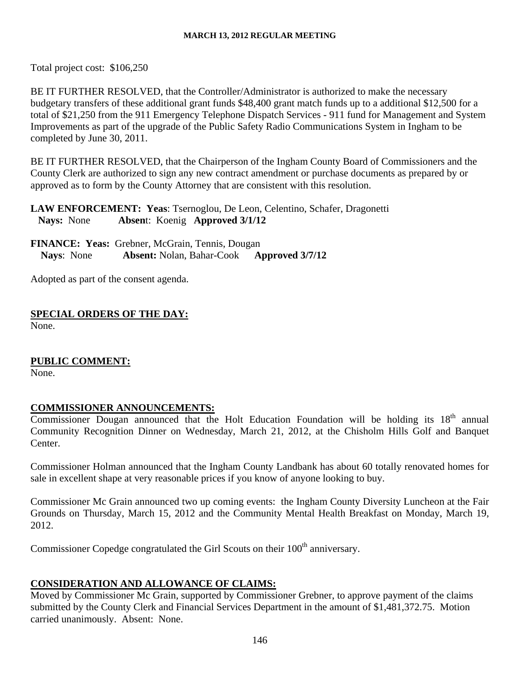Total project cost: \$106,250

BE IT FURTHER RESOLVED, that the Controller/Administrator is authorized to make the necessary budgetary transfers of these additional grant funds \$48,400 grant match funds up to a additional \$12,500 for a total of \$21,250 from the 911 Emergency Telephone Dispatch Services - 911 fund for Management and System Improvements as part of the upgrade of the Public Safety Radio Communications System in Ingham to be completed by June 30, 2011.

BE IT FURTHER RESOLVED, that the Chairperson of the Ingham County Board of Commissioners and the County Clerk are authorized to sign any new contract amendment or purchase documents as prepared by or approved as to form by the County Attorney that are consistent with this resolution.

**LAW ENFORCEMENT: Yeas**: Tsernoglou, De Leon, Celentino, Schafer, Dragonetti **Nays:** None **Absen**t: Koenig **Approved 3/1/12**

**FINANCE: Yeas:** Grebner, McGrain, Tennis, Dougan **Nays**: None **Absent:** Nolan, Bahar-Cook **Approved 3/7/12** 

Adopted as part of the consent agenda.

**SPECIAL ORDERS OF THE DAY:** None.

## **PUBLIC COMMENT:**

None.

## **COMMISSIONER ANNOUNCEMENTS:**

Commissioner Dougan announced that the Holt Education Foundation will be holding its 18<sup>th</sup> annual Community Recognition Dinner on Wednesday, March 21, 2012, at the Chisholm Hills Golf and Banquet Center.

Commissioner Holman announced that the Ingham County Landbank has about 60 totally renovated homes for sale in excellent shape at very reasonable prices if you know of anyone looking to buy.

Commissioner Mc Grain announced two up coming events: the Ingham County Diversity Luncheon at the Fair Grounds on Thursday, March 15, 2012 and the Community Mental Health Breakfast on Monday, March 19, 2012.

Commissioner Copedge congratulated the Girl Scouts on their 100<sup>th</sup> anniversary.

## **CONSIDERATION AND ALLOWANCE OF CLAIMS:**

Moved by Commissioner Mc Grain, supported by Commissioner Grebner, to approve payment of the claims submitted by the County Clerk and Financial Services Department in the amount of \$1,481,372.75. Motion carried unanimously. Absent: None.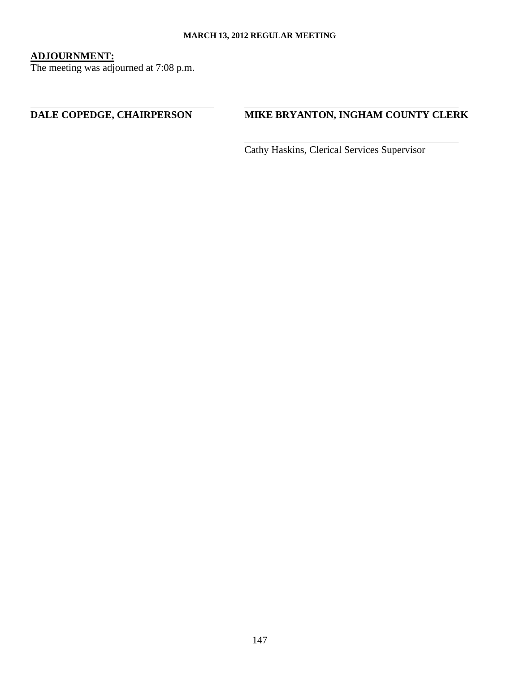## **ADJOURNMENT:**

 $\overline{a}$ 

The meeting was adjourned at 7:08 p.m.

# **DALE COPEDGE, CHAIRPERSON MIKE BRYANTON, INGHAM COUNTY CLERK**

Cathy Haskins, Clerical Services Supervisor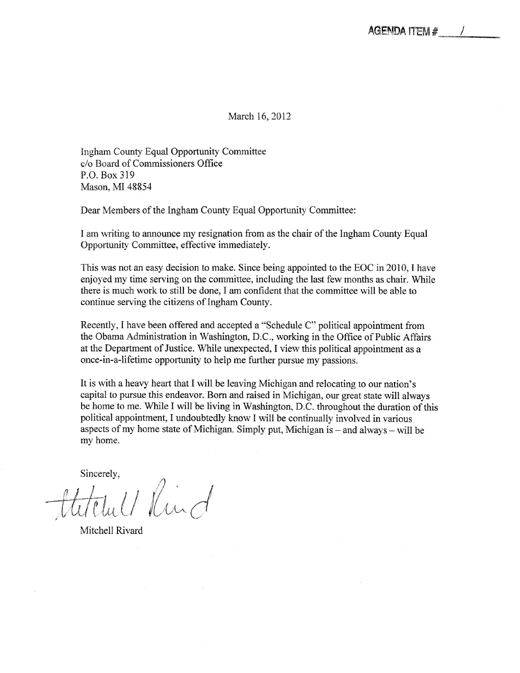March 16,2012

Ingham County Equal Opportunity Committee c/o Board of Commissioners Office P.O. Box 319 Mason, MI 48854

Dear Members of the Ingham County Equal Opportunity Committee:

am writing to announce my resignation from as the chair of the Ingham County Equal Opportunity Committee, effective immediately.

This was not an easy decision to make. Since being appointed to the EOC in 2010, I have enjoyed my time serving on the committee, including the last few months as chair. While there is much work to still be done, I am confident that the committee will be able to continue serving the citizens of Ingham County.

Recently, I have been offered and accepted a "Schedule C" political appointment from the Obama Administration in Washington. D.C.. working in the Office of Public Affairs at the Department of Justice. While unexpected, I view this political appointment as a once-in-a-lifetime opportunity to help me further pursue my passions.

It is with a heavy heart that I will be leaving Michigan and relocating to our nation's capital to pursue this endeavor. Born and raised in Michigan, our great state will always be home to me. While I will be living in Washington, D.C. throughout the duration of this political appointment, I undoubtedly know I will be continually involved in various aspects of my home state of Michigan. Simply put, Michigan is  $-$  and always  $-$  will be my home.

Sincerely,

titelul/Rind

Mitchell Rivard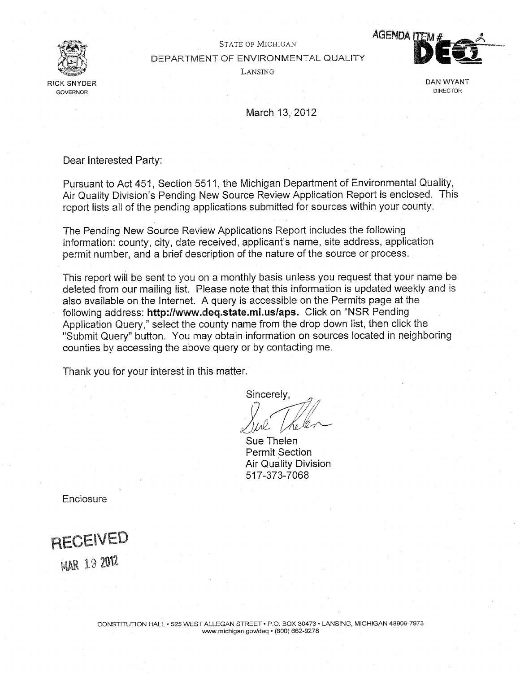

STATE OF MICHIGAN DEPARTMENT OF ENVIRONMENTAL QUALITY LANSING



March 13, 2012

Dear Interested Party:

Pursuant to Act 451, Section 5511, the Michigan Department of Environmental Quality, Air Quality Division's Pending New Source Review Application Report is enclosed. This report lists all of the pending applications submitted for sources within your county.

The Pending New Source Review Applications Report includes the following information: county, city, date received, applicant's name, site address, application permit number, and a brief description of the nature of the source or process.

This report will be sent to you on a monthly basis unless you request that your name be deleted from our mailing list. Please note that this information is updated weekly and is also available on the Internet. A query is accessible on the Permits page at the following address: http://www.deq.state.mi.us/aps. Click on "NSR Pending Application Query," select the county name from the drop down list, then click the "Submit Query" button. You may obtain information on sources located in neighboring counties by accessing the above query or by contacting me.

Thank you for your interest in this matter.

Sincerely,

W- Sue Thelen Permit Section Air Quality Division 517-373-7068

**Enclosure** 

RECEIVED **MAR 19 2012**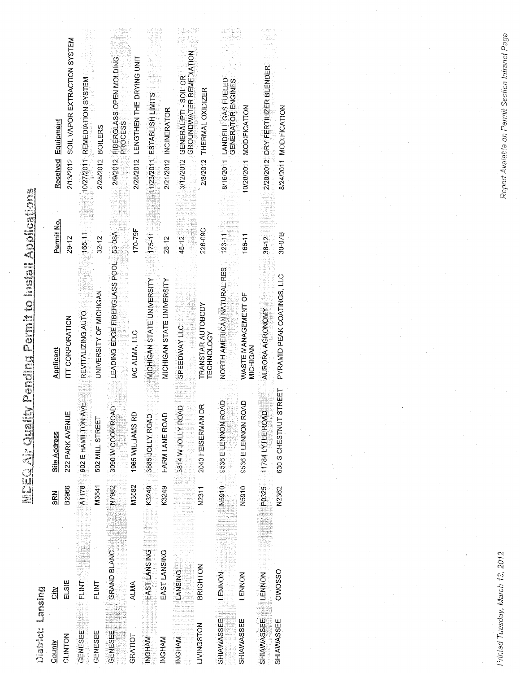| 医动脉 医血管 医心理                                                                            |
|----------------------------------------------------------------------------------------|
|                                                                                        |
| Print P.A. Bir<br>. The Edition                                                        |
| The second contract of the contract of the contract of the contract of the contract of |
| <b>Continued State</b>                                                                 |
| ζ,                                                                                     |
| Ĵ<br>人民的人的                                                                             |

| Definition of the state of |                 |            |                           |                                        |            |                                                                 |  |
|----------------------------|-----------------|------------|---------------------------|----------------------------------------|------------|-----------------------------------------------------------------|--|
| County                     | <u>iar</u>      | <b>SRN</b> | <b>Site Address</b>       | Applicant                              | Permit No. | Received Equipment                                              |  |
| CLINTON                    | ELSIE           | B2966      | 222 PARK AVENUE           | ITT CORPORATION                        | $29 - 12$  | 2/13/2012 SOIL VAPOR EXTRACTION SYSTEM                          |  |
| GENESEE                    | <b>FLINT</b>    | A1178      | Ш<br>902 E HAMILTON AV    | REVITALIZING AUTO                      | $165 - 11$ | 0/27/2011 REMEDIATION SYSTEM                                    |  |
| GENESEE                    | FLINT           | M3641      | 502 MILL STREET           | UNIVERSITY OF MICHIGAN                 | $32 - 12$  | 2/28/2012 BOILERS                                               |  |
| GENESEE                    | GRAND BLANC     | N7982      | 3090 W COOK ROAD          | LEADING EDGE FIBERGLASS POOL           | 53-08A     | 2/9/2012 FIBERGLASS OPEN MOLDING<br>PROCESS                     |  |
| GRATIOT                    | ALMA            | M3582      | 1965 WILLIAMS RD          | IAC ALMA, LLC                          | 170-79F    | 2/28/2012 LENGTHEN THE DRYING UNIT                              |  |
| <b>INGHAM</b>              | EAST LANSING    | K3249      | 3885 JOLLY ROAD           | MICHIGAN STATE UNIVERSITY              | $175 - 11$ | 11/23/2011 ESTABLISH LIMITS                                     |  |
| INGHAM                     | EAST LANSING    | K3249      | FARM LANE ROAD            | MICHIGAN STATE UNIVERSITY              | 28-12      | 2/21/2012 INCINERATOR                                           |  |
| INGHAM                     | <b>LANSING</b>  |            | 3814 W JOLLY ROAL         | <b>SPEEDWAY LLC</b>                    | 45-12      | <b>GROUNDWATER REMEDIATION</b><br>3/12/2012 GENERAL PTI-SOIL OR |  |
| LIVINGSTON                 | <b>BRIGHTON</b> | N2311      | 2040 HEISERMAN D          | <b>TRANSTAR AUTOBODY</b><br>TECHNOLOGY | 226-09C    | 2/8/2012 THERMAL OXIDIZER                                       |  |
| SHIAWASSEE                 | LENNON          | N5910      | 9536 ELENNON ROAD         | NORTH AMERICAN NATURAL RES             | $123 - 11$ | 8/16/2011 LANDFILL GAS FUELED<br><b>GENERATOR ENGINES</b>       |  |
| SHIAWASSEE                 | LENNON          | N5910      | 9536 E LENNON ROAD        | WASTE MANAGEMENT OF<br>MICHICAN        | 166-11     | 10/28/2011 MODIFICATION                                         |  |
| SHIAWASSEE                 | LENNON          | P0325      | 11784 LYTLE ROAD          | AURORA AGRONOMY                        | $38 - 12$  | 2/28/2012 DRY FERTILIZER BLENDER                                |  |
| SHIAWASSEE                 | OWOSSO          | N2362      | REET<br>630 S CHESTNUT ST | PYRAMID PEAK COATINGS, LLC             | $30 - 07B$ | 8/24/2011 MODIFICATION                                          |  |

Printed Tuesday, March 13, 2012

Report Avaiable on Permit Section Intranet Page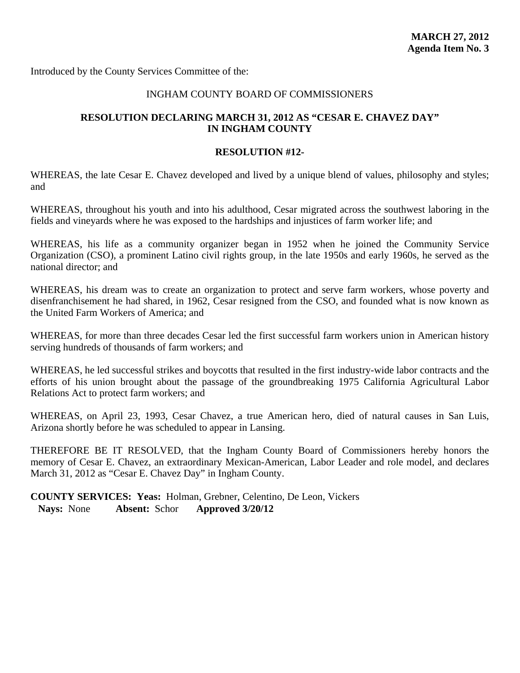Introduced by the County Services Committee of the:

### INGHAM COUNTY BOARD OF COMMISSIONERS

## **RESOLUTION DECLARING MARCH 31, 2012 AS "CESAR E. CHAVEZ DAY" IN INGHAM COUNTY**

#### **RESOLUTION #12-**

WHEREAS, the late Cesar E. Chavez developed and lived by a unique blend of values, philosophy and styles; and

WHEREAS, throughout his youth and into his adulthood, Cesar migrated across the southwest laboring in the fields and vineyards where he was exposed to the hardships and injustices of farm worker life; and

WHEREAS, his life as a community organizer began in 1952 when he joined the Community Service Organization (CSO), a prominent Latino civil rights group, in the late 1950s and early 1960s, he served as the national director; and

WHEREAS, his dream was to create an organization to protect and serve farm workers, whose poverty and disenfranchisement he had shared, in 1962, Cesar resigned from the CSO, and founded what is now known as the United Farm Workers of America; and

WHEREAS, for more than three decades Cesar led the first successful farm workers union in American history serving hundreds of thousands of farm workers; and

WHEREAS, he led successful strikes and boycotts that resulted in the first industry-wide labor contracts and the efforts of his union brought about the passage of the groundbreaking 1975 California Agricultural Labor Relations Act to protect farm workers; and

WHEREAS, on April 23, 1993, Cesar Chavez, a true American hero, died of natural causes in San Luis, Arizona shortly before he was scheduled to appear in Lansing.

THEREFORE BE IT RESOLVED, that the Ingham County Board of Commissioners hereby honors the memory of Cesar E. Chavez, an extraordinary Mexican-American, Labor Leader and role model, and declares March 31, 2012 as "Cesar E. Chavez Day" in Ingham County.

**COUNTY SERVICES: Yeas:** Holman, Grebner, Celentino, De Leon, Vickers **Nays:** None **Absent:** Schor **Approved 3/20/12**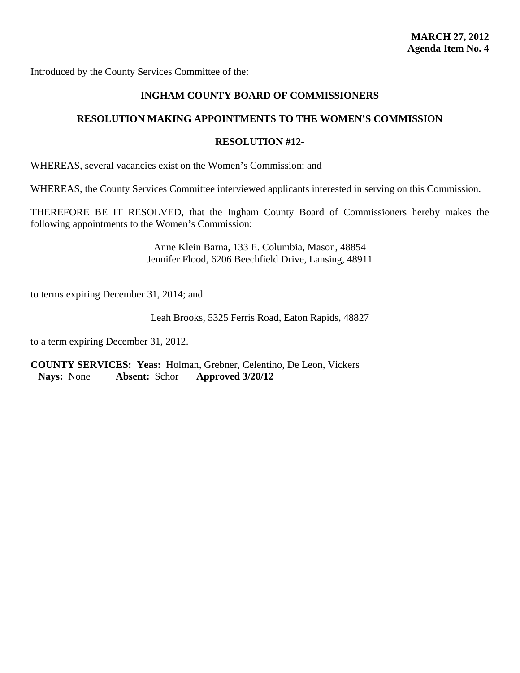Introduced by the County Services Committee of the:

## **INGHAM COUNTY BOARD OF COMMISSIONERS**

## **RESOLUTION MAKING APPOINTMENTS TO THE WOMEN'S COMMISSION**

## **RESOLUTION #12-**

WHEREAS, several vacancies exist on the Women's Commission; and

WHEREAS, the County Services Committee interviewed applicants interested in serving on this Commission.

THEREFORE BE IT RESOLVED, that the Ingham County Board of Commissioners hereby makes the following appointments to the Women's Commission:

> Anne Klein Barna, 133 E. Columbia, Mason, 48854 Jennifer Flood, 6206 Beechfield Drive, Lansing, 48911

to terms expiring December 31, 2014; and

Leah Brooks, 5325 Ferris Road, Eaton Rapids, 48827

to a term expiring December 31, 2012.

**COUNTY SERVICES: Yeas:** Holman, Grebner, Celentino, De Leon, Vickers **Nays:** None **Absent:** Schor **Approved 3/20/12**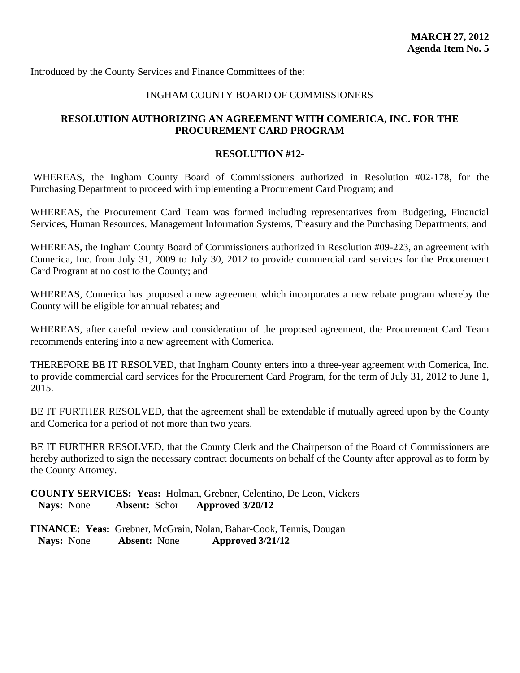Introduced by the County Services and Finance Committees of the:

## INGHAM COUNTY BOARD OF COMMISSIONERS

## **RESOLUTION AUTHORIZING AN AGREEMENT WITH COMERICA, INC. FOR THE PROCUREMENT CARD PROGRAM**

### **RESOLUTION #12-**

WHEREAS, the Ingham County Board of Commissioners authorized in Resolution #02-178, for the Purchasing Department to proceed with implementing a Procurement Card Program; and

WHEREAS, the Procurement Card Team was formed including representatives from Budgeting, Financial Services, Human Resources, Management Information Systems, Treasury and the Purchasing Departments; and

WHEREAS, the Ingham County Board of Commissioners authorized in Resolution #09-223, an agreement with Comerica, Inc. from July 31, 2009 to July 30, 2012 to provide commercial card services for the Procurement Card Program at no cost to the County; and

WHEREAS, Comerica has proposed a new agreement which incorporates a new rebate program whereby the County will be eligible for annual rebates; and

WHEREAS, after careful review and consideration of the proposed agreement, the Procurement Card Team recommends entering into a new agreement with Comerica.

THEREFORE BE IT RESOLVED, that Ingham County enters into a three-year agreement with Comerica, Inc. to provide commercial card services for the Procurement Card Program, for the term of July 31, 2012 to June 1, 2015.

BE IT FURTHER RESOLVED, that the agreement shall be extendable if mutually agreed upon by the County and Comerica for a period of not more than two years.

BE IT FURTHER RESOLVED, that the County Clerk and the Chairperson of the Board of Commissioners are hereby authorized to sign the necessary contract documents on behalf of the County after approval as to form by the County Attorney.

**COUNTY SERVICES: Yeas:** Holman, Grebner, Celentino, De Leon, Vickers **Nays:** None **Absent:** Schor **Approved 3/20/12**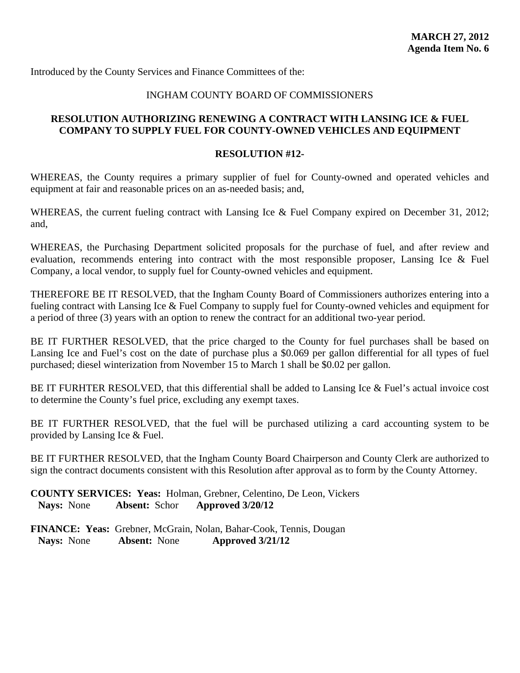Introduced by the County Services and Finance Committees of the:

## INGHAM COUNTY BOARD OF COMMISSIONERS

## **RESOLUTION AUTHORIZING RENEWING A CONTRACT WITH LANSING ICE & FUEL COMPANY TO SUPPLY FUEL FOR COUNTY-OWNED VEHICLES AND EQUIPMENT**

#### **RESOLUTION #12-**

WHEREAS, the County requires a primary supplier of fuel for County-owned and operated vehicles and equipment at fair and reasonable prices on an as-needed basis; and,

WHEREAS, the current fueling contract with Lansing Ice & Fuel Company expired on December 31, 2012; and,

WHEREAS, the Purchasing Department solicited proposals for the purchase of fuel, and after review and evaluation, recommends entering into contract with the most responsible proposer, Lansing Ice & Fuel Company, a local vendor, to supply fuel for County-owned vehicles and equipment.

THEREFORE BE IT RESOLVED, that the Ingham County Board of Commissioners authorizes entering into a fueling contract with Lansing Ice & Fuel Company to supply fuel for County-owned vehicles and equipment for a period of three (3) years with an option to renew the contract for an additional two-year period.

BE IT FURTHER RESOLVED, that the price charged to the County for fuel purchases shall be based on Lansing Ice and Fuel's cost on the date of purchase plus a \$0.069 per gallon differential for all types of fuel purchased; diesel winterization from November 15 to March 1 shall be \$0.02 per gallon.

BE IT FURHTER RESOLVED, that this differential shall be added to Lansing Ice & Fuel's actual invoice cost to determine the County's fuel price, excluding any exempt taxes.

BE IT FURTHER RESOLVED, that the fuel will be purchased utilizing a card accounting system to be provided by Lansing Ice & Fuel.

BE IT FURTHER RESOLVED, that the Ingham County Board Chairperson and County Clerk are authorized to sign the contract documents consistent with this Resolution after approval as to form by the County Attorney.

**COUNTY SERVICES: Yeas:** Holman, Grebner, Celentino, De Leon, Vickers **Nays:** None **Absent:** Schor **Approved 3/20/12**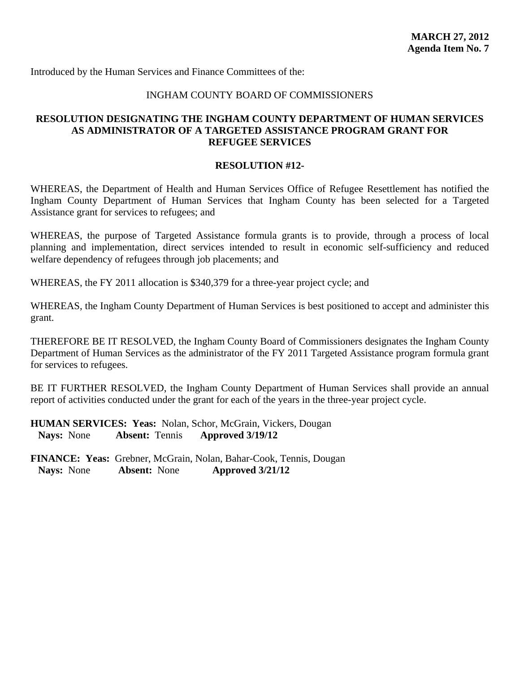Introduced by the Human Services and Finance Committees of the:

## INGHAM COUNTY BOARD OF COMMISSIONERS

## **RESOLUTION DESIGNATING THE INGHAM COUNTY DEPARTMENT OF HUMAN SERVICES AS ADMINISTRATOR OF A TARGETED ASSISTANCE PROGRAM GRANT FOR REFUGEE SERVICES**

### **RESOLUTION #12-**

WHEREAS, the Department of Health and Human Services Office of Refugee Resettlement has notified the Ingham County Department of Human Services that Ingham County has been selected for a Targeted Assistance grant for services to refugees; and

WHEREAS, the purpose of Targeted Assistance formula grants is to provide, through a process of local planning and implementation, direct services intended to result in economic self-sufficiency and reduced welfare dependency of refugees through job placements; and

WHEREAS, the FY 2011 allocation is \$340,379 for a three-year project cycle; and

WHEREAS, the Ingham County Department of Human Services is best positioned to accept and administer this grant.

THEREFORE BE IT RESOLVED, the Ingham County Board of Commissioners designates the Ingham County Department of Human Services as the administrator of the FY 2011 Targeted Assistance program formula grant for services to refugees.

BE IT FURTHER RESOLVED, the Ingham County Department of Human Services shall provide an annual report of activities conducted under the grant for each of the years in the three-year project cycle.

**HUMAN SERVICES: Yeas:** Nolan, Schor, McGrain, Vickers, Dougan **Nays:** None **Absent:** Tennis **Approved 3/19/12**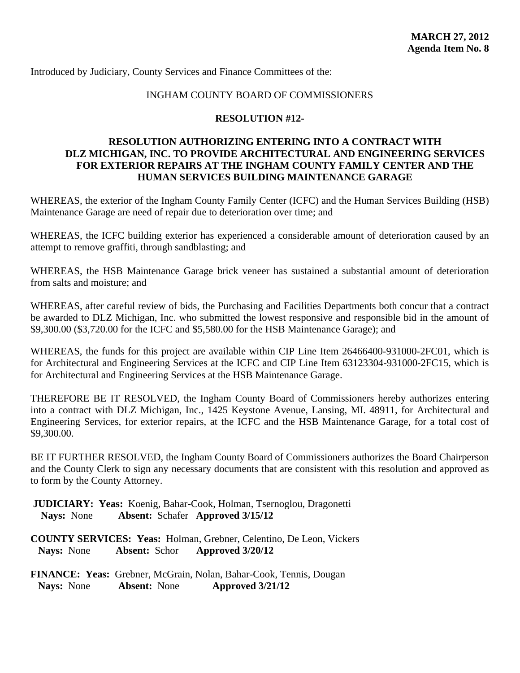Introduced by Judiciary, County Services and Finance Committees of the:

## INGHAM COUNTY BOARD OF COMMISSIONERS

#### **RESOLUTION #12-**

## **RESOLUTION AUTHORIZING ENTERING INTO A CONTRACT WITH DLZ MICHIGAN, INC. TO PROVIDE ARCHITECTURAL AND ENGINEERING SERVICES FOR EXTERIOR REPAIRS AT THE INGHAM COUNTY FAMILY CENTER AND THE HUMAN SERVICES BUILDING MAINTENANCE GARAGE**

WHEREAS, the exterior of the Ingham County Family Center (ICFC) and the Human Services Building (HSB) Maintenance Garage are need of repair due to deterioration over time; and

WHEREAS, the ICFC building exterior has experienced a considerable amount of deterioration caused by an attempt to remove graffiti, through sandblasting; and

WHEREAS, the HSB Maintenance Garage brick veneer has sustained a substantial amount of deterioration from salts and moisture; and

WHEREAS, after careful review of bids, the Purchasing and Facilities Departments both concur that a contract be awarded to DLZ Michigan, Inc. who submitted the lowest responsive and responsible bid in the amount of \$9,300.00 (\$3,720.00 for the ICFC and \$5,580.00 for the HSB Maintenance Garage); and

WHEREAS, the funds for this project are available within CIP Line Item 26466400-931000-2FC01, which is for Architectural and Engineering Services at the ICFC and CIP Line Item 63123304-931000-2FC15, which is for Architectural and Engineering Services at the HSB Maintenance Garage.

THEREFORE BE IT RESOLVED, the Ingham County Board of Commissioners hereby authorizes entering into a contract with DLZ Michigan, Inc., 1425 Keystone Avenue, Lansing, MI. 48911, for Architectural and Engineering Services, for exterior repairs, at the ICFC and the HSB Maintenance Garage, for a total cost of \$9,300.00.

BE IT FURTHER RESOLVED, the Ingham County Board of Commissioners authorizes the Board Chairperson and the County Clerk to sign any necessary documents that are consistent with this resolution and approved as to form by the County Attorney.

 **JUDICIARY: Yeas:** Koenig, Bahar-Cook, Holman, Tsernoglou, Dragonetti  **Nays:** None **Absent:** Schafer **Approved 3/15/12** 

**COUNTY SERVICES: Yeas:** Holman, Grebner, Celentino, De Leon, Vickers **Nays:** None **Absent:** Schor **Approved 3/20/12**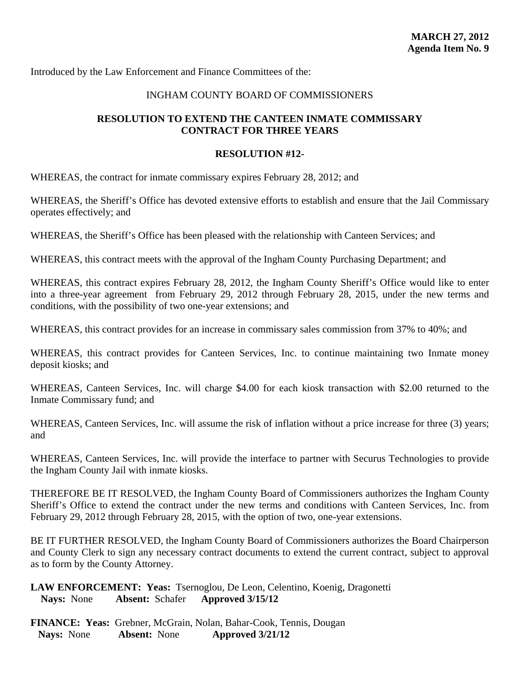Introduced by the Law Enforcement and Finance Committees of the:

## INGHAM COUNTY BOARD OF COMMISSIONERS

## **RESOLUTION TO EXTEND THE CANTEEN INMATE COMMISSARY CONTRACT FOR THREE YEARS**

#### **RESOLUTION #12-**

WHEREAS, the contract for inmate commissary expires February 28, 2012; and

WHEREAS, the Sheriff's Office has devoted extensive efforts to establish and ensure that the Jail Commissary operates effectively; and

WHEREAS, the Sheriff's Office has been pleased with the relationship with Canteen Services; and

WHEREAS, this contract meets with the approval of the Ingham County Purchasing Department; and

WHEREAS, this contract expires February 28, 2012, the Ingham County Sheriff's Office would like to enter into a three-year agreement from February 29, 2012 through February 28, 2015, under the new terms and conditions, with the possibility of two one-year extensions; and

WHEREAS, this contract provides for an increase in commissary sales commission from 37% to 40%; and

WHEREAS, this contract provides for Canteen Services, Inc. to continue maintaining two Inmate money deposit kiosks; and

WHEREAS, Canteen Services, Inc. will charge \$4.00 for each kiosk transaction with \$2.00 returned to the Inmate Commissary fund; and

WHEREAS, Canteen Services, Inc. will assume the risk of inflation without a price increase for three (3) years; and

WHEREAS, Canteen Services, Inc. will provide the interface to partner with Securus Technologies to provide the Ingham County Jail with inmate kiosks.

THEREFORE BE IT RESOLVED, the Ingham County Board of Commissioners authorizes the Ingham County Sheriff's Office to extend the contract under the new terms and conditions with Canteen Services, Inc. from February 29, 2012 through February 28, 2015, with the option of two, one-year extensions.

BE IT FURTHER RESOLVED, the Ingham County Board of Commissioners authorizes the Board Chairperson and County Clerk to sign any necessary contract documents to extend the current contract, subject to approval as to form by the County Attorney.

## **LAW ENFORCEMENT: Yeas:** Tsernoglou, De Leon, Celentino, Koenig, Dragonetti  **Nays:** None **Absent:** Schafer **Approved 3/15/12**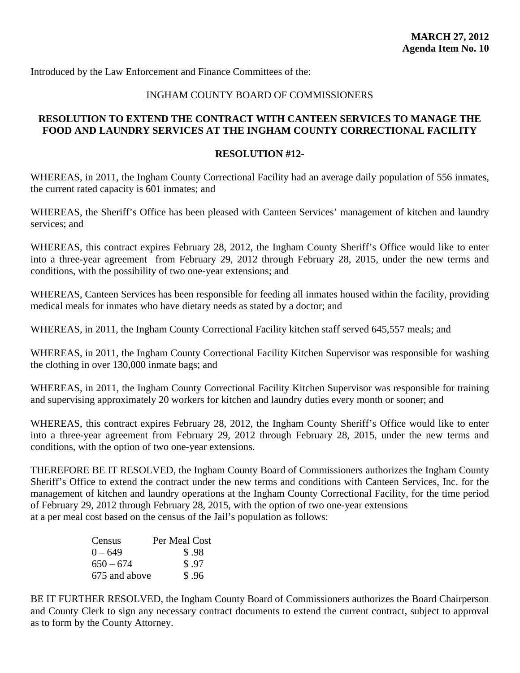Introduced by the Law Enforcement and Finance Committees of the:

## INGHAM COUNTY BOARD OF COMMISSIONERS

## **RESOLUTION TO EXTEND THE CONTRACT WITH CANTEEN SERVICES TO MANAGE THE FOOD AND LAUNDRY SERVICES AT THE INGHAM COUNTY CORRECTIONAL FACILITY**

#### **RESOLUTION #12-**

WHEREAS, in 2011, the Ingham County Correctional Facility had an average daily population of 556 inmates, the current rated capacity is 601 inmates; and

WHEREAS, the Sheriff's Office has been pleased with Canteen Services' management of kitchen and laundry services; and

WHEREAS, this contract expires February 28, 2012, the Ingham County Sheriff's Office would like to enter into a three-year agreement from February 29, 2012 through February 28, 2015, under the new terms and conditions, with the possibility of two one-year extensions; and

WHEREAS, Canteen Services has been responsible for feeding all inmates housed within the facility, providing medical meals for inmates who have dietary needs as stated by a doctor; and

WHEREAS, in 2011, the Ingham County Correctional Facility kitchen staff served 645,557 meals; and

WHEREAS, in 2011, the Ingham County Correctional Facility Kitchen Supervisor was responsible for washing the clothing in over 130,000 inmate bags; and

WHEREAS, in 2011, the Ingham County Correctional Facility Kitchen Supervisor was responsible for training and supervising approximately 20 workers for kitchen and laundry duties every month or sooner; and

WHEREAS, this contract expires February 28, 2012, the Ingham County Sheriff's Office would like to enter into a three-year agreement from February 29, 2012 through February 28, 2015, under the new terms and conditions, with the option of two one-year extensions.

THEREFORE BE IT RESOLVED, the Ingham County Board of Commissioners authorizes the Ingham County Sheriff's Office to extend the contract under the new terms and conditions with Canteen Services, Inc. for the management of kitchen and laundry operations at the Ingham County Correctional Facility, for the time period of February 29, 2012 through February 28, 2015, with the option of two one-year extensions at a per meal cost based on the census of the Jail's population as follows:

| Census        | Per Meal Cost |
|---------------|---------------|
| $0 - 649$     | \$.98         |
| $650 - 674$   | \$.97         |
| 675 and above | \$.96         |

BE IT FURTHER RESOLVED, the Ingham County Board of Commissioners authorizes the Board Chairperson and County Clerk to sign any necessary contract documents to extend the current contract, subject to approval as to form by the County Attorney.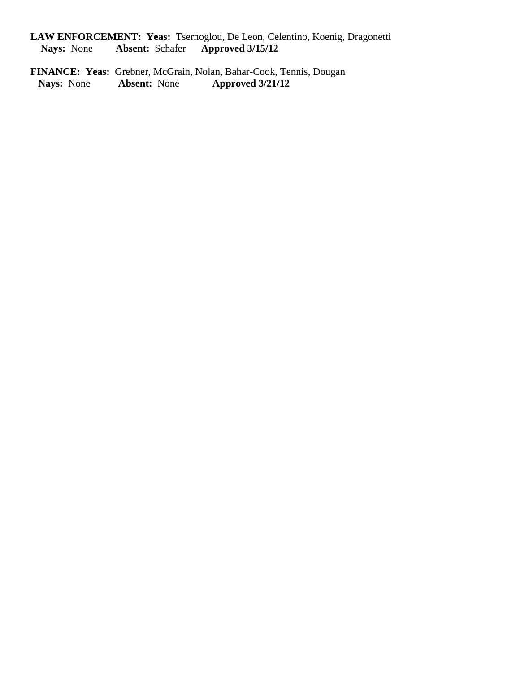**LAW ENFORCEMENT: Yeas:** Tsernoglou, De Leon, Celentino, Koenig, Dragonetti  **Nays:** None **Absent:** Schafer **Approved 3/15/12** 

**FINANCE: Yeas:** Grebner, McGrain, Nolan, Bahar-Cook, Tennis, Dougan Nays: None Absent: None Approved  $3/21/12$  **Nays:** None **Absent:** None **Approved 3/21/12**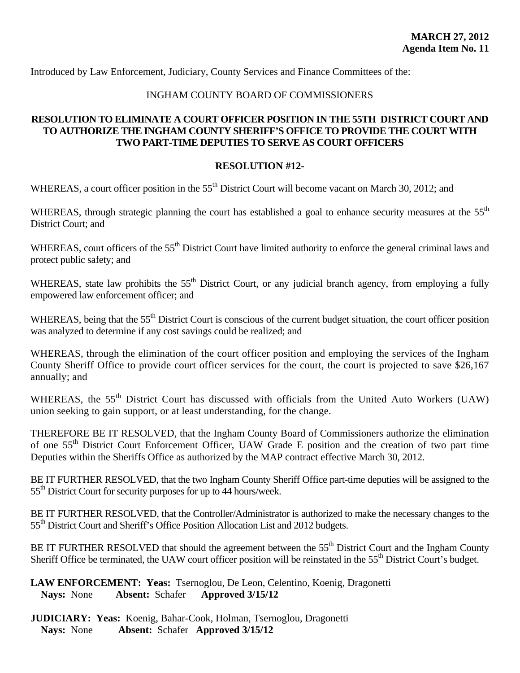Introduced by Law Enforcement, Judiciary, County Services and Finance Committees of the:

## INGHAM COUNTY BOARD OF COMMISSIONERS

## **RESOLUTION TO ELIMINATE A COURT OFFICER POSITION IN THE 55TH DISTRICT COURT AND TO AUTHORIZE THE INGHAM COUNTY SHERIFF'S OFFICE TO PROVIDE THE COURT WITH TWO PART-TIME DEPUTIES TO SERVE AS COURT OFFICERS**

## **RESOLUTION #12-**

WHEREAS, a court officer position in the 55<sup>th</sup> District Court will become vacant on March 30, 2012; and

WHEREAS, through strategic planning the court has established a goal to enhance security measures at the 55<sup>th</sup> District Court; and

WHEREAS, court officers of the 55<sup>th</sup> District Court have limited authority to enforce the general criminal laws and protect public safety; and

WHEREAS, state law prohibits the 55<sup>th</sup> District Court, or any judicial branch agency, from employing a fully empowered law enforcement officer; and

WHEREAS, being that the 55<sup>th</sup> District Court is conscious of the current budget situation, the court officer position was analyzed to determine if any cost savings could be realized; and

WHEREAS, through the elimination of the court officer position and employing the services of the Ingham County Sheriff Office to provide court officer services for the court, the court is projected to save \$26,167 annually; and

WHEREAS, the 55<sup>th</sup> District Court has discussed with officials from the United Auto Workers (UAW) union seeking to gain support, or at least understanding, for the change.

THEREFORE BE IT RESOLVED, that the Ingham County Board of Commissioners authorize the elimination of one 55<sup>th</sup> District Court Enforcement Officer, UAW Grade E position and the creation of two part time Deputies within the Sheriffs Office as authorized by the MAP contract effective March 30, 2012.

BE IT FURTHER RESOLVED, that the two Ingham County Sheriff Office part-time deputies will be assigned to the 55<sup>th</sup> District Court for security purposes for up to 44 hours/week.

BE IT FURTHER RESOLVED, that the Controller/Administrator is authorized to make the necessary changes to the 55<sup>th</sup> District Court and Sheriff's Office Position Allocation List and 2012 budgets.

BE IT FURTHER RESOLVED that should the agreement between the 55<sup>th</sup> District Court and the Ingham County Sheriff Office be terminated, the UAW court officer position will be reinstated in the 55<sup>th</sup> District Court's budget.

## **LAW ENFORCEMENT: Yeas:** Tsernoglou, De Leon, Celentino, Koenig, Dragonetti  **Nays:** None **Absent:** Schafer **Approved 3/15/12**

**JUDICIARY: Yeas:** Koenig, Bahar-Cook, Holman, Tsernoglou, Dragonetti  **Nays:** None **Absent:** Schafer **Approved 3/15/12**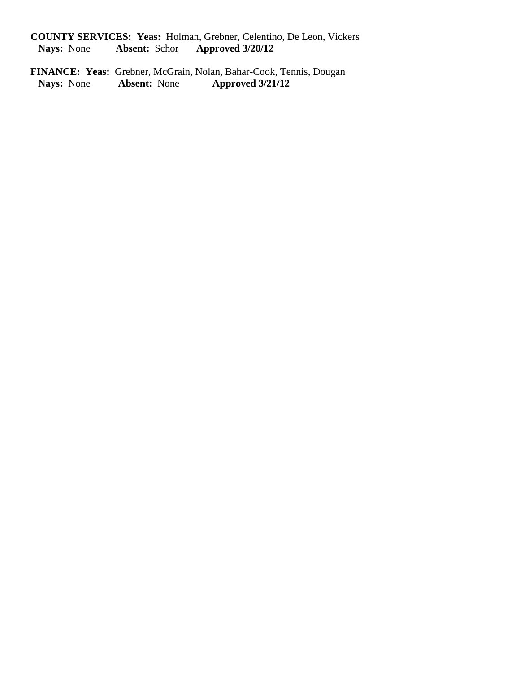**COUNTY SERVICES: Yeas:** Holman, Grebner, Celentino, De Leon, Vickers<br>Nays: None Absent: Schor Approved  $3/20/12$ **Nays:** None **Absent:** Schor **Approved 3/20/12** 

**FINANCE: Yeas:** Grebner, McGrain, Nolan, Bahar-Cook, Tennis, Dougan Nays: None Absent: None Approved  $3/21/12$  **Nays:** None **Absent:** None **Approved 3/21/12**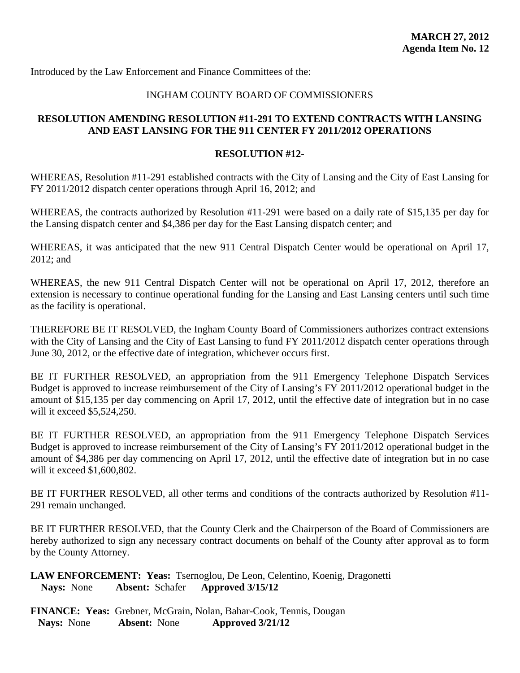Introduced by the Law Enforcement and Finance Committees of the:

## INGHAM COUNTY BOARD OF COMMISSIONERS

## **RESOLUTION AMENDING RESOLUTION #11-291 TO EXTEND CONTRACTS WITH LANSING AND EAST LANSING FOR THE 911 CENTER FY 2011/2012 OPERATIONS**

#### **RESOLUTION #12-**

WHEREAS, Resolution #11-291 established contracts with the City of Lansing and the City of East Lansing for FY 2011/2012 dispatch center operations through April 16, 2012; and

WHEREAS, the contracts authorized by Resolution #11-291 were based on a daily rate of \$15,135 per day for the Lansing dispatch center and \$4,386 per day for the East Lansing dispatch center; and

WHEREAS, it was anticipated that the new 911 Central Dispatch Center would be operational on April 17, 2012; and

WHEREAS, the new 911 Central Dispatch Center will not be operational on April 17, 2012, therefore an extension is necessary to continue operational funding for the Lansing and East Lansing centers until such time as the facility is operational.

THEREFORE BE IT RESOLVED, the Ingham County Board of Commissioners authorizes contract extensions with the City of Lansing and the City of East Lansing to fund FY 2011/2012 dispatch center operations through June 30, 2012, or the effective date of integration, whichever occurs first.

BE IT FURTHER RESOLVED, an appropriation from the 911 Emergency Telephone Dispatch Services Budget is approved to increase reimbursement of the City of Lansing's FY 2011/2012 operational budget in the amount of \$15,135 per day commencing on April 17, 2012, until the effective date of integration but in no case will it exceed \$5,524,250.

BE IT FURTHER RESOLVED, an appropriation from the 911 Emergency Telephone Dispatch Services Budget is approved to increase reimbursement of the City of Lansing's FY 2011/2012 operational budget in the amount of \$4,386 per day commencing on April 17, 2012, until the effective date of integration but in no case will it exceed \$1,600,802.

BE IT FURTHER RESOLVED, all other terms and conditions of the contracts authorized by Resolution #11- 291 remain unchanged.

BE IT FURTHER RESOLVED, that the County Clerk and the Chairperson of the Board of Commissioners are hereby authorized to sign any necessary contract documents on behalf of the County after approval as to form by the County Attorney.

**LAW ENFORCEMENT: Yeas:** Tsernoglou, De Leon, Celentino, Koenig, Dragonetti  **Nays:** None **Absent:** Schafer **Approved 3/15/12**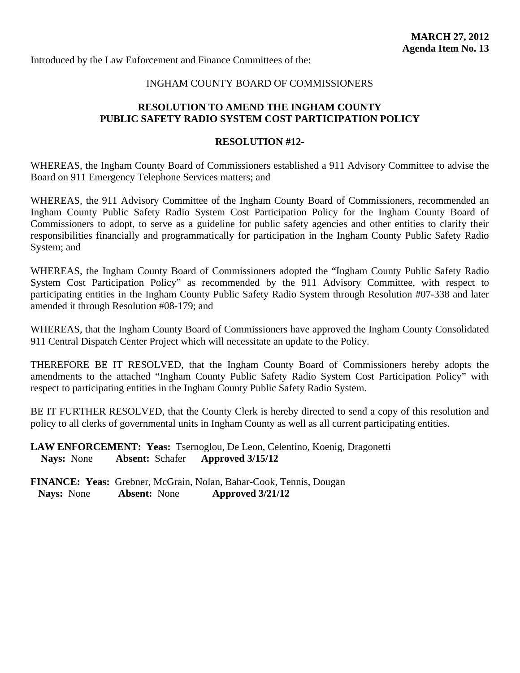Introduced by the Law Enforcement and Finance Committees of the:

#### INGHAM COUNTY BOARD OF COMMISSIONERS

## **RESOLUTION TO AMEND THE INGHAM COUNTY PUBLIC SAFETY RADIO SYSTEM COST PARTICIPATION POLICY**

#### **RESOLUTION #12-**

WHEREAS, the Ingham County Board of Commissioners established a 911 Advisory Committee to advise the Board on 911 Emergency Telephone Services matters; and

WHEREAS, the 911 Advisory Committee of the Ingham County Board of Commissioners, recommended an Ingham County Public Safety Radio System Cost Participation Policy for the Ingham County Board of Commissioners to adopt, to serve as a guideline for public safety agencies and other entities to clarify their responsibilities financially and programmatically for participation in the Ingham County Public Safety Radio System; and

WHEREAS, the Ingham County Board of Commissioners adopted the "Ingham County Public Safety Radio System Cost Participation Policy" as recommended by the 911 Advisory Committee, with respect to participating entities in the Ingham County Public Safety Radio System through Resolution #07-338 and later amended it through Resolution #08-179; and

WHEREAS, that the Ingham County Board of Commissioners have approved the Ingham County Consolidated 911 Central Dispatch Center Project which will necessitate an update to the Policy.

THEREFORE BE IT RESOLVED, that the Ingham County Board of Commissioners hereby adopts the amendments to the attached "Ingham County Public Safety Radio System Cost Participation Policy" with respect to participating entities in the Ingham County Public Safety Radio System.

BE IT FURTHER RESOLVED, that the County Clerk is hereby directed to send a copy of this resolution and policy to all clerks of governmental units in Ingham County as well as all current participating entities.

**LAW ENFORCEMENT: Yeas:** Tsernoglou, De Leon, Celentino, Koenig, Dragonetti  **Nays:** None **Absent:** Schafer **Approved 3/15/12**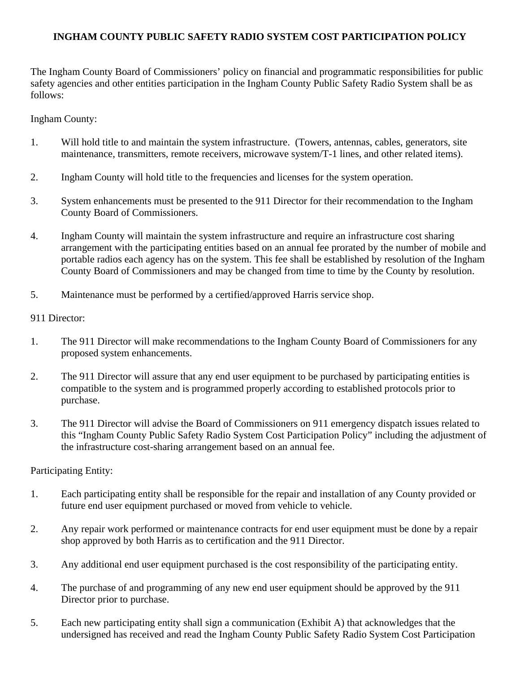## **INGHAM COUNTY PUBLIC SAFETY RADIO SYSTEM COST PARTICIPATION POLICY**

The Ingham County Board of Commissioners' policy on financial and programmatic responsibilities for public safety agencies and other entities participation in the Ingham County Public Safety Radio System shall be as follows:

Ingham County:

- 1. Will hold title to and maintain the system infrastructure. (Towers, antennas, cables, generators, site maintenance, transmitters, remote receivers, microwave system/T-1 lines, and other related items).
- 2. Ingham County will hold title to the frequencies and licenses for the system operation.
- 3. System enhancements must be presented to the 911 Director for their recommendation to the Ingham County Board of Commissioners.
- 4. Ingham County will maintain the system infrastructure and require an infrastructure cost sharing arrangement with the participating entities based on an annual fee prorated by the number of mobile and portable radios each agency has on the system. This fee shall be established by resolution of the Ingham County Board of Commissioners and may be changed from time to time by the County by resolution.
- 5. Maintenance must be performed by a certified/approved Harris service shop.

911 Director:

- 1. The 911 Director will make recommendations to the Ingham County Board of Commissioners for any proposed system enhancements.
- 2. The 911 Director will assure that any end user equipment to be purchased by participating entities is compatible to the system and is programmed properly according to established protocols prior to purchase.
- 3. The 911 Director will advise the Board of Commissioners on 911 emergency dispatch issues related to this "Ingham County Public Safety Radio System Cost Participation Policy" including the adjustment of the infrastructure cost-sharing arrangement based on an annual fee.

Participating Entity:

- 1. Each participating entity shall be responsible for the repair and installation of any County provided or future end user equipment purchased or moved from vehicle to vehicle.
- 2. Any repair work performed or maintenance contracts for end user equipment must be done by a repair shop approved by both Harris as to certification and the 911 Director.
- 3. Any additional end user equipment purchased is the cost responsibility of the participating entity.
- 4. The purchase of and programming of any new end user equipment should be approved by the 911 Director prior to purchase.
- 5. Each new participating entity shall sign a communication (Exhibit A) that acknowledges that the undersigned has received and read the Ingham County Public Safety Radio System Cost Participation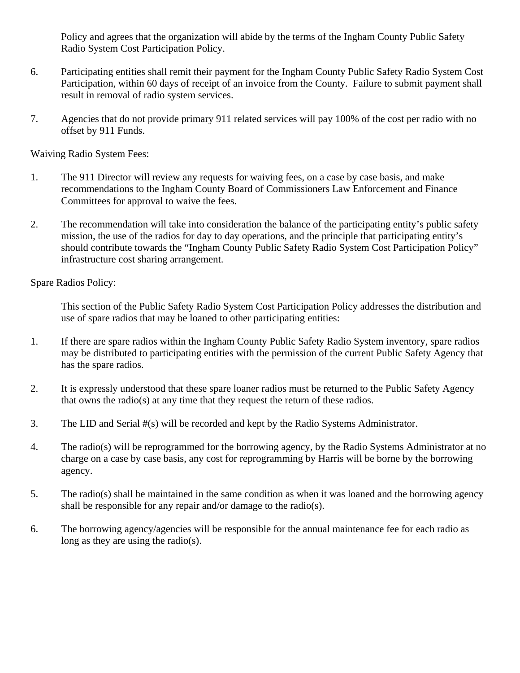Policy and agrees that the organization will abide by the terms of the Ingham County Public Safety Radio System Cost Participation Policy.

- 6. Participating entities shall remit their payment for the Ingham County Public Safety Radio System Cost Participation, within 60 days of receipt of an invoice from the County. Failure to submit payment shall result in removal of radio system services.
- 7. Agencies that do not provide primary 911 related services will pay 100% of the cost per radio with no offset by 911 Funds.

Waiving Radio System Fees:

- 1. The 911 Director will review any requests for waiving fees, on a case by case basis, and make recommendations to the Ingham County Board of Commissioners Law Enforcement and Finance Committees for approval to waive the fees.
- 2. The recommendation will take into consideration the balance of the participating entity's public safety mission, the use of the radios for day to day operations, and the principle that participating entity's should contribute towards the "Ingham County Public Safety Radio System Cost Participation Policy" infrastructure cost sharing arrangement.

Spare Radios Policy:

This section of the Public Safety Radio System Cost Participation Policy addresses the distribution and use of spare radios that may be loaned to other participating entities:

- 1. If there are spare radios within the Ingham County Public Safety Radio System inventory, spare radios may be distributed to participating entities with the permission of the current Public Safety Agency that has the spare radios.
- 2. It is expressly understood that these spare loaner radios must be returned to the Public Safety Agency that owns the radio(s) at any time that they request the return of these radios.
- 3. The LID and Serial #(s) will be recorded and kept by the Radio Systems Administrator.
- 4. The radio(s) will be reprogrammed for the borrowing agency, by the Radio Systems Administrator at no charge on a case by case basis, any cost for reprogramming by Harris will be borne by the borrowing agency.
- 5. The radio(s) shall be maintained in the same condition as when it was loaned and the borrowing agency shall be responsible for any repair and/or damage to the radio(s).
- 6. The borrowing agency/agencies will be responsible for the annual maintenance fee for each radio as long as they are using the radio(s).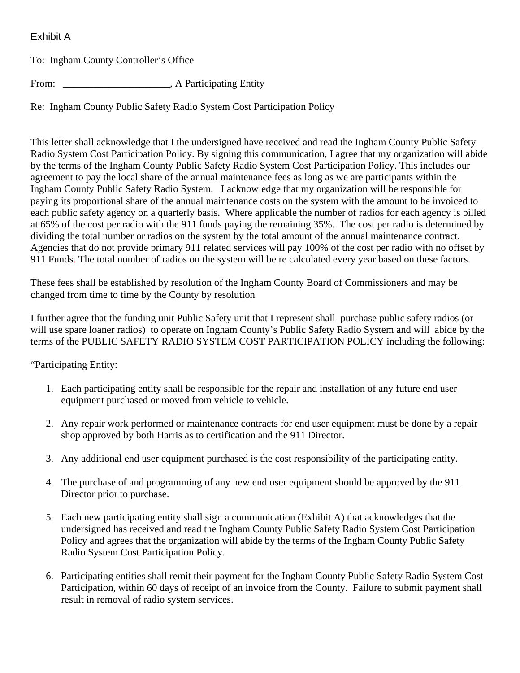## Exhibit A

To: Ingham County Controller's Office

From: \_\_\_\_\_\_\_\_\_\_\_\_\_\_\_\_\_\_\_\_\_, A Participating Entity

Re: Ingham County Public Safety Radio System Cost Participation Policy

This letter shall acknowledge that I the undersigned have received and read the Ingham County Public Safety Radio System Cost Participation Policy. By signing this communication, I agree that my organization will abide by the terms of the Ingham County Public Safety Radio System Cost Participation Policy. This includes our agreement to pay the local share of the annual maintenance fees as long as we are participants within the Ingham County Public Safety Radio System. I acknowledge that my organization will be responsible for paying its proportional share of the annual maintenance costs on the system with the amount to be invoiced to each public safety agency on a quarterly basis. Where applicable the number of radios for each agency is billed at 65% of the cost per radio with the 911 funds paying the remaining 35%. The cost per radio is determined by dividing the total number or radios on the system by the total amount of the annual maintenance contract. Agencies that do not provide primary 911 related services will pay 100% of the cost per radio with no offset by 911 Funds. The total number of radios on the system will be re calculated every year based on these factors.

These fees shall be established by resolution of the Ingham County Board of Commissioners and may be changed from time to time by the County by resolution

I further agree that the funding unit Public Safety unit that I represent shall purchase public safety radios (or will use spare loaner radios) to operate on Ingham County's Public Safety Radio System and will abide by the terms of the PUBLIC SAFETY RADIO SYSTEM COST PARTICIPATION POLICY including the following:

"Participating Entity:

- 1. Each participating entity shall be responsible for the repair and installation of any future end user equipment purchased or moved from vehicle to vehicle.
- 2. Any repair work performed or maintenance contracts for end user equipment must be done by a repair shop approved by both Harris as to certification and the 911 Director.
- 3. Any additional end user equipment purchased is the cost responsibility of the participating entity.
- 4. The purchase of and programming of any new end user equipment should be approved by the 911 Director prior to purchase.
- 5. Each new participating entity shall sign a communication (Exhibit A) that acknowledges that the undersigned has received and read the Ingham County Public Safety Radio System Cost Participation Policy and agrees that the organization will abide by the terms of the Ingham County Public Safety Radio System Cost Participation Policy.
- 6. Participating entities shall remit their payment for the Ingham County Public Safety Radio System Cost Participation, within 60 days of receipt of an invoice from the County. Failure to submit payment shall result in removal of radio system services.